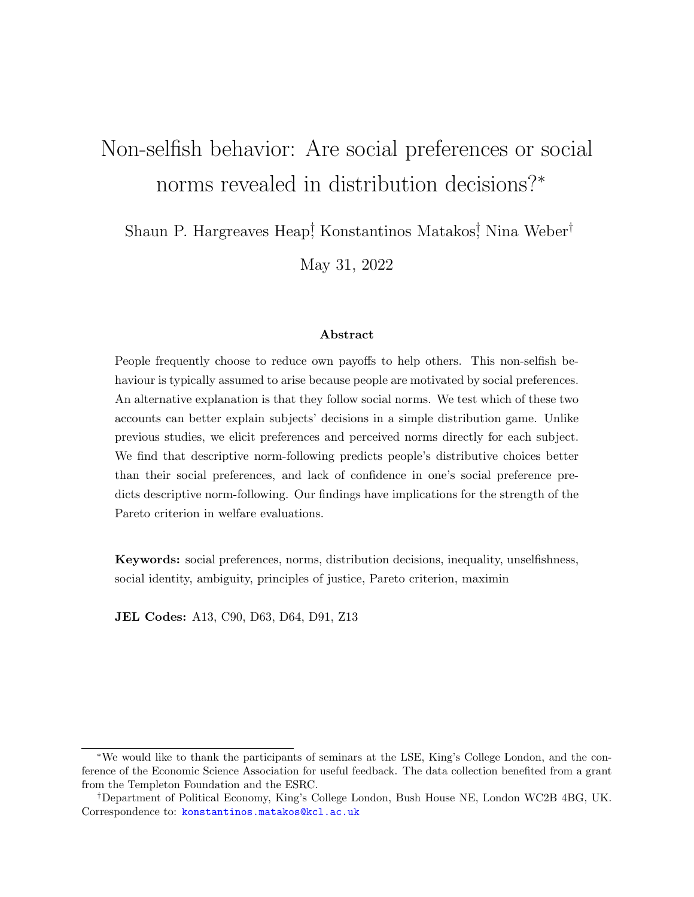# Non-selfish behavior: Are social preferences or social norms revealed in distribution decisions?<sup>∗</sup>

Shaun P. Hargreaves Heap<sup>†</sup>, Konstantinos Matakos<sup>†</sup>, Nina Weber<sup>†</sup>

May 31, 2022

#### Abstract

People frequently choose to reduce own payoffs to help others. This non-selfish behaviour is typically assumed to arise because people are motivated by social preferences. An alternative explanation is that they follow social norms. We test which of these two accounts can better explain subjects' decisions in a simple distribution game. Unlike previous studies, we elicit preferences and perceived norms directly for each subject. We find that descriptive norm-following predicts people's distributive choices better than their social preferences, and lack of confidence in one's social preference predicts descriptive norm-following. Our findings have implications for the strength of the Pareto criterion in welfare evaluations.

Keywords: social preferences, norms, distribution decisions, inequality, unselfishness, social identity, ambiguity, principles of justice, Pareto criterion, maximin

JEL Codes: A13, C90, D63, D64, D91, Z13

<sup>∗</sup>We would like to thank the participants of seminars at the LSE, King's College London, and the conference of the Economic Science Association for useful feedback. The data collection benefited from a grant from the Templeton Foundation and the ESRC.

<sup>†</sup>Department of Political Economy, King's College London, Bush House NE, London WC2B 4BG, UK. Correspondence to: [konstantinos.matakos@kcl.ac.uk](mailto:konstantinos.matakos@kcl.ac.uk)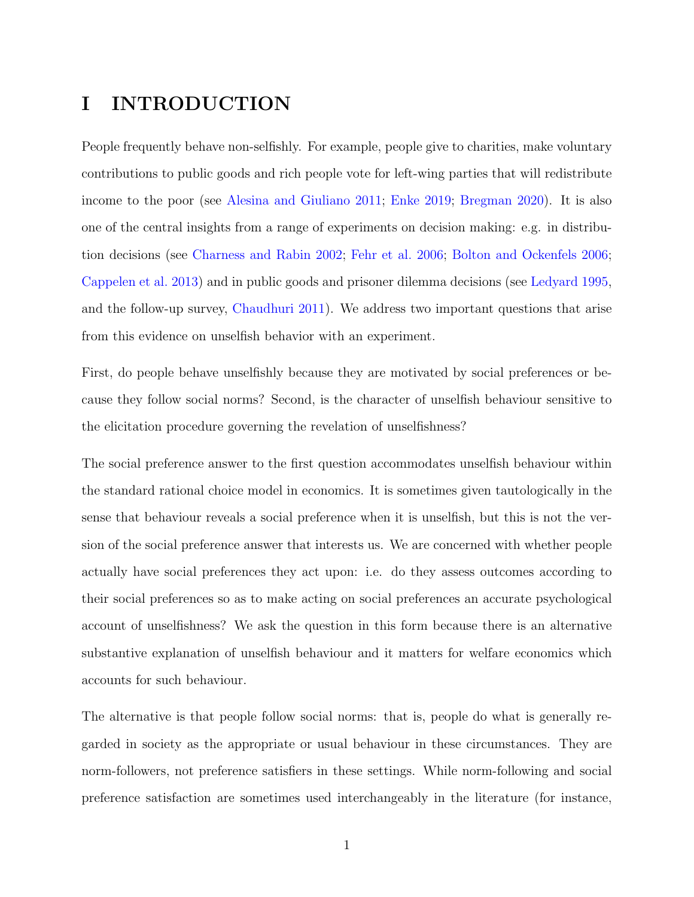# I INTRODUCTION

People frequently behave non-selfishly. For example, people give to charities, make voluntary contributions to public goods and rich people vote for left-wing parties that will redistribute income to the poor (see [Alesina and Giuliano](#page-42-0) [2011;](#page-42-0) [Enke](#page-43-0) [2019;](#page-43-0) [Bregman](#page-42-1) [2020\)](#page-42-1). It is also one of the central insights from a range of experiments on decision making: e.g. in distribution decisions (see [Charness and Rabin](#page-42-2) [2002;](#page-42-2) [Fehr et al.](#page-43-1) [2006;](#page-43-1) [Bolton and Ockenfels](#page-42-3) [2006;](#page-42-3) [Cappelen et al.](#page-42-4) [2013\)](#page-42-4) and in public goods and prisoner dilemma decisions (see [Ledyard](#page-44-0) [1995,](#page-44-0) and the follow-up survey, [Chaudhuri](#page-42-5) [2011\)](#page-42-5). We address two important questions that arise from this evidence on unselfish behavior with an experiment.

First, do people behave unselfishly because they are motivated by social preferences or because they follow social norms? Second, is the character of unselfish behaviour sensitive to the elicitation procedure governing the revelation of unselfishness?

The social preference answer to the first question accommodates unselfish behaviour within the standard rational choice model in economics. It is sometimes given tautologically in the sense that behaviour reveals a social preference when it is unselfish, but this is not the version of the social preference answer that interests us. We are concerned with whether people actually have social preferences they act upon: i.e. do they assess outcomes according to their social preferences so as to make acting on social preferences an accurate psychological account of unselfishness? We ask the question in this form because there is an alternative substantive explanation of unselfish behaviour and it matters for welfare economics which accounts for such behaviour.

The alternative is that people follow social norms: that is, people do what is generally regarded in society as the appropriate or usual behaviour in these circumstances. They are norm-followers, not preference satisfiers in these settings. While norm-following and social preference satisfaction are sometimes used interchangeably in the literature (for instance,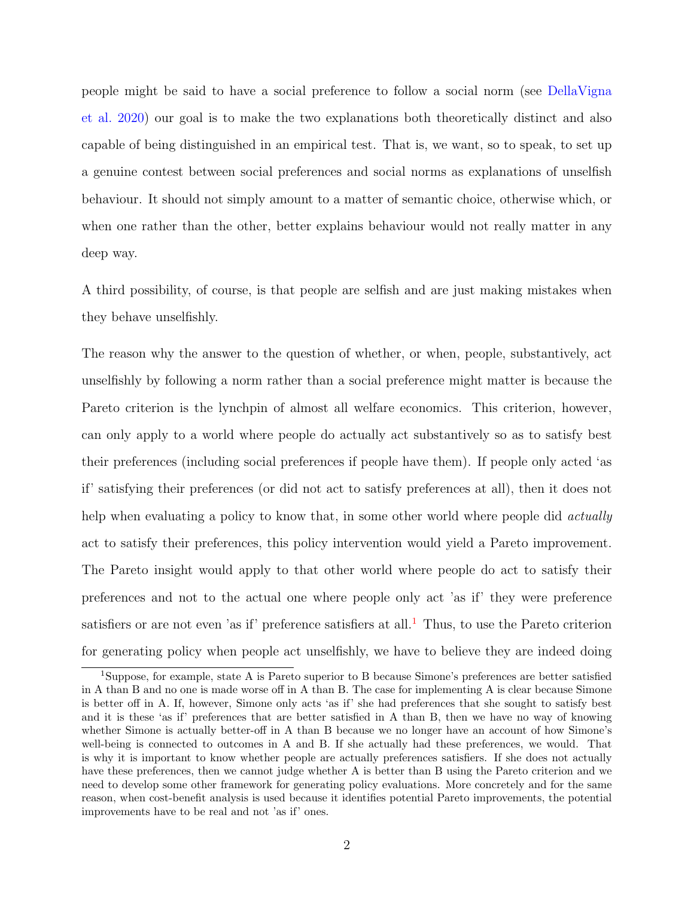people might be said to have a social preference to follow a social norm (see [DellaVigna](#page-43-2) [et al.](#page-43-2) [2020\)](#page-43-2) our goal is to make the two explanations both theoretically distinct and also capable of being distinguished in an empirical test. That is, we want, so to speak, to set up a genuine contest between social preferences and social norms as explanations of unselfish behaviour. It should not simply amount to a matter of semantic choice, otherwise which, or when one rather than the other, better explains behaviour would not really matter in any deep way.

A third possibility, of course, is that people are selfish and are just making mistakes when they behave unselfishly.

The reason why the answer to the question of whether, or when, people, substantively, act unselfishly by following a norm rather than a social preference might matter is because the Pareto criterion is the lynchpin of almost all welfare economics. This criterion, however, can only apply to a world where people do actually act substantively so as to satisfy best their preferences (including social preferences if people have them). If people only acted 'as if' satisfying their preferences (or did not act to satisfy preferences at all), then it does not help when evaluating a policy to know that, in some other world where people did *actually* act to satisfy their preferences, this policy intervention would yield a Pareto improvement. The Pareto insight would apply to that other world where people do act to satisfy their preferences and not to the actual one where people only act 'as if' they were preference satisfiers or are not even 'as if' preference satisfiers at all.<sup>[1](#page-2-0)</sup> Thus, to use the Pareto criterion for generating policy when people act unselfishly, we have to believe they are indeed doing

<span id="page-2-0"></span><sup>&</sup>lt;sup>1</sup>Suppose, for example, state A is Pareto superior to B because Simone's preferences are better satisfied in A than B and no one is made worse off in A than B. The case for implementing A is clear because Simone is better off in A. If, however, Simone only acts 'as if' she had preferences that she sought to satisfy best and it is these 'as if' preferences that are better satisfied in A than B, then we have no way of knowing whether Simone is actually better-off in A than B because we no longer have an account of how Simone's well-being is connected to outcomes in A and B. If she actually had these preferences, we would. That is why it is important to know whether people are actually preferences satisfiers. If she does not actually have these preferences, then we cannot judge whether A is better than B using the Pareto criterion and we need to develop some other framework for generating policy evaluations. More concretely and for the same reason, when cost-benefit analysis is used because it identifies potential Pareto improvements, the potential improvements have to be real and not 'as if' ones.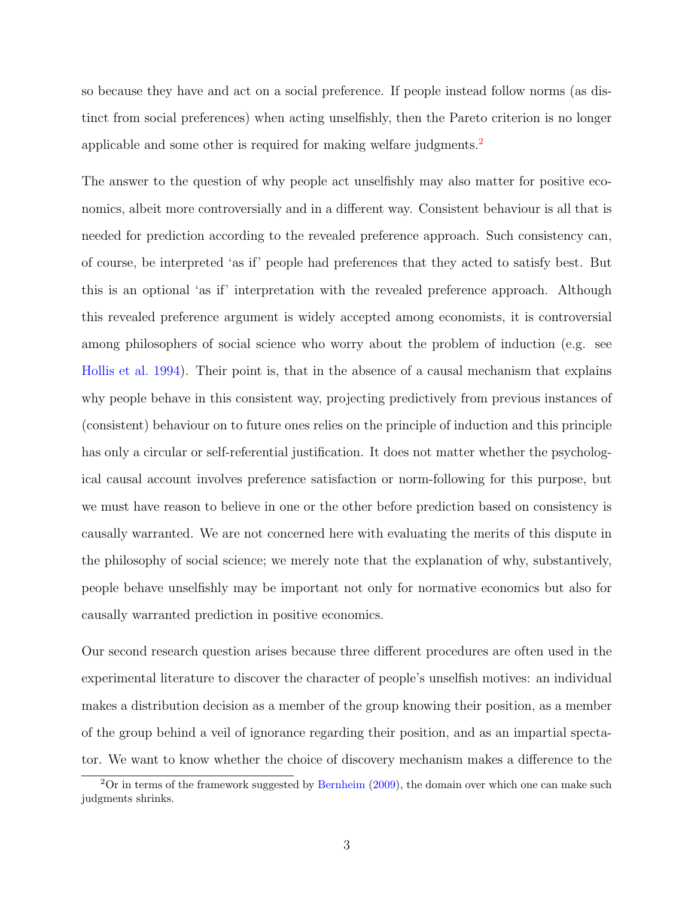so because they have and act on a social preference. If people instead follow norms (as distinct from social preferences) when acting unselfishly, then the Pareto criterion is no longer applicable and some other is required for making welfare judgments.[2](#page-3-0)

The answer to the question of why people act unselfishly may also matter for positive economics, albeit more controversially and in a different way. Consistent behaviour is all that is needed for prediction according to the revealed preference approach. Such consistency can, of course, be interpreted 'as if' people had preferences that they acted to satisfy best. But this is an optional 'as if' interpretation with the revealed preference approach. Although this revealed preference argument is widely accepted among economists, it is controversial among philosophers of social science who worry about the problem of induction (e.g. see [Hollis et al.](#page-44-1) [1994\)](#page-44-1). Their point is, that in the absence of a causal mechanism that explains why people behave in this consistent way, projecting predictively from previous instances of (consistent) behaviour on to future ones relies on the principle of induction and this principle has only a circular or self-referential justification. It does not matter whether the psychological causal account involves preference satisfaction or norm-following for this purpose, but we must have reason to believe in one or the other before prediction based on consistency is causally warranted. We are not concerned here with evaluating the merits of this dispute in the philosophy of social science; we merely note that the explanation of why, substantively, people behave unselfishly may be important not only for normative economics but also for causally warranted prediction in positive economics.

Our second research question arises because three different procedures are often used in the experimental literature to discover the character of people's unselfish motives: an individual makes a distribution decision as a member of the group knowing their position, as a member of the group behind a veil of ignorance regarding their position, and as an impartial spectator. We want to know whether the choice of discovery mechanism makes a difference to the

<span id="page-3-0"></span> $2$ Or in terms of the framework suggested by [Bernheim](#page-42-6) [\(2009\)](#page-42-6), the domain over which one can make such judgments shrinks.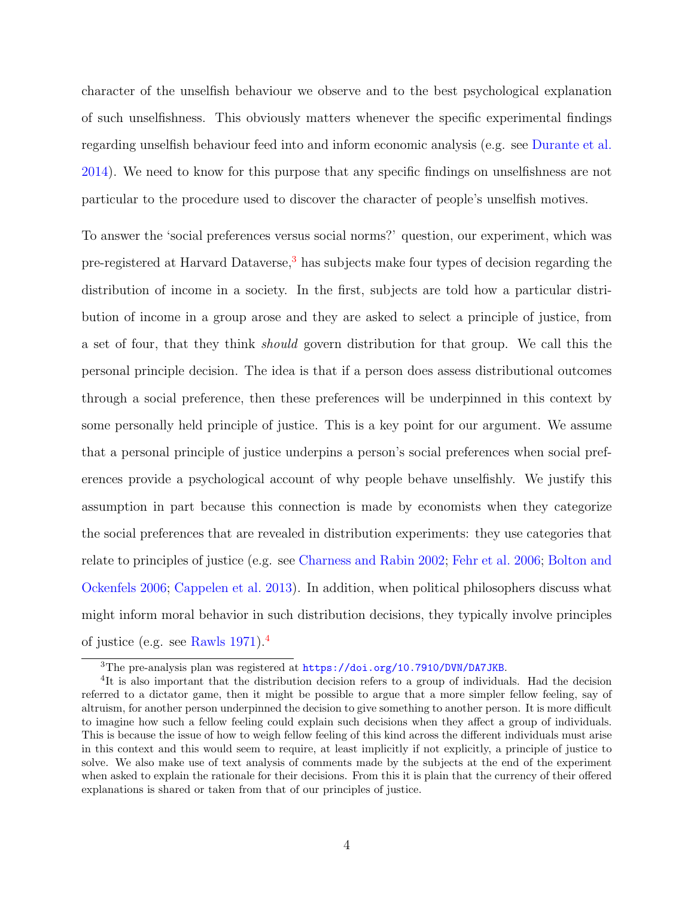character of the unselfish behaviour we observe and to the best psychological explanation of such unselfishness. This obviously matters whenever the specific experimental findings regarding unselfish behaviour feed into and inform economic analysis (e.g. see [Durante et al.](#page-43-3) [2014\)](#page-43-3). We need to know for this purpose that any specific findings on unselfishness are not particular to the procedure used to discover the character of people's unselfish motives.

To answer the 'social preferences versus social norms?' question, our experiment, which was pre-registered at Harvard Dataverse,<sup>[3](#page-4-0)</sup> has subjects make four types of decision regarding the distribution of income in a society. In the first, subjects are told how a particular distribution of income in a group arose and they are asked to select a principle of justice, from a set of four, that they think should govern distribution for that group. We call this the personal principle decision. The idea is that if a person does assess distributional outcomes through a social preference, then these preferences will be underpinned in this context by some personally held principle of justice. This is a key point for our argument. We assume that a personal principle of justice underpins a person's social preferences when social preferences provide a psychological account of why people behave unselfishly. We justify this assumption in part because this connection is made by economists when they categorize the social preferences that are revealed in distribution experiments: they use categories that relate to principles of justice (e.g. see [Charness and Rabin](#page-42-2) [2002;](#page-42-2) [Fehr et al.](#page-43-1) [2006;](#page-43-1) [Bolton and](#page-42-3) [Ockenfels](#page-42-3) [2006;](#page-42-3) [Cappelen et al.](#page-42-4) [2013\)](#page-42-4). In addition, when political philosophers discuss what might inform moral behavior in such distribution decisions, they typically involve principles of justice (e.g. see [Rawls](#page-44-2) [1971\)](#page-44-2).[4](#page-4-1)

<span id="page-4-1"></span><span id="page-4-0"></span><sup>3</sup>The pre-analysis plan was registered at <https://doi.org/10.7910/DVN/DA7JKB>.

<sup>&</sup>lt;sup>4</sup>It is also important that the distribution decision refers to a group of individuals. Had the decision referred to a dictator game, then it might be possible to argue that a more simpler fellow feeling, say of altruism, for another person underpinned the decision to give something to another person. It is more difficult to imagine how such a fellow feeling could explain such decisions when they affect a group of individuals. This is because the issue of how to weigh fellow feeling of this kind across the different individuals must arise in this context and this would seem to require, at least implicitly if not explicitly, a principle of justice to solve. We also make use of text analysis of comments made by the subjects at the end of the experiment when asked to explain the rationale for their decisions. From this it is plain that the currency of their offered explanations is shared or taken from that of our principles of justice.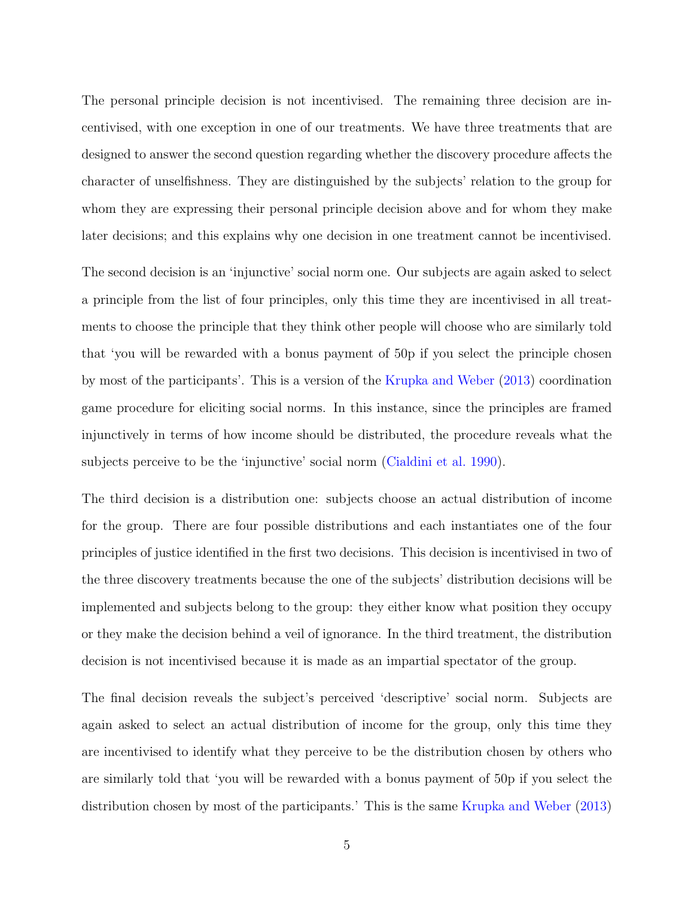The personal principle decision is not incentivised. The remaining three decision are incentivised, with one exception in one of our treatments. We have three treatments that are designed to answer the second question regarding whether the discovery procedure affects the character of unselfishness. They are distinguished by the subjects' relation to the group for whom they are expressing their personal principle decision above and for whom they make later decisions; and this explains why one decision in one treatment cannot be incentivised.

The second decision is an 'injunctive' social norm one. Our subjects are again asked to select a principle from the list of four principles, only this time they are incentivised in all treatments to choose the principle that they think other people will choose who are similarly told that 'you will be rewarded with a bonus payment of 50p if you select the principle chosen by most of the participants'. This is a version of the [Krupka and Weber](#page-44-3) [\(2013\)](#page-44-3) coordination game procedure for eliciting social norms. In this instance, since the principles are framed injunctively in terms of how income should be distributed, the procedure reveals what the subjects perceive to be the 'injunctive' social norm [\(Cialdini et al.](#page-42-7) [1990\)](#page-42-7).

The third decision is a distribution one: subjects choose an actual distribution of income for the group. There are four possible distributions and each instantiates one of the four principles of justice identified in the first two decisions. This decision is incentivised in two of the three discovery treatments because the one of the subjects' distribution decisions will be implemented and subjects belong to the group: they either know what position they occupy or they make the decision behind a veil of ignorance. In the third treatment, the distribution decision is not incentivised because it is made as an impartial spectator of the group.

The final decision reveals the subject's perceived 'descriptive' social norm. Subjects are again asked to select an actual distribution of income for the group, only this time they are incentivised to identify what they perceive to be the distribution chosen by others who are similarly told that 'you will be rewarded with a bonus payment of 50p if you select the distribution chosen by most of the participants.' This is the same [Krupka and Weber](#page-44-3) [\(2013\)](#page-44-3)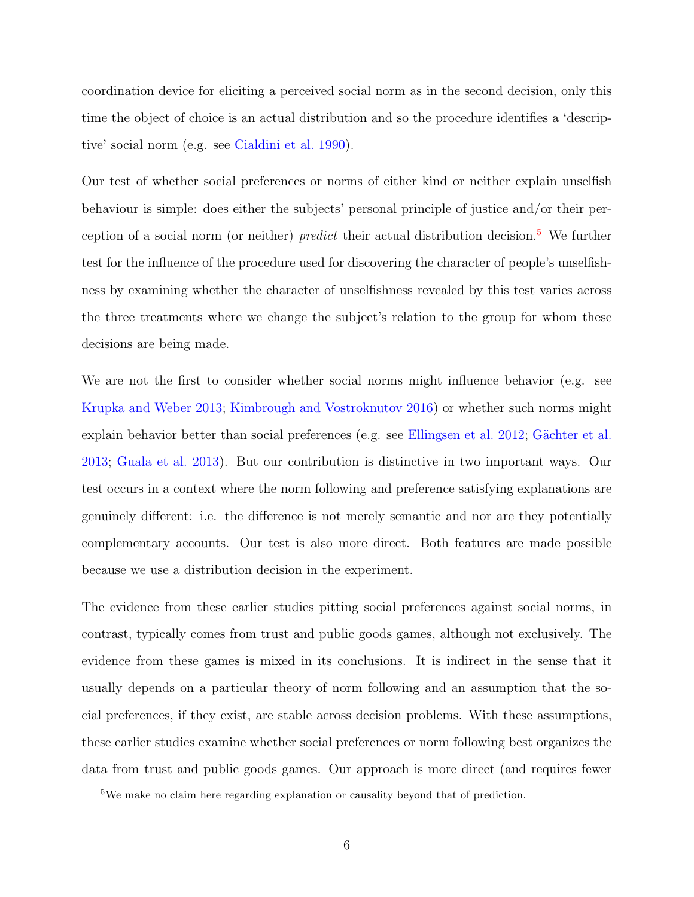coordination device for eliciting a perceived social norm as in the second decision, only this time the object of choice is an actual distribution and so the procedure identifies a 'descriptive' social norm (e.g. see [Cialdini et al.](#page-42-7) [1990\)](#page-42-7).

Our test of whether social preferences or norms of either kind or neither explain unselfish behaviour is simple: does either the subjects' personal principle of justice and/or their perception of a social norm (or neither) *predict* their actual distribution decision.<sup>[5](#page-6-0)</sup> We further test for the influence of the procedure used for discovering the character of people's unselfishness by examining whether the character of unselfishness revealed by this test varies across the three treatments where we change the subject's relation to the group for whom these decisions are being made.

We are not the first to consider whether social norms might influence behavior (e.g. see [Krupka and Weber](#page-44-3) [2013;](#page-44-3) [Kimbrough and Vostroknutov](#page-44-4) [2016\)](#page-44-4) or whether such norms might explain behavior better than social preferences (e.g. see [Ellingsen et al.](#page-43-4) [2012;](#page-43-4) Gächter et al. [2013;](#page-43-5) [Guala et al.](#page-44-5) [2013\)](#page-44-5). But our contribution is distinctive in two important ways. Our test occurs in a context where the norm following and preference satisfying explanations are genuinely different: i.e. the difference is not merely semantic and nor are they potentially complementary accounts. Our test is also more direct. Both features are made possible because we use a distribution decision in the experiment.

The evidence from these earlier studies pitting social preferences against social norms, in contrast, typically comes from trust and public goods games, although not exclusively. The evidence from these games is mixed in its conclusions. It is indirect in the sense that it usually depends on a particular theory of norm following and an assumption that the social preferences, if they exist, are stable across decision problems. With these assumptions, these earlier studies examine whether social preferences or norm following best organizes the data from trust and public goods games. Our approach is more direct (and requires fewer

<span id="page-6-0"></span><sup>5</sup>We make no claim here regarding explanation or causality beyond that of prediction.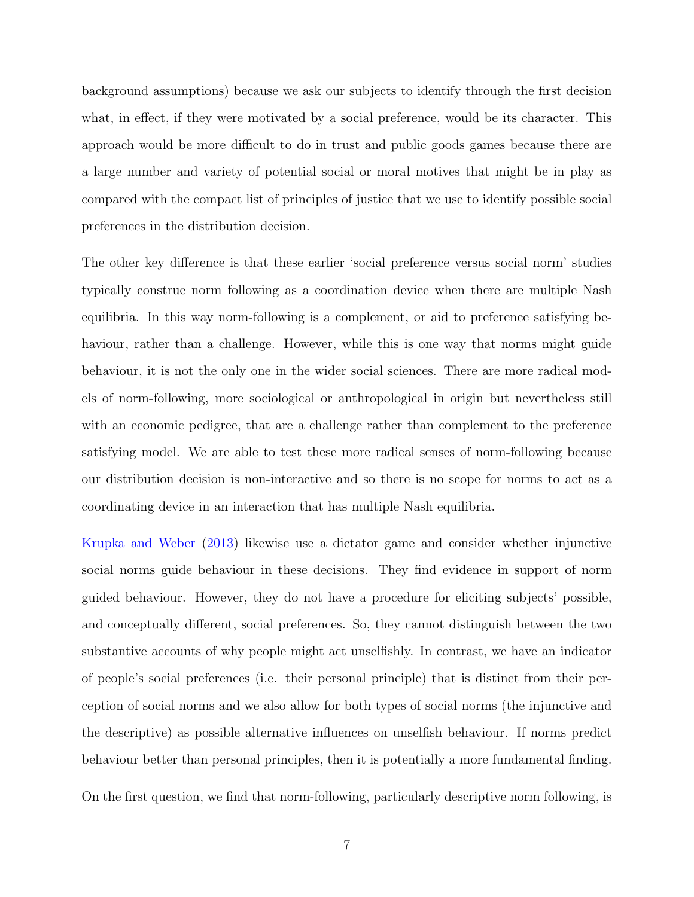background assumptions) because we ask our subjects to identify through the first decision what, in effect, if they were motivated by a social preference, would be its character. This approach would be more difficult to do in trust and public goods games because there are a large number and variety of potential social or moral motives that might be in play as compared with the compact list of principles of justice that we use to identify possible social preferences in the distribution decision.

The other key difference is that these earlier 'social preference versus social norm' studies typically construe norm following as a coordination device when there are multiple Nash equilibria. In this way norm-following is a complement, or aid to preference satisfying behaviour, rather than a challenge. However, while this is one way that norms might guide behaviour, it is not the only one in the wider social sciences. There are more radical models of norm-following, more sociological or anthropological in origin but nevertheless still with an economic pedigree, that are a challenge rather than complement to the preference satisfying model. We are able to test these more radical senses of norm-following because our distribution decision is non-interactive and so there is no scope for norms to act as a coordinating device in an interaction that has multiple Nash equilibria.

[Krupka and Weber](#page-44-3) [\(2013\)](#page-44-3) likewise use a dictator game and consider whether injunctive social norms guide behaviour in these decisions. They find evidence in support of norm guided behaviour. However, they do not have a procedure for eliciting subjects' possible, and conceptually different, social preferences. So, they cannot distinguish between the two substantive accounts of why people might act unselfishly. In contrast, we have an indicator of people's social preferences (i.e. their personal principle) that is distinct from their perception of social norms and we also allow for both types of social norms (the injunctive and the descriptive) as possible alternative influences on unselfish behaviour. If norms predict behaviour better than personal principles, then it is potentially a more fundamental finding. On the first question, we find that norm-following, particularly descriptive norm following, is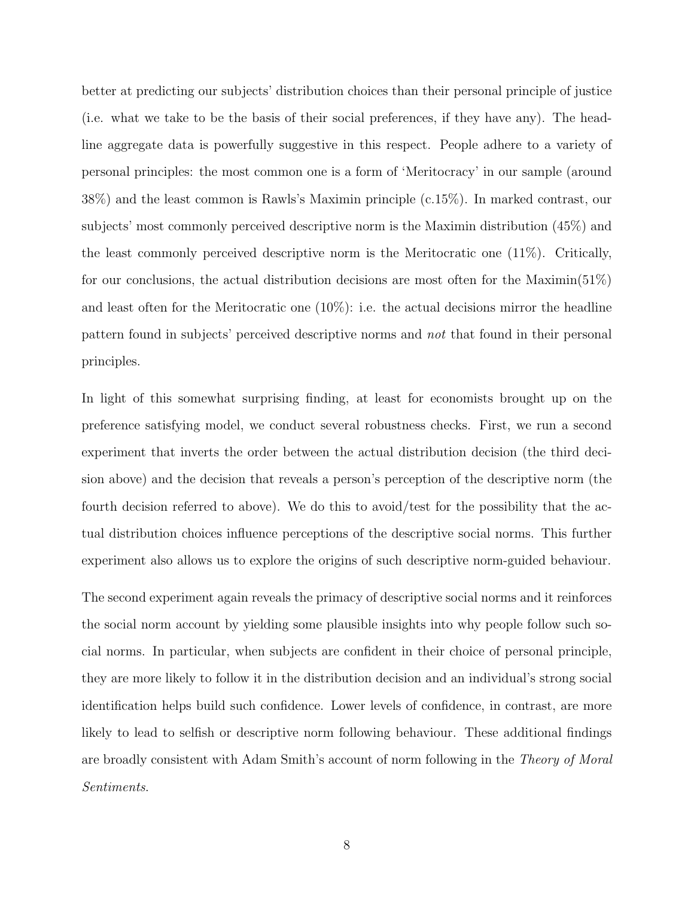better at predicting our subjects' distribution choices than their personal principle of justice (i.e. what we take to be the basis of their social preferences, if they have any). The headline aggregate data is powerfully suggestive in this respect. People adhere to a variety of personal principles: the most common one is a form of 'Meritocracy' in our sample (around 38%) and the least common is Rawls's Maximin principle (c.15%). In marked contrast, our subjects' most commonly perceived descriptive norm is the Maximin distribution (45%) and the least commonly perceived descriptive norm is the Meritocratic one (11%). Critically, for our conclusions, the actual distribution decisions are most often for the Maximin(51%) and least often for the Meritocratic one  $(10\%)$ : i.e. the actual decisions mirror the headline pattern found in subjects' perceived descriptive norms and not that found in their personal principles.

In light of this somewhat surprising finding, at least for economists brought up on the preference satisfying model, we conduct several robustness checks. First, we run a second experiment that inverts the order between the actual distribution decision (the third decision above) and the decision that reveals a person's perception of the descriptive norm (the fourth decision referred to above). We do this to avoid/test for the possibility that the actual distribution choices influence perceptions of the descriptive social norms. This further experiment also allows us to explore the origins of such descriptive norm-guided behaviour.

The second experiment again reveals the primacy of descriptive social norms and it reinforces the social norm account by yielding some plausible insights into why people follow such social norms. In particular, when subjects are confident in their choice of personal principle, they are more likely to follow it in the distribution decision and an individual's strong social identification helps build such confidence. Lower levels of confidence, in contrast, are more likely to lead to selfish or descriptive norm following behaviour. These additional findings are broadly consistent with Adam Smith's account of norm following in the Theory of Moral Sentiments.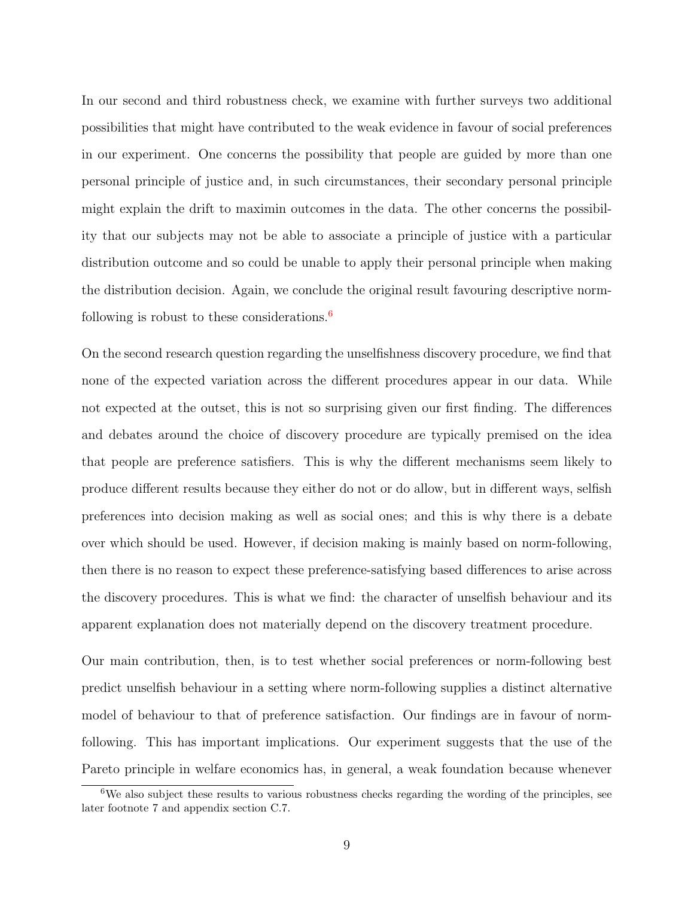In our second and third robustness check, we examine with further surveys two additional possibilities that might have contributed to the weak evidence in favour of social preferences in our experiment. One concerns the possibility that people are guided by more than one personal principle of justice and, in such circumstances, their secondary personal principle might explain the drift to maximin outcomes in the data. The other concerns the possibility that our subjects may not be able to associate a principle of justice with a particular distribution outcome and so could be unable to apply their personal principle when making the distribution decision. Again, we conclude the original result favouring descriptive normfollowing is robust to these considerations. $\frac{6}{ }$  $\frac{6}{ }$  $\frac{6}{ }$ 

On the second research question regarding the unselfishness discovery procedure, we find that none of the expected variation across the different procedures appear in our data. While not expected at the outset, this is not so surprising given our first finding. The differences and debates around the choice of discovery procedure are typically premised on the idea that people are preference satisfiers. This is why the different mechanisms seem likely to produce different results because they either do not or do allow, but in different ways, selfish preferences into decision making as well as social ones; and this is why there is a debate over which should be used. However, if decision making is mainly based on norm-following, then there is no reason to expect these preference-satisfying based differences to arise across the discovery procedures. This is what we find: the character of unselfish behaviour and its apparent explanation does not materially depend on the discovery treatment procedure.

Our main contribution, then, is to test whether social preferences or norm-following best predict unselfish behaviour in a setting where norm-following supplies a distinct alternative model of behaviour to that of preference satisfaction. Our findings are in favour of normfollowing. This has important implications. Our experiment suggests that the use of the Pareto principle in welfare economics has, in general, a weak foundation because whenever

<span id="page-9-0"></span><sup>&</sup>lt;sup>6</sup>We also subject these results to various robustness checks regarding the wording of the principles, see later footnote 7 and appendix section C.7.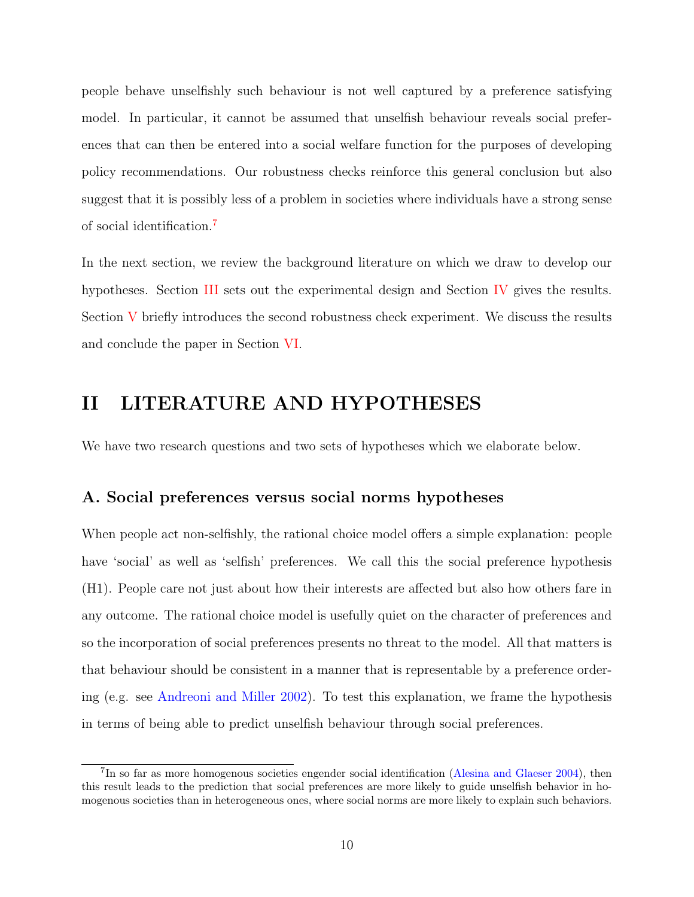people behave unselfishly such behaviour is not well captured by a preference satisfying model. In particular, it cannot be assumed that unselfish behaviour reveals social preferences that can then be entered into a social welfare function for the purposes of developing policy recommendations. Our robustness checks reinforce this general conclusion but also suggest that it is possibly less of a problem in societies where individuals have a strong sense of social identification.[7](#page-10-0)

In the next section, we review the background literature on which we draw to develop our hypotheses. Section [III](#page-20-0) sets out the experimental design and Section [IV](#page-24-0) gives the results. Section [V](#page-32-0) briefly introduces the second robustness check experiment. We discuss the results and conclude the paper in Section [VI.](#page-38-0)

## II LITERATURE AND HYPOTHESES

We have two research questions and two sets of hypotheses which we elaborate below.

### A. Social preferences versus social norms hypotheses

When people act non-selfishly, the rational choice model offers a simple explanation: people have 'social' as well as 'selfish' preferences. We call this the social preference hypothesis (H1). People care not just about how their interests are affected but also how others fare in any outcome. The rational choice model is usefully quiet on the character of preferences and so the incorporation of social preferences presents no threat to the model. All that matters is that behaviour should be consistent in a manner that is representable by a preference ordering (e.g. see [Andreoni and Miller](#page-42-8) [2002\)](#page-42-8). To test this explanation, we frame the hypothesis in terms of being able to predict unselfish behaviour through social preferences.

<span id="page-10-0"></span><sup>&</sup>lt;sup>7</sup>In so far as more homogenous societies engender social identification [\(Alesina and Glaeser](#page-42-9) [2004\)](#page-42-9), then this result leads to the prediction that social preferences are more likely to guide unselfish behavior in homogenous societies than in heterogeneous ones, where social norms are more likely to explain such behaviors.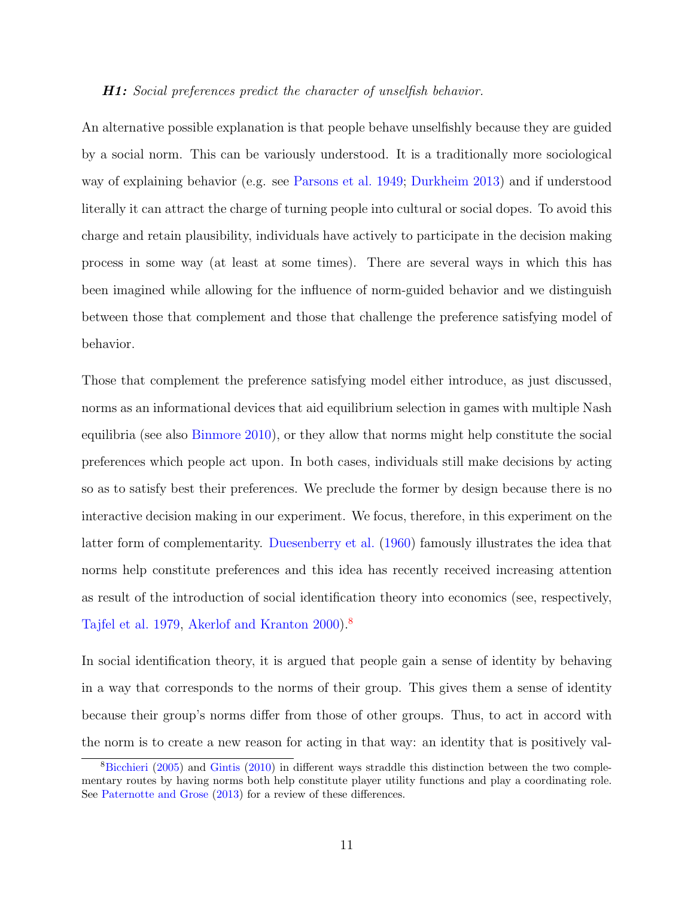#### **H1:** Social preferences predict the character of unselfish behavior.

An alternative possible explanation is that people behave unselfishly because they are guided by a social norm. This can be variously understood. It is a traditionally more sociological way of explaining behavior (e.g. see [Parsons et al.](#page-44-6) [1949;](#page-44-6) [Durkheim](#page-43-6) [2013\)](#page-43-6) and if understood literally it can attract the charge of turning people into cultural or social dopes. To avoid this charge and retain plausibility, individuals have actively to participate in the decision making process in some way (at least at some times). There are several ways in which this has been imagined while allowing for the influence of norm-guided behavior and we distinguish between those that complement and those that challenge the preference satisfying model of behavior.

Those that complement the preference satisfying model either introduce, as just discussed, norms as an informational devices that aid equilibrium selection in games with multiple Nash equilibria (see also [Binmore](#page-42-10) [2010\)](#page-42-10), or they allow that norms might help constitute the social preferences which people act upon. In both cases, individuals still make decisions by acting so as to satisfy best their preferences. We preclude the former by design because there is no interactive decision making in our experiment. We focus, therefore, in this experiment on the latter form of complementarity. [Duesenberry et al.](#page-43-7) [\(1960\)](#page-43-7) famously illustrates the idea that norms help constitute preferences and this idea has recently received increasing attention as result of the introduction of social identification theory into economics (see, respectively, [Tajfel et al.](#page-44-7) [1979,](#page-44-7) [Akerlof and Kranton](#page-42-11) [2000\)](#page-42-11).[8](#page-11-0)

In social identification theory, it is argued that people gain a sense of identity by behaving in a way that corresponds to the norms of their group. This gives them a sense of identity because their group's norms differ from those of other groups. Thus, to act in accord with the norm is to create a new reason for acting in that way: an identity that is positively val-

<span id="page-11-0"></span><sup>8</sup>[Bicchieri](#page-42-12) [\(2005\)](#page-42-12) and [Gintis](#page-43-8) [\(2010\)](#page-43-8) in different ways straddle this distinction between the two complementary routes by having norms both help constitute player utility functions and play a coordinating role. See [Paternotte and Grose](#page-44-8) [\(2013\)](#page-44-8) for a review of these differences.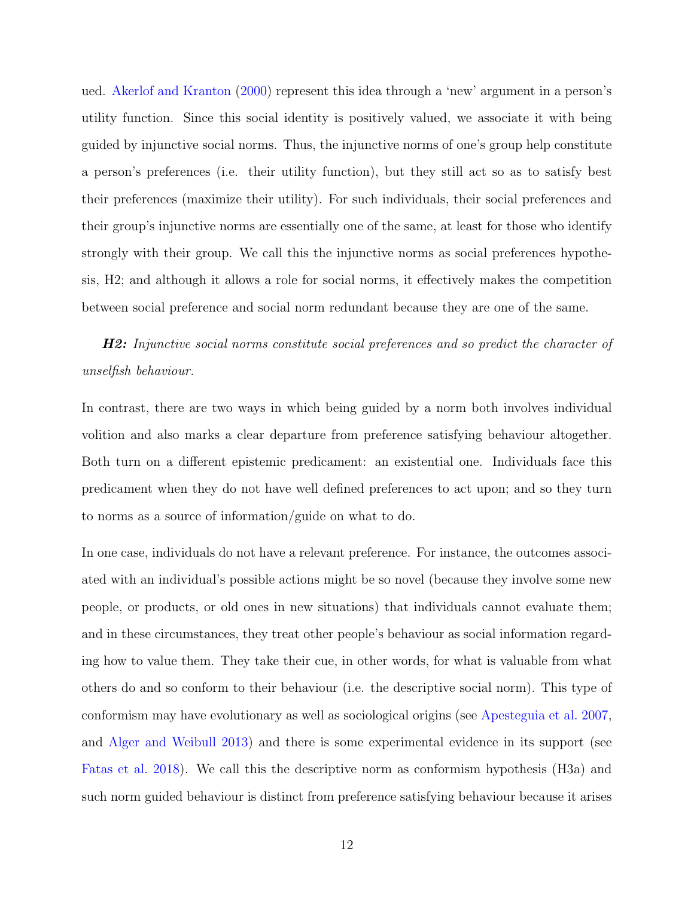ued. [Akerlof and Kranton](#page-42-11) [\(2000\)](#page-42-11) represent this idea through a 'new' argument in a person's utility function. Since this social identity is positively valued, we associate it with being guided by injunctive social norms. Thus, the injunctive norms of one's group help constitute a person's preferences (i.e. their utility function), but they still act so as to satisfy best their preferences (maximize their utility). For such individuals, their social preferences and their group's injunctive norms are essentially one of the same, at least for those who identify strongly with their group. We call this the injunctive norms as social preferences hypothesis, H2; and although it allows a role for social norms, it effectively makes the competition between social preference and social norm redundant because they are one of the same.

**H2:** Injunctive social norms constitute social preferences and so predict the character of unselfish behaviour.

In contrast, there are two ways in which being guided by a norm both involves individual volition and also marks a clear departure from preference satisfying behaviour altogether. Both turn on a different epistemic predicament: an existential one. Individuals face this predicament when they do not have well defined preferences to act upon; and so they turn to norms as a source of information/guide on what to do.

In one case, individuals do not have a relevant preference. For instance, the outcomes associated with an individual's possible actions might be so novel (because they involve some new people, or products, or old ones in new situations) that individuals cannot evaluate them; and in these circumstances, they treat other people's behaviour as social information regarding how to value them. They take their cue, in other words, for what is valuable from what others do and so conform to their behaviour (i.e. the descriptive social norm). This type of conformism may have evolutionary as well as sociological origins (see [Apesteguia et al.](#page-42-13) [2007,](#page-42-13) and [Alger and Weibull](#page-42-14) [2013\)](#page-42-14) and there is some experimental evidence in its support (see [Fatas et al.](#page-43-9) [2018\)](#page-43-9). We call this the descriptive norm as conformism hypothesis (H3a) and such norm guided behaviour is distinct from preference satisfying behaviour because it arises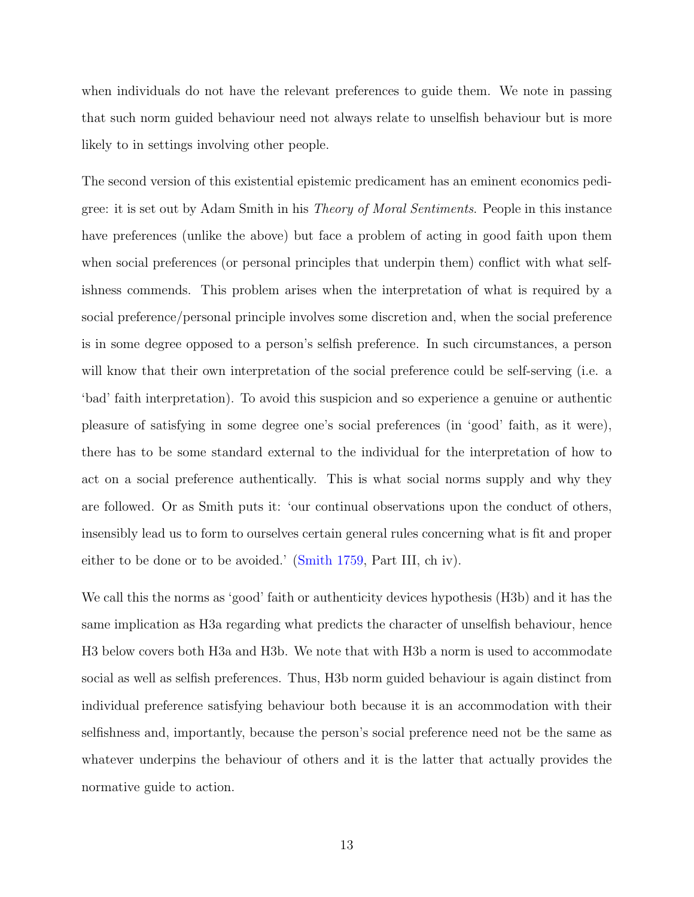when individuals do not have the relevant preferences to guide them. We note in passing that such norm guided behaviour need not always relate to unselfish behaviour but is more likely to in settings involving other people.

The second version of this existential epistemic predicament has an eminent economics pedigree: it is set out by Adam Smith in his Theory of Moral Sentiments. People in this instance have preferences (unlike the above) but face a problem of acting in good faith upon them when social preferences (or personal principles that underpin them) conflict with what selfishness commends. This problem arises when the interpretation of what is required by a social preference/personal principle involves some discretion and, when the social preference is in some degree opposed to a person's selfish preference. In such circumstances, a person will know that their own interpretation of the social preference could be self-serving (i.e. a 'bad' faith interpretation). To avoid this suspicion and so experience a genuine or authentic pleasure of satisfying in some degree one's social preferences (in 'good' faith, as it were), there has to be some standard external to the individual for the interpretation of how to act on a social preference authentically. This is what social norms supply and why they are followed. Or as Smith puts it: 'our continual observations upon the conduct of others, insensibly lead us to form to ourselves certain general rules concerning what is fit and proper either to be done or to be avoided.' [\(Smith](#page-44-9) [1759,](#page-44-9) Part III, ch iv).

We call this the norms as 'good' faith or authenticity devices hypothesis (H3b) and it has the same implication as H3a regarding what predicts the character of unselfish behaviour, hence H3 below covers both H3a and H3b. We note that with H3b a norm is used to accommodate social as well as selfish preferences. Thus, H3b norm guided behaviour is again distinct from individual preference satisfying behaviour both because it is an accommodation with their selfishness and, importantly, because the person's social preference need not be the same as whatever underpins the behaviour of others and it is the latter that actually provides the normative guide to action.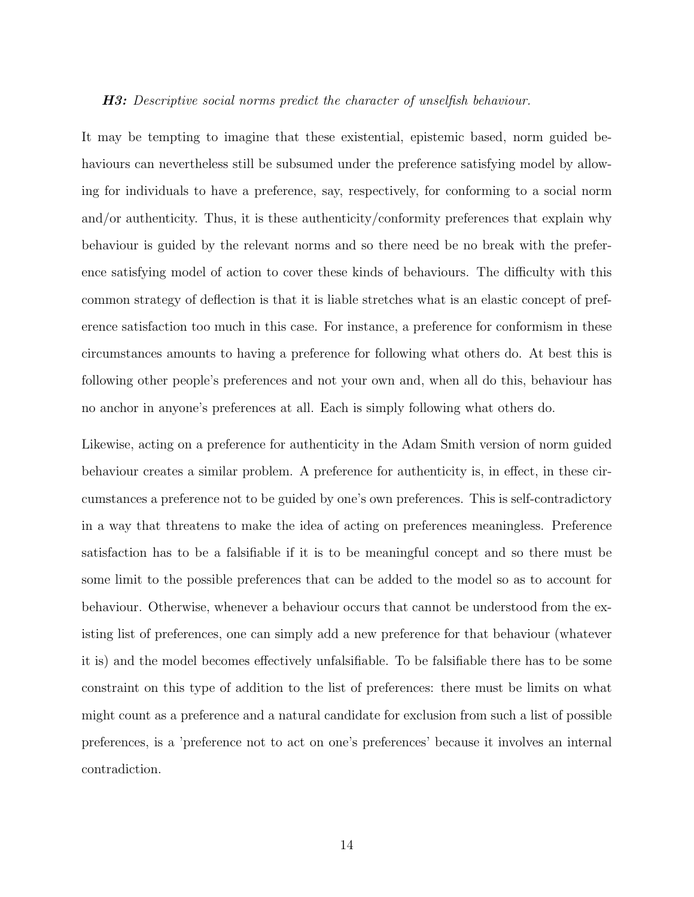#### H3: Descriptive social norms predict the character of unselfish behaviour.

It may be tempting to imagine that these existential, epistemic based, norm guided behaviours can nevertheless still be subsumed under the preference satisfying model by allowing for individuals to have a preference, say, respectively, for conforming to a social norm and/or authenticity. Thus, it is these authenticity/conformity preferences that explain why behaviour is guided by the relevant norms and so there need be no break with the preference satisfying model of action to cover these kinds of behaviours. The difficulty with this common strategy of deflection is that it is liable stretches what is an elastic concept of preference satisfaction too much in this case. For instance, a preference for conformism in these circumstances amounts to having a preference for following what others do. At best this is following other people's preferences and not your own and, when all do this, behaviour has no anchor in anyone's preferences at all. Each is simply following what others do.

Likewise, acting on a preference for authenticity in the Adam Smith version of norm guided behaviour creates a similar problem. A preference for authenticity is, in effect, in these circumstances a preference not to be guided by one's own preferences. This is self-contradictory in a way that threatens to make the idea of acting on preferences meaningless. Preference satisfaction has to be a falsifiable if it is to be meaningful concept and so there must be some limit to the possible preferences that can be added to the model so as to account for behaviour. Otherwise, whenever a behaviour occurs that cannot be understood from the existing list of preferences, one can simply add a new preference for that behaviour (whatever it is) and the model becomes effectively unfalsifiable. To be falsifiable there has to be some constraint on this type of addition to the list of preferences: there must be limits on what might count as a preference and a natural candidate for exclusion from such a list of possible preferences, is a 'preference not to act on one's preferences' because it involves an internal contradiction.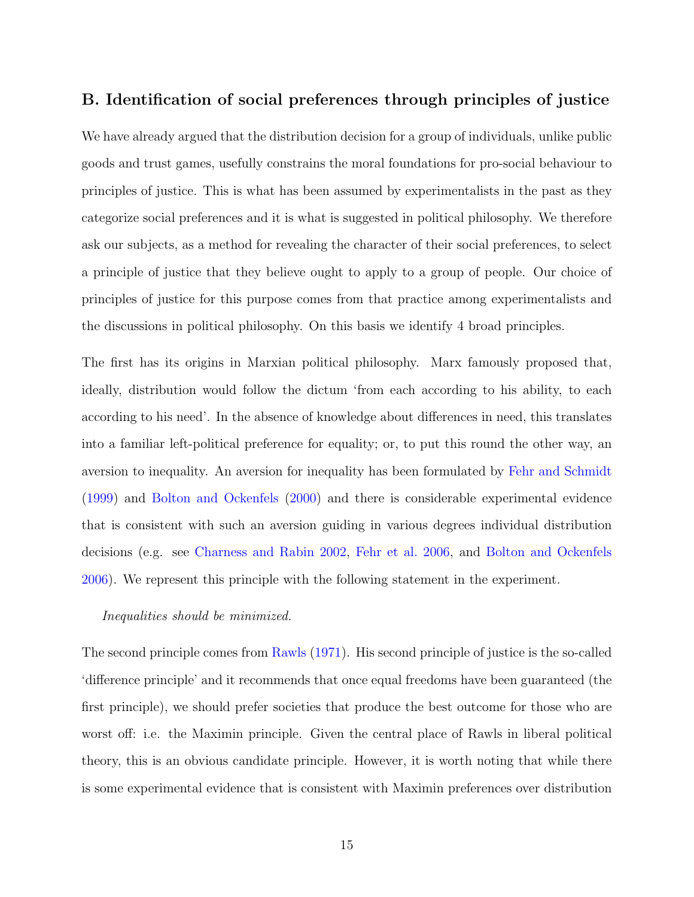### B. Identification of social preferences through principles of justice

We have already argued that the distribution decision for a group of individuals, unlike public goods and trust games, usefully constrains the moral foundations for pro-social behaviour to principles of justice. This is what has been assumed by experimentalists in the past as they categorize social preferences and it is what is suggested in political philosophy. We therefore ask our subjects, as a method for revealing the character of their social preferences, to select a principle of justice that they believe ought to apply to a group of people. Our choice of principles of justice for this purpose comes from that practice among experimentalists and the discussions in political philosophy. On this basis we identify 4 broad principles.

The first has its origins in Marxian political philosophy. Marx famously proposed that, ideally, distribution would follow the dictum 'from each according to his ability, to each according to his need'. In the absence of knowledge about differences in need, this translates into a familiar left-political preference for equality; or, to put this round the other way, an aversion to inequality. An aversion for inequality has been formulated by [Fehr and Schmidt](#page-43-10) [\(1999\)](#page-43-10) and [Bolton and Ockenfels](#page-42-15) [\(2000\)](#page-42-15) and there is considerable experimental evidence that is consistent with such an aversion guiding in various degrees individual distribution decisions (e.g. see [Charness and Rabin](#page-42-2) [2002,](#page-42-2) [Fehr et al.](#page-43-1) [2006,](#page-43-1) and [Bolton and Ockenfels](#page-42-3) [2006\)](#page-42-3). We represent this principle with the following statement in the experiment.

### Inequalities should be minimized.

The second principle comes from [Rawls](#page-44-2) [\(1971\)](#page-44-2). His second principle of justice is the so-called 'difference principle' and it recommends that once equal freedoms have been guaranteed (the first principle), we should prefer societies that produce the best outcome for those who are worst off: i.e. the Maximin principle. Given the central place of Rawls in liberal political theory, this is an obvious candidate principle. However, it is worth noting that while there is some experimental evidence that is consistent with Maximin preferences over distribution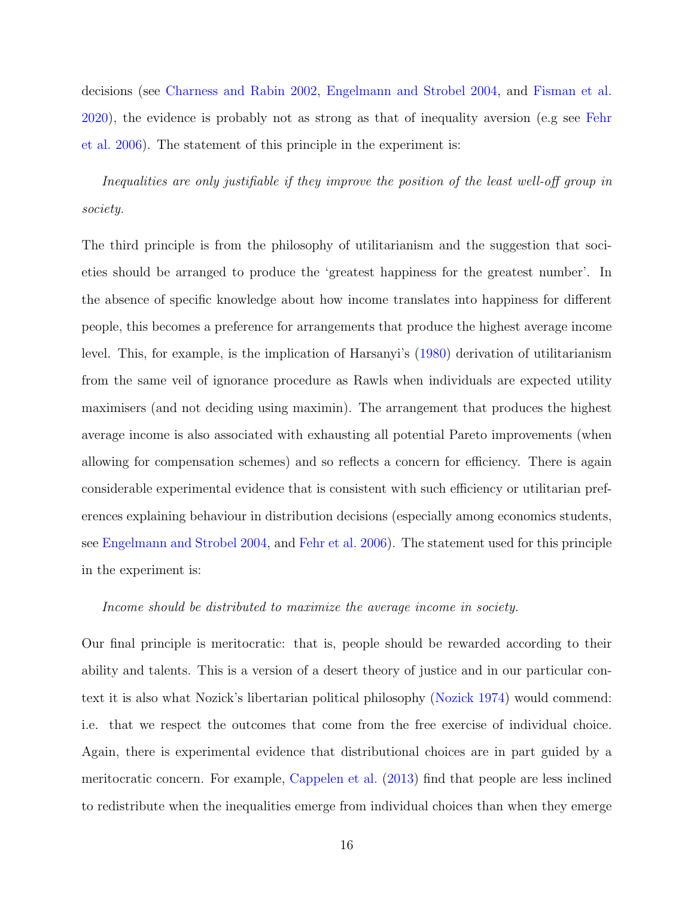decisions (see [Charness and Rabin](#page-42-2) [2002,](#page-42-2) [Engelmann and Strobel](#page-43-11) [2004,](#page-43-11) and [Fisman et al.](#page-43-12) [2020\)](#page-43-12), the evidence is probably not as strong as that of inequality aversion (e.g see [Fehr](#page-43-1) [et al.](#page-43-1) [2006\)](#page-43-1). The statement of this principle in the experiment is:

Inequalities are only justifiable if they improve the position of the least well-off group in society.

The third principle is from the philosophy of utilitarianism and the suggestion that societies should be arranged to produce the 'greatest happiness for the greatest number'. In the absence of specific knowledge about how income translates into happiness for different people, this becomes a preference for arrangements that produce the highest average income level. This, for example, is the implication of Harsanyi's [\(1980\)](#page-44-10) derivation of utilitarianism from the same veil of ignorance procedure as Rawls when individuals are expected utility maximisers (and not deciding using maximin). The arrangement that produces the highest average income is also associated with exhausting all potential Pareto improvements (when allowing for compensation schemes) and so reflects a concern for efficiency. There is again considerable experimental evidence that is consistent with such efficiency or utilitarian preferences explaining behaviour in distribution decisions (especially among economics students, see [Engelmann and Strobel](#page-43-11) [2004,](#page-43-11) and [Fehr et al.](#page-43-1) [2006\)](#page-43-1). The statement used for this principle in the experiment is:

#### Income should be distributed to maximize the average income in society.

Our final principle is meritocratic: that is, people should be rewarded according to their ability and talents. This is a version of a desert theory of justice and in our particular context it is also what Nozick's libertarian political philosophy [\(Nozick](#page-44-11) [1974\)](#page-44-11) would commend: i.e. that we respect the outcomes that come from the free exercise of individual choice. Again, there is experimental evidence that distributional choices are in part guided by a meritocratic concern. For example, [Cappelen et al.](#page-42-4) [\(2013\)](#page-42-4) find that people are less inclined to redistribute when the inequalities emerge from individual choices than when they emerge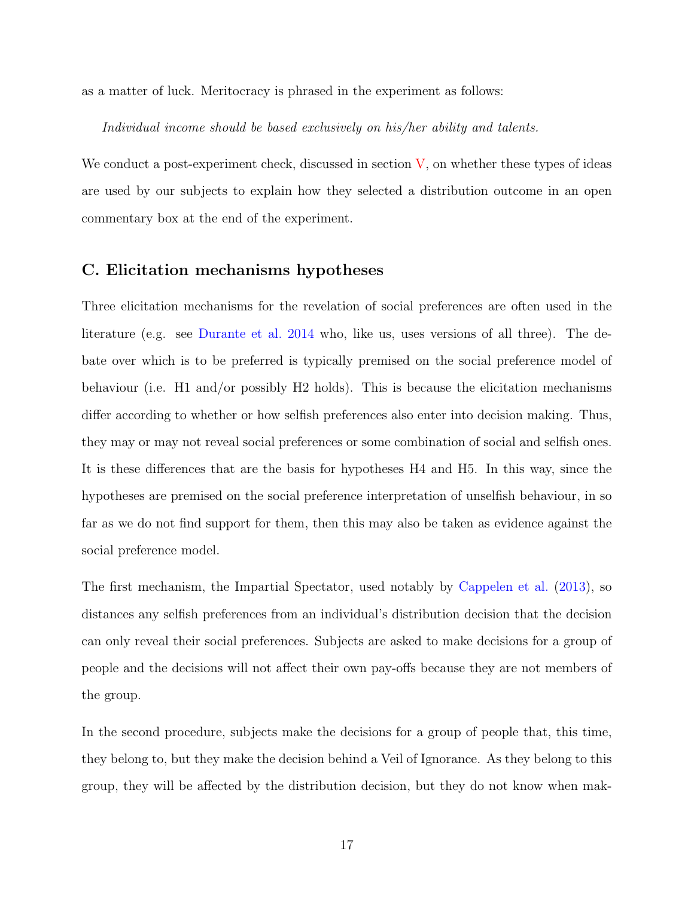as a matter of luck. Meritocracy is phrased in the experiment as follows:

Individual income should be based exclusively on his/her ability and talents.

We conduct a post-experiment check, discussed in section  $V$ , on whether these types of ideas are used by our subjects to explain how they selected a distribution outcome in an open commentary box at the end of the experiment.

### C. Elicitation mechanisms hypotheses

Three elicitation mechanisms for the revelation of social preferences are often used in the literature (e.g. see [Durante et al.](#page-43-3) [2014](#page-43-3) who, like us, uses versions of all three). The debate over which is to be preferred is typically premised on the social preference model of behaviour (i.e. H1 and/or possibly H2 holds). This is because the elicitation mechanisms differ according to whether or how selfish preferences also enter into decision making. Thus, they may or may not reveal social preferences or some combination of social and selfish ones. It is these differences that are the basis for hypotheses H4 and H5. In this way, since the hypotheses are premised on the social preference interpretation of unselfish behaviour, in so far as we do not find support for them, then this may also be taken as evidence against the social preference model.

The first mechanism, the Impartial Spectator, used notably by [Cappelen et al.](#page-42-4) [\(2013\)](#page-42-4), so distances any selfish preferences from an individual's distribution decision that the decision can only reveal their social preferences. Subjects are asked to make decisions for a group of people and the decisions will not affect their own pay-offs because they are not members of the group.

In the second procedure, subjects make the decisions for a group of people that, this time, they belong to, but they make the decision behind a Veil of Ignorance. As they belong to this group, they will be affected by the distribution decision, but they do not know when mak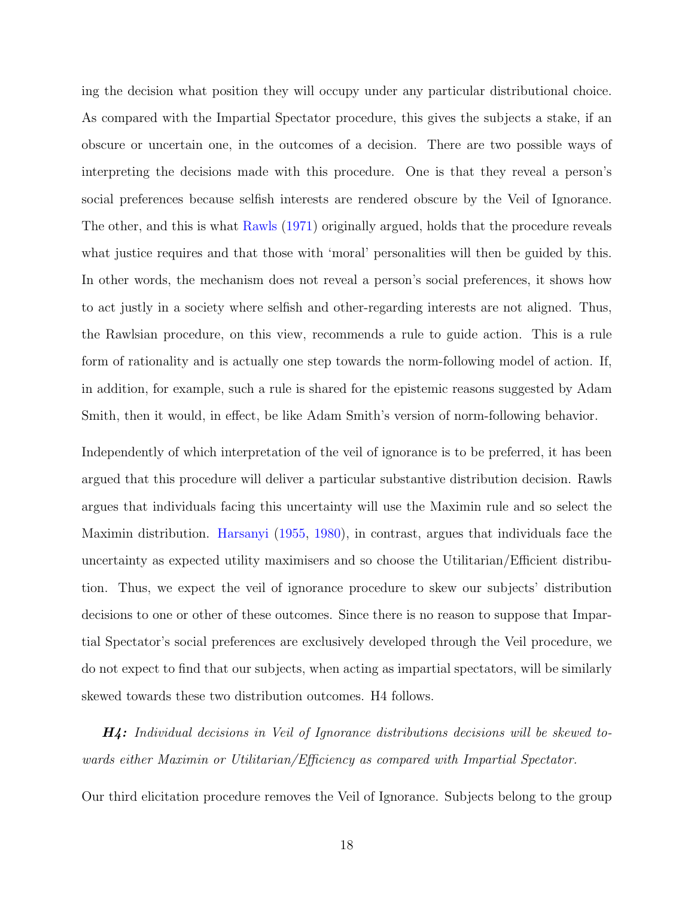ing the decision what position they will occupy under any particular distributional choice. As compared with the Impartial Spectator procedure, this gives the subjects a stake, if an obscure or uncertain one, in the outcomes of a decision. There are two possible ways of interpreting the decisions made with this procedure. One is that they reveal a person's social preferences because selfish interests are rendered obscure by the Veil of Ignorance. The other, and this is what [Rawls](#page-44-2) [\(1971\)](#page-44-2) originally argued, holds that the procedure reveals what justice requires and that those with 'moral' personalities will then be guided by this. In other words, the mechanism does not reveal a person's social preferences, it shows how to act justly in a society where selfish and other-regarding interests are not aligned. Thus, the Rawlsian procedure, on this view, recommends a rule to guide action. This is a rule form of rationality and is actually one step towards the norm-following model of action. If, in addition, for example, such a rule is shared for the epistemic reasons suggested by Adam Smith, then it would, in effect, be like Adam Smith's version of norm-following behavior.

Independently of which interpretation of the veil of ignorance is to be preferred, it has been argued that this procedure will deliver a particular substantive distribution decision. Rawls argues that individuals facing this uncertainty will use the Maximin rule and so select the Maximin distribution. [Harsanyi](#page-44-12) [\(1955,](#page-44-12) [1980\)](#page-44-10), in contrast, argues that individuals face the uncertainty as expected utility maximisers and so choose the Utilitarian/Efficient distribution. Thus, we expect the veil of ignorance procedure to skew our subjects' distribution decisions to one or other of these outcomes. Since there is no reason to suppose that Impartial Spectator's social preferences are exclusively developed through the Veil procedure, we do not expect to find that our subjects, when acting as impartial spectators, will be similarly skewed towards these two distribution outcomes. H4 follows.

H4: Individual decisions in Veil of Ignorance distributions decisions will be skewed towards either Maximin or Utilitarian/Efficiency as compared with Impartial Spectator.

Our third elicitation procedure removes the Veil of Ignorance. Subjects belong to the group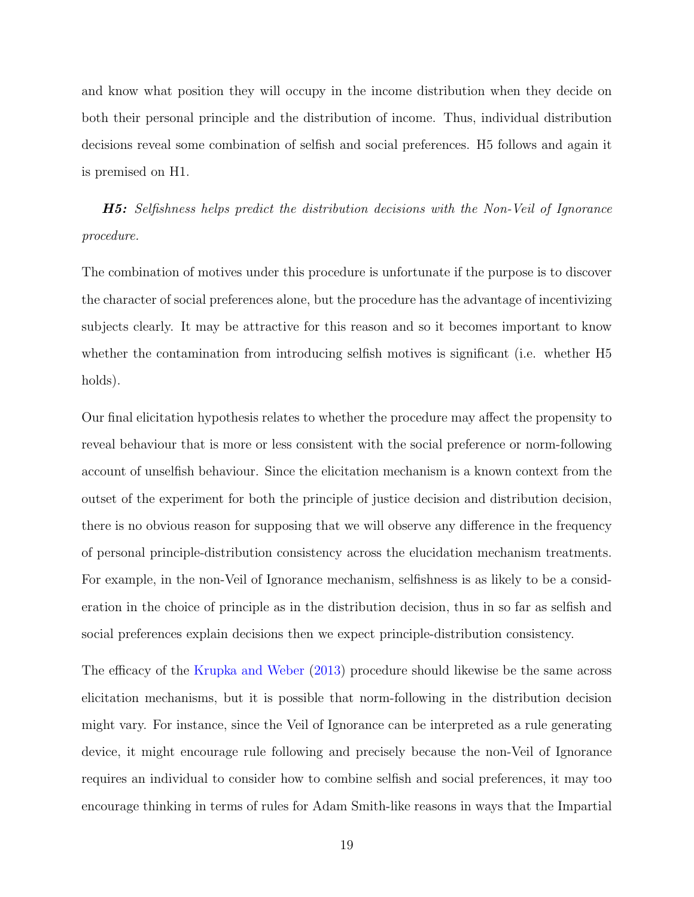and know what position they will occupy in the income distribution when they decide on both their personal principle and the distribution of income. Thus, individual distribution decisions reveal some combination of selfish and social preferences. H5 follows and again it is premised on H1.

H5: Selfishness helps predict the distribution decisions with the Non-Veil of Ignorance procedure.

The combination of motives under this procedure is unfortunate if the purpose is to discover the character of social preferences alone, but the procedure has the advantage of incentivizing subjects clearly. It may be attractive for this reason and so it becomes important to know whether the contamination from introducing selfish motives is significant (i.e. whether H5 holds).

Our final elicitation hypothesis relates to whether the procedure may affect the propensity to reveal behaviour that is more or less consistent with the social preference or norm-following account of unselfish behaviour. Since the elicitation mechanism is a known context from the outset of the experiment for both the principle of justice decision and distribution decision, there is no obvious reason for supposing that we will observe any difference in the frequency of personal principle-distribution consistency across the elucidation mechanism treatments. For example, in the non-Veil of Ignorance mechanism, selfishness is as likely to be a consideration in the choice of principle as in the distribution decision, thus in so far as selfish and social preferences explain decisions then we expect principle-distribution consistency.

The efficacy of the [Krupka and Weber](#page-44-3) [\(2013\)](#page-44-3) procedure should likewise be the same across elicitation mechanisms, but it is possible that norm-following in the distribution decision might vary. For instance, since the Veil of Ignorance can be interpreted as a rule generating device, it might encourage rule following and precisely because the non-Veil of Ignorance requires an individual to consider how to combine selfish and social preferences, it may too encourage thinking in terms of rules for Adam Smith-like reasons in ways that the Impartial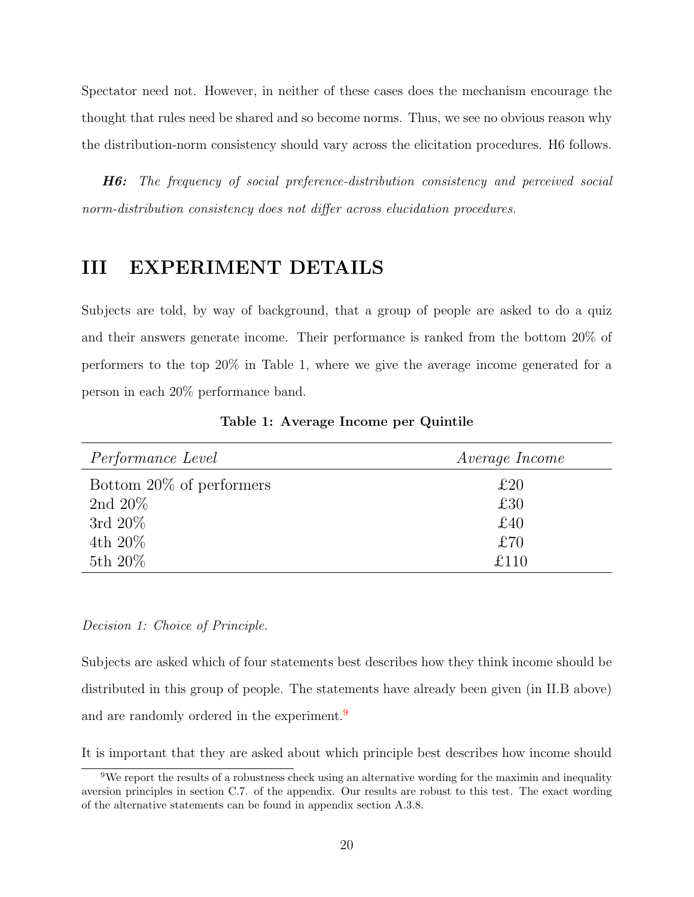Spectator need not. However, in neither of these cases does the mechanism encourage the thought that rules need be shared and so become norms. Thus, we see no obvious reason why the distribution-norm consistency should vary across the elicitation procedures. H6 follows.

<span id="page-20-0"></span>H6: The frequency of social preference-distribution consistency and perceived social norm-distribution consistency does not differ across elucidation procedures.

# III EXPERIMENT DETAILS

Subjects are told, by way of background, that a group of people are asked to do a quiz and their answers generate income. Their performance is ranked from the bottom 20% of performers to the top 20% in Table 1, where we give the average income generated for a person in each 20% performance band.

| <i>Performance Level</i> | <i>Average Income</i> |
|--------------------------|-----------------------|
| Bottom 20% of performers | £20                   |
| 2nd $20\%$               | £30                   |
| 3rd $20\%$               | £40                   |
| 4th 20%                  | £70                   |
| 5th 20\%                 | £110                  |

Table 1: Average Income per Quintile

### Decision 1: Choice of Principle.

Subjects are asked which of four statements best describes how they think income should be distributed in this group of people. The statements have already been given (in II.B above) and are randomly ordered in the experiment.<sup>[9](#page-20-1)</sup>

It is important that they are asked about which principle best describes how income should

<span id="page-20-1"></span><sup>9</sup>We report the results of a robustness check using an alternative wording for the maximin and inequality aversion principles in section C.7. of the appendix. Our results are robust to this test. The exact wording of the alternative statements can be found in appendix section A.3.8.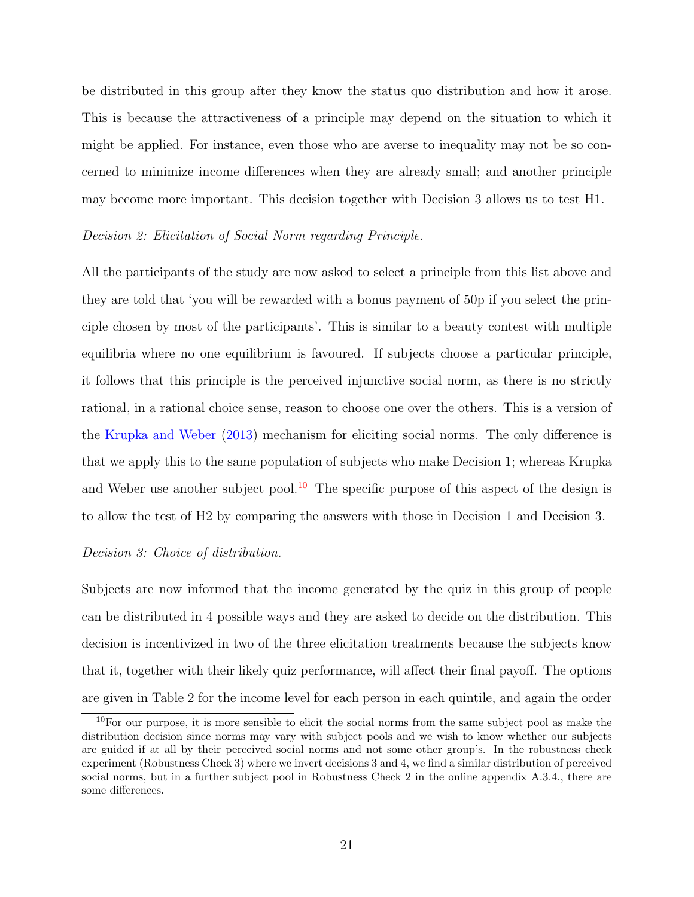be distributed in this group after they know the status quo distribution and how it arose. This is because the attractiveness of a principle may depend on the situation to which it might be applied. For instance, even those who are averse to inequality may not be so concerned to minimize income differences when they are already small; and another principle may become more important. This decision together with Decision 3 allows us to test H1.

### Decision 2: Elicitation of Social Norm regarding Principle.

All the participants of the study are now asked to select a principle from this list above and they are told that 'you will be rewarded with a bonus payment of 50p if you select the principle chosen by most of the participants'. This is similar to a beauty contest with multiple equilibria where no one equilibrium is favoured. If subjects choose a particular principle, it follows that this principle is the perceived injunctive social norm, as there is no strictly rational, in a rational choice sense, reason to choose one over the others. This is a version of the [Krupka and Weber](#page-44-3) [\(2013\)](#page-44-3) mechanism for eliciting social norms. The only difference is that we apply this to the same population of subjects who make Decision 1; whereas Krupka and Weber use another subject pool.<sup>[10](#page-21-0)</sup> The specific purpose of this aspect of the design is to allow the test of H2 by comparing the answers with those in Decision 1 and Decision 3.

#### Decision 3: Choice of distribution.

Subjects are now informed that the income generated by the quiz in this group of people can be distributed in 4 possible ways and they are asked to decide on the distribution. This decision is incentivized in two of the three elicitation treatments because the subjects know that it, together with their likely quiz performance, will affect their final payoff. The options are given in Table 2 for the income level for each person in each quintile, and again the order

<span id="page-21-0"></span><sup>10</sup>For our purpose, it is more sensible to elicit the social norms from the same subject pool as make the distribution decision since norms may vary with subject pools and we wish to know whether our subjects are guided if at all by their perceived social norms and not some other group's. In the robustness check experiment (Robustness Check 3) where we invert decisions 3 and 4, we find a similar distribution of perceived social norms, but in a further subject pool in Robustness Check 2 in the online appendix A.3.4., there are some differences.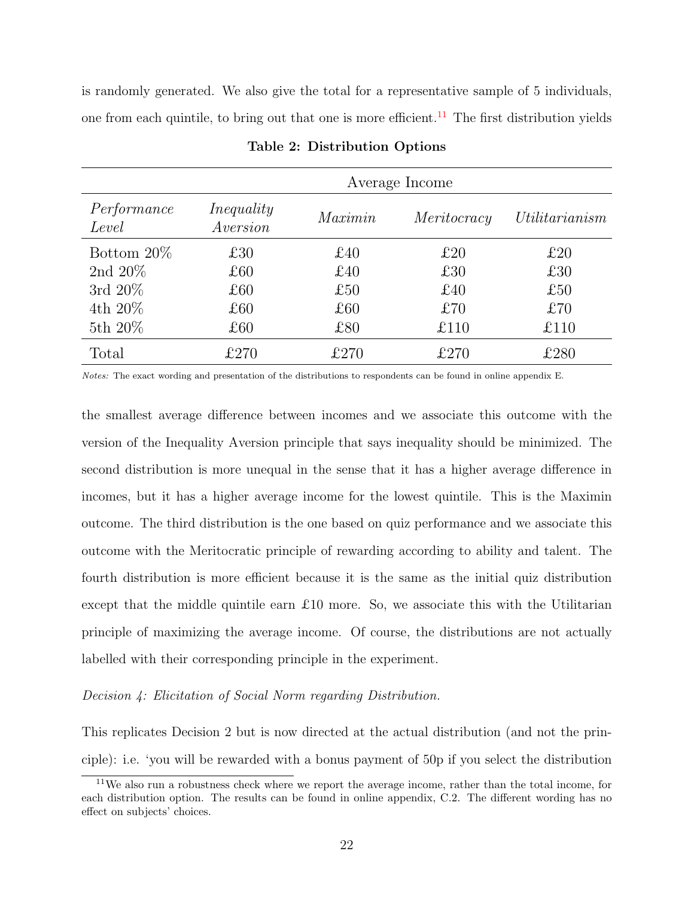is randomly generated. We also give the total for a representative sample of 5 individuals, one from each quintile, to bring out that one is more efficient.<sup>[11](#page-22-0)</sup> The first distribution yields

|                      | Average Income         |         |             |                |  |
|----------------------|------------------------|---------|-------------|----------------|--|
| Performance<br>Level | Inequality<br>Aversion | Maximin | Meritocracy | Utilitarianism |  |
| Bottom $20\%$        | £30                    | £40     | £20         | £20            |  |
| 2nd $20\%$           | £60                    | £40     | £30         | £30            |  |
| 3rd $20\%$           | £60                    | £50     | £40         | £50            |  |
| 4th $20\%$           | $\pounds 60$           | £60     | £70         | £70            |  |
| 5th $20\%$           | £60                    | £80     | £110        | £110           |  |
| Total                | £270                   | f270    | £270        | £280           |  |

Table 2: Distribution Options

Notes: The exact wording and presentation of the distributions to respondents can be found in online appendix E.

the smallest average difference between incomes and we associate this outcome with the version of the Inequality Aversion principle that says inequality should be minimized. The second distribution is more unequal in the sense that it has a higher average difference in incomes, but it has a higher average income for the lowest quintile. This is the Maximin outcome. The third distribution is the one based on quiz performance and we associate this outcome with the Meritocratic principle of rewarding according to ability and talent. The fourth distribution is more efficient because it is the same as the initial quiz distribution except that the middle quintile earn  $\pounds 10$  more. So, we associate this with the Utilitarian principle of maximizing the average income. Of course, the distributions are not actually labelled with their corresponding principle in the experiment.

### Decision 4: Elicitation of Social Norm regarding Distribution.

This replicates Decision 2 but is now directed at the actual distribution (and not the principle): i.e. 'you will be rewarded with a bonus payment of 50p if you select the distribution

<span id="page-22-0"></span><sup>11</sup>We also run a robustness check where we report the average income, rather than the total income, for each distribution option. The results can be found in online appendix, C.2. The different wording has no effect on subjects' choices.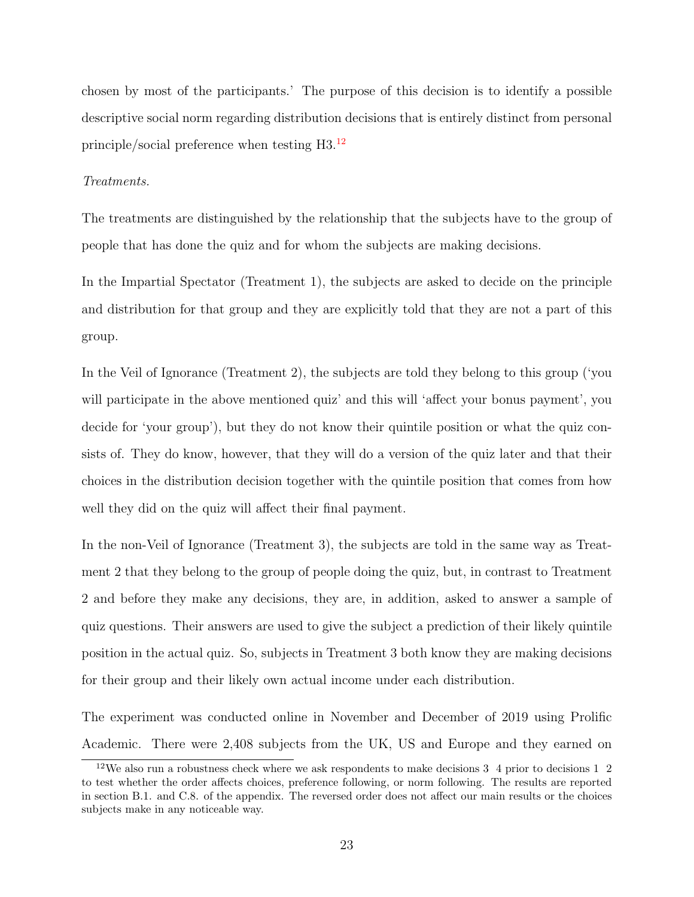chosen by most of the participants.' The purpose of this decision is to identify a possible descriptive social norm regarding distribution decisions that is entirely distinct from personal principle/social preference when testing H3.[12](#page-23-0)

### Treatments.

The treatments are distinguished by the relationship that the subjects have to the group of people that has done the quiz and for whom the subjects are making decisions.

In the Impartial Spectator (Treatment 1), the subjects are asked to decide on the principle and distribution for that group and they are explicitly told that they are not a part of this group.

In the Veil of Ignorance (Treatment 2), the subjects are told they belong to this group ('you will participate in the above mentioned quiz' and this will 'affect your bonus payment', you decide for 'your group'), but they do not know their quintile position or what the quiz consists of. They do know, however, that they will do a version of the quiz later and that their choices in the distribution decision together with the quintile position that comes from how well they did on the quiz will affect their final payment.

In the non-Veil of Ignorance (Treatment 3), the subjects are told in the same way as Treatment 2 that they belong to the group of people doing the quiz, but, in contrast to Treatment 2 and before they make any decisions, they are, in addition, asked to answer a sample of quiz questions. Their answers are used to give the subject a prediction of their likely quintile position in the actual quiz. So, subjects in Treatment 3 both know they are making decisions for their group and their likely own actual income under each distribution.

The experiment was conducted online in November and December of 2019 using Prolific Academic. There were 2,408 subjects from the UK, US and Europe and they earned on

<span id="page-23-0"></span><sup>&</sup>lt;sup>12</sup>We also run a robustness check where we ask respondents to make decisions 3 4 prior to decisions 1 2 to test whether the order affects choices, preference following, or norm following. The results are reported in section B.1. and C.8. of the appendix. The reversed order does not affect our main results or the choices subjects make in any noticeable way.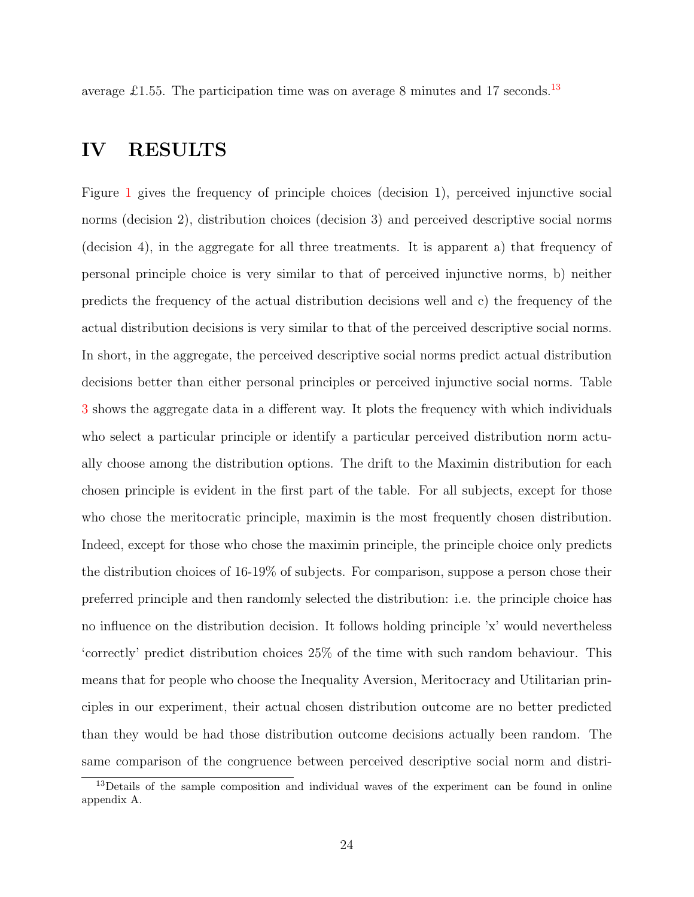<span id="page-24-0"></span>average £1.55. The participation time was on average 8 minutes and 17 seconds.<sup>[13](#page-24-1)</sup>

## IV RESULTS

Figure [1](#page-25-0) gives the frequency of principle choices (decision 1), perceived injunctive social norms (decision 2), distribution choices (decision 3) and perceived descriptive social norms (decision 4), in the aggregate for all three treatments. It is apparent a) that frequency of personal principle choice is very similar to that of perceived injunctive norms, b) neither predicts the frequency of the actual distribution decisions well and c) the frequency of the actual distribution decisions is very similar to that of the perceived descriptive social norms. In short, in the aggregate, the perceived descriptive social norms predict actual distribution decisions better than either personal principles or perceived injunctive social norms. Table [3](#page-26-0) shows the aggregate data in a different way. It plots the frequency with which individuals who select a particular principle or identify a particular perceived distribution norm actually choose among the distribution options. The drift to the Maximin distribution for each chosen principle is evident in the first part of the table. For all subjects, except for those who chose the meritocratic principle, maximin is the most frequently chosen distribution. Indeed, except for those who chose the maximin principle, the principle choice only predicts the distribution choices of 16-19% of subjects. For comparison, suppose a person chose their preferred principle and then randomly selected the distribution: i.e. the principle choice has no influence on the distribution decision. It follows holding principle 'x' would nevertheless 'correctly' predict distribution choices 25% of the time with such random behaviour. This means that for people who choose the Inequality Aversion, Meritocracy and Utilitarian principles in our experiment, their actual chosen distribution outcome are no better predicted than they would be had those distribution outcome decisions actually been random. The same comparison of the congruence between perceived descriptive social norm and distri-

<span id="page-24-1"></span><sup>&</sup>lt;sup>13</sup>Details of the sample composition and individual waves of the experiment can be found in online appendix A.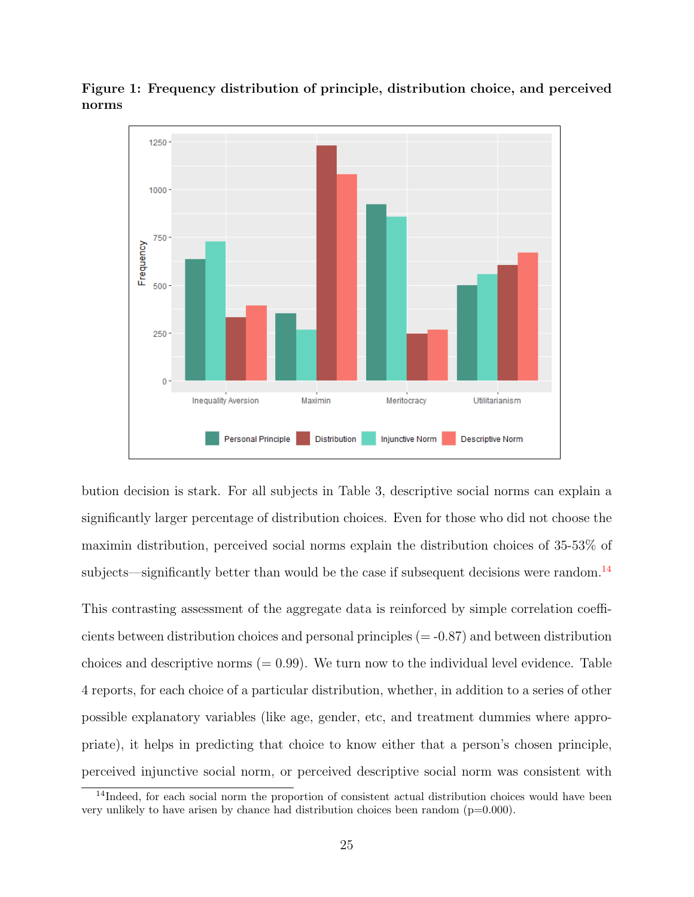

<span id="page-25-0"></span>Figure 1: Frequency distribution of principle, distribution choice, and perceived norms

bution decision is stark. For all subjects in Table 3, descriptive social norms can explain a significantly larger percentage of distribution choices. Even for those who did not choose the maximin distribution, perceived social norms explain the distribution choices of 35-53% of subjects—significantly better than would be the case if subsequent decisions were random.<sup>[14](#page-25-1)</sup>

This contrasting assessment of the aggregate data is reinforced by simple correlation coefficients between distribution choices and personal principles  $(=0.87)$  and between distribution choices and descriptive norms  $(= 0.99)$ . We turn now to the individual level evidence. Table 4 reports, for each choice of a particular distribution, whether, in addition to a series of other possible explanatory variables (like age, gender, etc, and treatment dummies where appropriate), it helps in predicting that choice to know either that a person's chosen principle, perceived injunctive social norm, or perceived descriptive social norm was consistent with

<span id="page-25-1"></span><sup>&</sup>lt;sup>14</sup>Indeed, for each social norm the proportion of consistent actual distribution choices would have been very unlikely to have arisen by chance had distribution choices been random (p=0.000).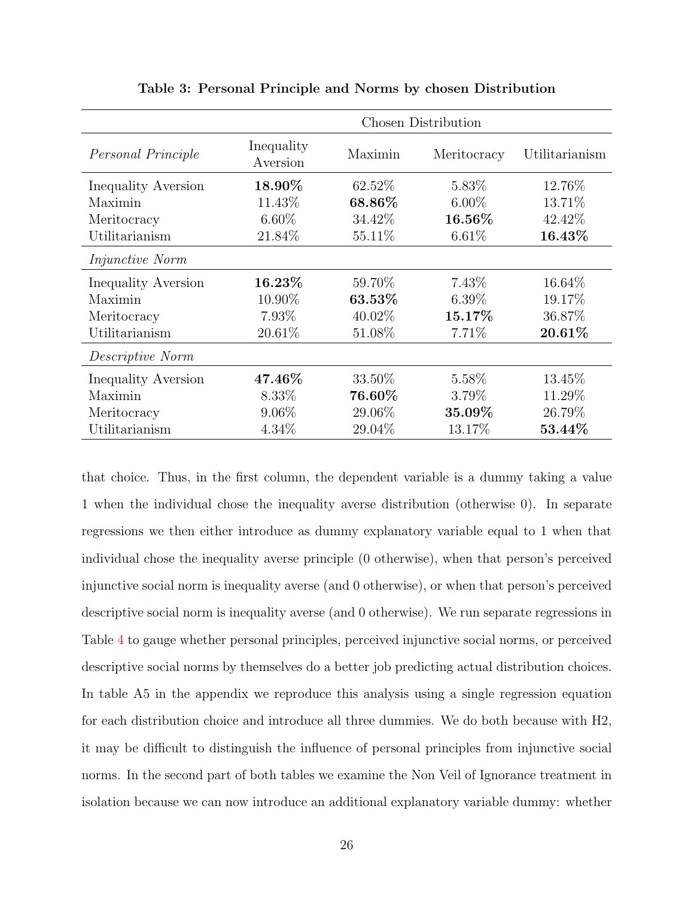<span id="page-26-0"></span>

|                            | <b>Chosen Distribution</b> |         |             |                |  |
|----------------------------|----------------------------|---------|-------------|----------------|--|
| Personal Principle         | Inequality<br>Aversion     | Maximin | Meritocracy | Utilitarianism |  |
| Inequality Aversion        | 18.90%                     | 62.52%  | 5.83%       | 12.76%         |  |
| Maximin                    | 11.43%                     | 68.86%  | $6.00\%$    | 13.71%         |  |
| Meritocracy                | $6.60\%$                   | 34.42\% | 16.56%      | 42.42%         |  |
| Utilitarianism             | 21.84%                     | 55.11\% | $6.61\%$    | 16.43%         |  |
| <i>Injunctive Norm</i>     |                            |         |             |                |  |
| Inequality Aversion        | $16.23\%$                  | 59.70%  | 7.43\%      | 16.64\%        |  |
| Maximin                    | 10.90%                     | 63.53%  | $6.39\%$    | 19.17%         |  |
| Meritocracy                | 7.93\%                     | 40.02\% | 15.17%      | 36.87%         |  |
| Utilitarianism             | 20.61%                     | 51.08\% | 7.71%       | 20.61%         |  |
| Descriptive Norm           |                            |         |             |                |  |
| <b>Inequality Aversion</b> | 47.46\%                    | 33.50\% | 5.58%       | 13.45\%        |  |
| Maximin                    | 8.33\%                     | 76.60%  | 3.79%       | 11.29%         |  |
| Meritocracy                | $9.06\%$                   | 29.06\% | 35.09%      | 26.79%         |  |
| Utilitarianism             | $4.34\%$                   | 29.04\% | 13.17%      | 53.44%         |  |

Table 3: Personal Principle and Norms by chosen Distribution

that choice. Thus, in the first column, the dependent variable is a dummy taking a value 1 when the individual chose the inequality averse distribution (otherwise 0). In separate regressions we then either introduce as dummy explanatory variable equal to 1 when that individual chose the inequality averse principle (0 otherwise), when that person's perceived injunctive social norm is inequality averse (and 0 otherwise), or when that person's perceived descriptive social norm is inequality averse (and 0 otherwise). We run separate regressions in Table [4](#page-27-0) to gauge whether personal principles, perceived injunctive social norms, or perceived descriptive social norms by themselves do a better job predicting actual distribution choices. In table A5 in the appendix we reproduce this analysis using a single regression equation for each distribution choice and introduce all three dummies. We do both because with H2, it may be difficult to distinguish the influence of personal principles from injunctive social norms. In the second part of both tables we examine the Non Veil of Ignorance treatment in isolation because we can now introduce an additional explanatory variable dummy: whether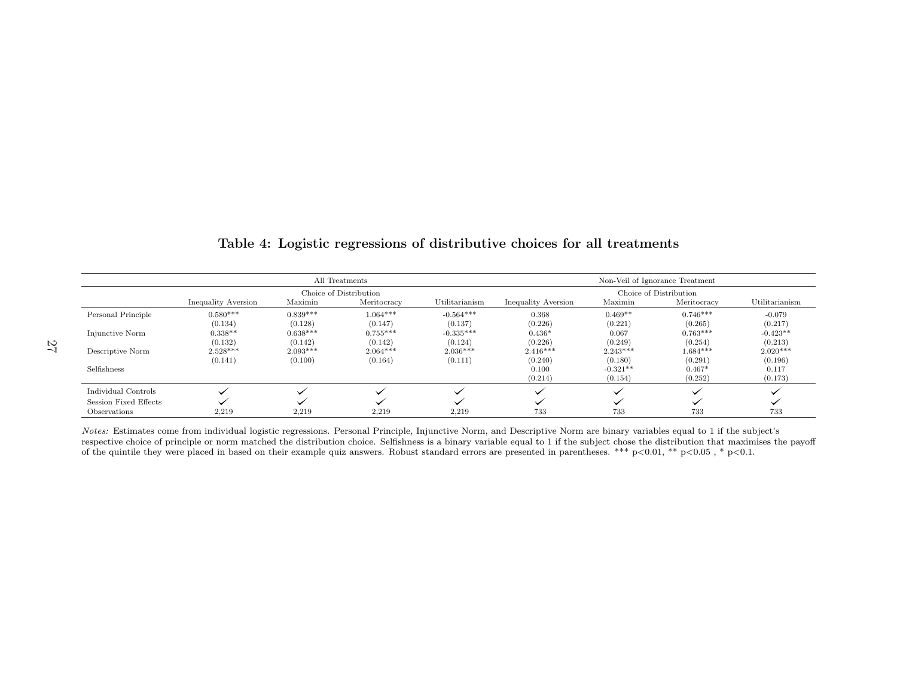|                       | All Treatments<br>Non-Veil of Ignorance Treatment |                        |             |                        |                     |            |             |                |
|-----------------------|---------------------------------------------------|------------------------|-------------|------------------------|---------------------|------------|-------------|----------------|
|                       |                                                   | Choice of Distribution |             | Choice of Distribution |                     |            |             |                |
|                       | Inequality Aversion                               | Maximin                | Meritocracy | Utilitarianism         | Inequality Aversion | Maximin    | Meritocracy | Utilitarianism |
| Personal Principle    | $0.580***$                                        | $0.839***$             | $1.064***$  | $-0.564***$            | 0.368               | $0.469**$  | $0.746***$  | $-0.079$       |
|                       | (0.134)                                           | (0.128)                | (0.147)     | (0.137)                | (0.226)             | (0.221)    | (0.265)     | (0.217)        |
| Injunctive Norm       | $0.338**$                                         | $0.638***$             | $0.755***$  | $-0.335***$            | $0.436*$            | 0.067      | $0.763***$  | $-0.423**$     |
|                       | (0.132)                                           | (0.142)                | (0.142)     | (0.124)                | (0.226)             | (0.249)    | (0.254)     | (0.213)        |
| Descriptive Norm      | $2.528***$                                        | $2.093***$             | $2.064***$  | $2.036***$             | $2.416***$          | $2.243***$ | $1.684***$  | $2.020***$     |
|                       | (0.141)                                           | (0.100)                | (0.164)     | (0.111)                | (0.240)             | (0.180)    | (0.291)     | (0.196)        |
| Selfishness           |                                                   |                        |             |                        | 0.100               | $-0.321**$ | $0.467*$    | 0.117          |
|                       |                                                   |                        |             |                        | (0.214)             | (0.154)    | (0.252)     | (0.173)        |
| Individual Controls   |                                                   |                        |             |                        |                     |            |             |                |
| Session Fixed Effects |                                                   |                        |             |                        |                     |            |             |                |
| Observations          | 2,219                                             | 2,219                  | 2,219       | 2,219                  | 733                 | 733        | 733         | 733            |

### Table 4: Logistic regressions of distributive choices for all treatments

<span id="page-27-0"></span>Notes: Estimates come from individual logistic regressions. Personal Principle, Injunctive Norm, and Descriptive Norm are binary variables equal to 1 if the subject's respective choice of principle or norm matched the distribution choice. Selfishness is <sup>a</sup> binary variable equal to 1 if the subject chose the distribution that maximises the payoffof the quintile they were <sup>p</sup>laced in based on their example quiz answers. Robust standard errors are presented in parentheses. \*\*\* <sup>p</sup><sup>&</sup>lt;0.01, \*\* <sup>p</sup><sup>&</sup>lt;0.05 , \* <sup>p</sup><0.1.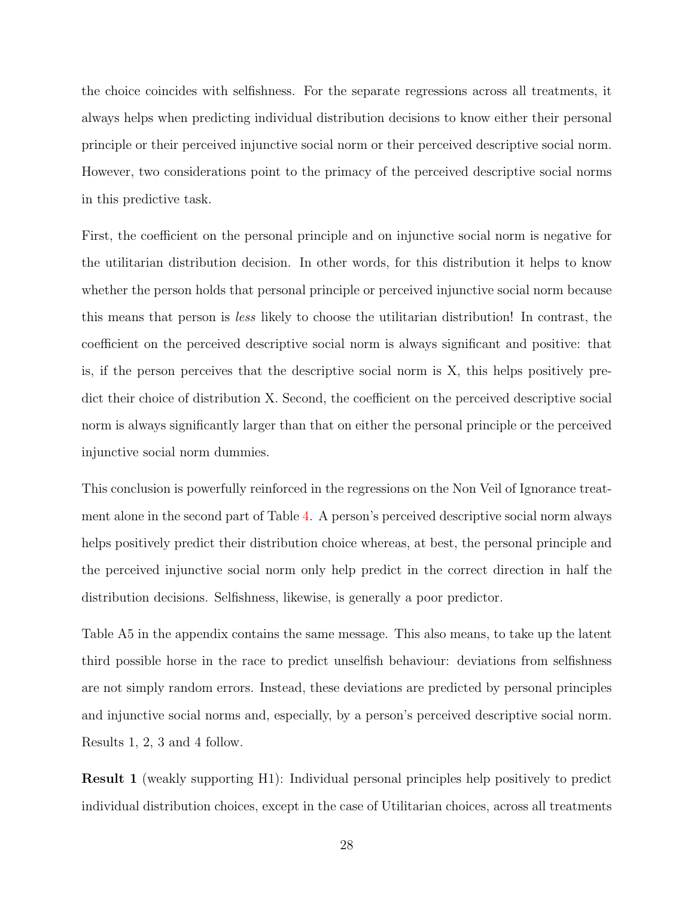the choice coincides with selfishness. For the separate regressions across all treatments, it always helps when predicting individual distribution decisions to know either their personal principle or their perceived injunctive social norm or their perceived descriptive social norm. However, two considerations point to the primacy of the perceived descriptive social norms in this predictive task.

First, the coefficient on the personal principle and on injunctive social norm is negative for the utilitarian distribution decision. In other words, for this distribution it helps to know whether the person holds that personal principle or perceived injunctive social norm because this means that person is less likely to choose the utilitarian distribution! In contrast, the coefficient on the perceived descriptive social norm is always significant and positive: that is, if the person perceives that the descriptive social norm is X, this helps positively predict their choice of distribution X. Second, the coefficient on the perceived descriptive social norm is always significantly larger than that on either the personal principle or the perceived injunctive social norm dummies.

This conclusion is powerfully reinforced in the regressions on the Non Veil of Ignorance treatment alone in the second part of Table [4.](#page-27-0) A person's perceived descriptive social norm always helps positively predict their distribution choice whereas, at best, the personal principle and the perceived injunctive social norm only help predict in the correct direction in half the distribution decisions. Selfishness, likewise, is generally a poor predictor.

Table A5 in the appendix contains the same message. This also means, to take up the latent third possible horse in the race to predict unselfish behaviour: deviations from selfishness are not simply random errors. Instead, these deviations are predicted by personal principles and injunctive social norms and, especially, by a person's perceived descriptive social norm. Results 1, 2, 3 and 4 follow.

Result 1 (weakly supporting H1): Individual personal principles help positively to predict individual distribution choices, except in the case of Utilitarian choices, across all treatments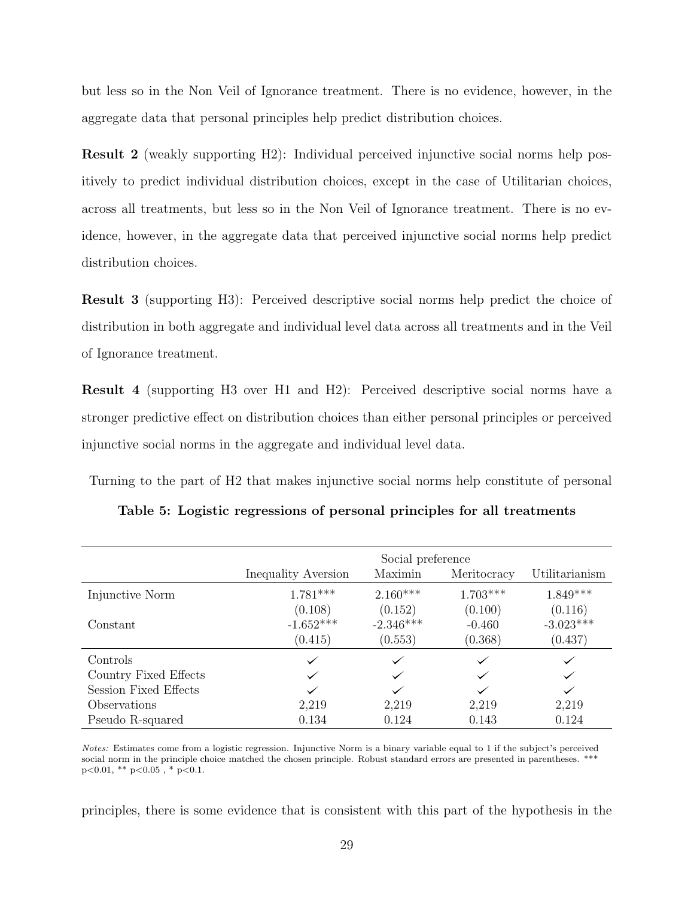but less so in the Non Veil of Ignorance treatment. There is no evidence, however, in the aggregate data that personal principles help predict distribution choices.

Result 2 (weakly supporting H2): Individual perceived injunctive social norms help positively to predict individual distribution choices, except in the case of Utilitarian choices, across all treatments, but less so in the Non Veil of Ignorance treatment. There is no evidence, however, in the aggregate data that perceived injunctive social norms help predict distribution choices.

Result 3 (supporting H3): Perceived descriptive social norms help predict the choice of distribution in both aggregate and individual level data across all treatments and in the Veil of Ignorance treatment.

Result 4 (supporting H3 over H1 and H2): Perceived descriptive social norms have a stronger predictive effect on distribution choices than either personal principles or perceived injunctive social norms in the aggregate and individual level data.

<span id="page-29-0"></span>Turning to the part of H2 that makes injunctive social norms help constitute of personal

|                       | Social preference   |             |             |                |
|-----------------------|---------------------|-------------|-------------|----------------|
|                       | Inequality Aversion | Maximin     | Meritocracy | Utilitarianism |
| Injunctive Norm       | $1.781***$          | $2.160***$  | $1.703***$  | $1.849***$     |
|                       | (0.108)             | (0.152)     | (0.100)     | (0.116)        |
| Constant              | $-1.652***$         | $-2.346***$ | $-0.460$    | $-3.023***$    |
|                       | (0.415)             | (0.553)     | (0.368)     | (0.437)        |
| Controls              | $\checkmark$        |             |             |                |
| Country Fixed Effects | $\checkmark$        |             |             |                |
| Session Fixed Effects |                     |             |             |                |
| Observations          | 2,219               | 2,219       | 2,219       | 2,219          |
| Pseudo R-squared      | 0.134               | 0.124       | 0.143       | 0.124          |

Table 5: Logistic regressions of personal principles for all treatments

Notes: Estimates come from a logistic regression. Injunctive Norm is a binary variable equal to 1 if the subject's perceived social norm in the principle choice matched the chosen principle. Robust standard errors are presented in parentheses. \*  $p<0.01$ , \*\*  $p<0.05$ , \*  $p<0.1$ .

principles, there is some evidence that is consistent with this part of the hypothesis in the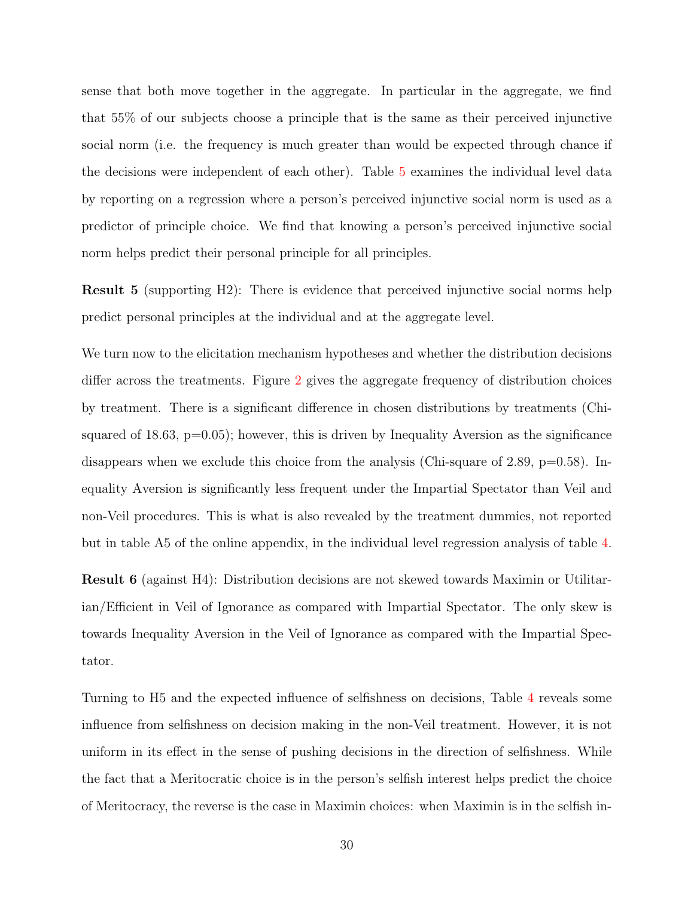sense that both move together in the aggregate. In particular in the aggregate, we find that 55% of our subjects choose a principle that is the same as their perceived injunctive social norm (i.e. the frequency is much greater than would be expected through chance if the decisions were independent of each other). Table [5](#page-29-0) examines the individual level data by reporting on a regression where a person's perceived injunctive social norm is used as a predictor of principle choice. We find that knowing a person's perceived injunctive social norm helps predict their personal principle for all principles.

Result 5 (supporting H2): There is evidence that perceived injunctive social norms help predict personal principles at the individual and at the aggregate level.

We turn now to the elicitation mechanism hypotheses and whether the distribution decisions differ across the treatments. Figure [2](#page-31-0) gives the aggregate frequency of distribution choices by treatment. There is a significant difference in chosen distributions by treatments (Chisquared of 18.63,  $p=0.05$ ; however, this is driven by Inequality Aversion as the significance disappears when we exclude this choice from the analysis (Chi-square of 2.89,  $p=0.58$ ). Inequality Aversion is significantly less frequent under the Impartial Spectator than Veil and non-Veil procedures. This is what is also revealed by the treatment dummies, not reported but in table A5 of the online appendix, in the individual level regression analysis of table [4.](#page-27-0)

Result 6 (against H4): Distribution decisions are not skewed towards Maximin or Utilitarian/Efficient in Veil of Ignorance as compared with Impartial Spectator. The only skew is towards Inequality Aversion in the Veil of Ignorance as compared with the Impartial Spectator.

Turning to H5 and the expected influence of selfishness on decisions, Table [4](#page-27-0) reveals some influence from selfishness on decision making in the non-Veil treatment. However, it is not uniform in its effect in the sense of pushing decisions in the direction of selfishness. While the fact that a Meritocratic choice is in the person's selfish interest helps predict the choice of Meritocracy, the reverse is the case in Maximin choices: when Maximin is in the selfish in-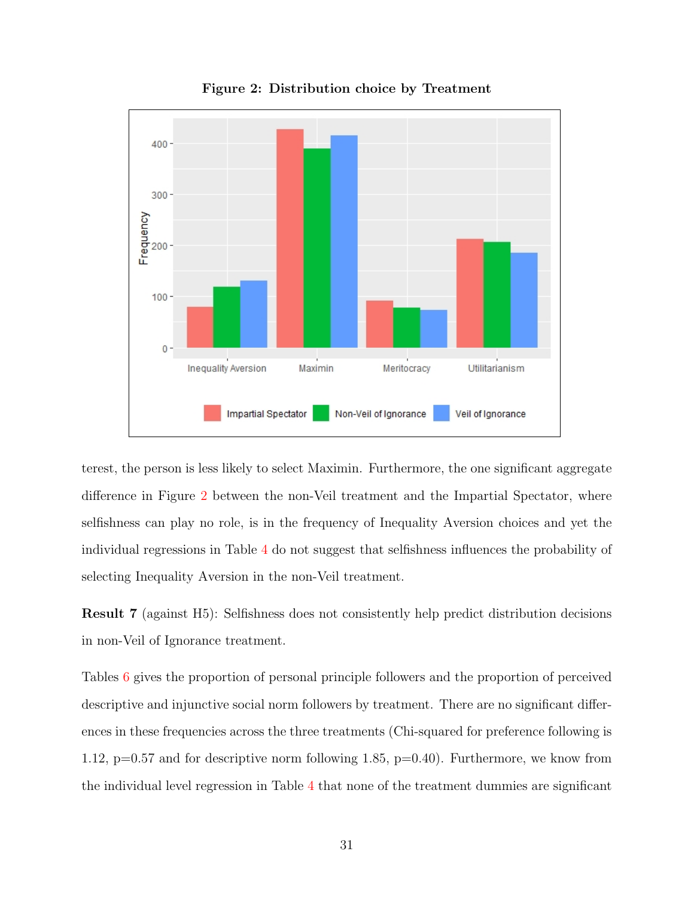<span id="page-31-0"></span>

Figure 2: Distribution choice by Treatment

terest, the person is less likely to select Maximin. Furthermore, the one significant aggregate difference in Figure [2](#page-31-0) between the non-Veil treatment and the Impartial Spectator, where selfishness can play no role, is in the frequency of Inequality Aversion choices and yet the individual regressions in Table [4](#page-27-0) do not suggest that selfishness influences the probability of selecting Inequality Aversion in the non-Veil treatment.

Result 7 (against H5): Selfishness does not consistently help predict distribution decisions in non-Veil of Ignorance treatment.

Tables [6](#page-32-1) gives the proportion of personal principle followers and the proportion of perceived descriptive and injunctive social norm followers by treatment. There are no significant differences in these frequencies across the three treatments (Chi-squared for preference following is 1.12, p=0.57 and for descriptive norm following 1.85, p=0.40). Furthermore, we know from the individual level regression in Table [4](#page-27-0) that none of the treatment dummies are significant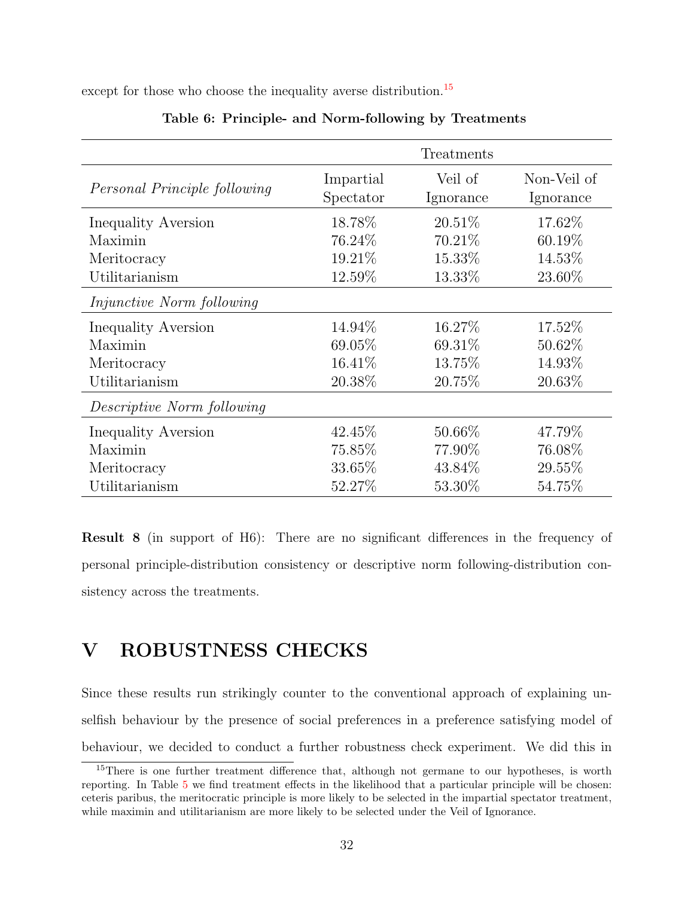<span id="page-32-1"></span>except for those who choose the inequality averse distribution.<sup>[15](#page-32-2)</sup>

|                                  |                        | Treatments           |                          |
|----------------------------------|------------------------|----------------------|--------------------------|
| Personal Principle following     | Impartial<br>Spectator | Veil of<br>Ignorance | Non-Veil of<br>Ignorance |
| Inequality Aversion              | 18.78%                 | $20.51\%$            | 17.62\%                  |
| Maximin                          | 76.24\%                | 70.21\%              | 60.19%                   |
| Meritocracy                      | 19.21\%                | 15.33%               | 14.53%                   |
| Utilitarianism                   | 12.59%                 | 13.33%               | 23.60\%                  |
| <i>Injunctive Norm following</i> |                        |                      |                          |
| Inequality Aversion              | 14.94%                 | 16.27\%              | 17.52\%                  |
| Maximin                          | 69.05%                 | 69.31\%              | 50.62\%                  |
| Meritocracy                      | 16.41\%                | 13.75%               | 14.93%                   |
| Utilitarianism                   | 20.38%                 | 20.75%               | 20.63%                   |
| Descriptive Norm following       |                        |                      |                          |
| Inequality Aversion              | 42.45%                 | 50.66\%              | 47.79%                   |
| Maximin                          | 75.85%                 | 77.90\%              | 76.08%                   |
| Meritocracy                      | 33.65%                 | 43.84\%              | 29.55%                   |
| Utilitarianism                   | 52.27%                 | 53.30%               | 54.75%                   |

### Table 6: Principle- and Norm-following by Treatments

Result 8 (in support of H6): There are no significant differences in the frequency of personal principle-distribution consistency or descriptive norm following-distribution consistency across the treatments.

# <span id="page-32-0"></span>V ROBUSTNESS CHECKS

Since these results run strikingly counter to the conventional approach of explaining unselfish behaviour by the presence of social preferences in a preference satisfying model of behaviour, we decided to conduct a further robustness check experiment. We did this in

<span id="page-32-2"></span><sup>&</sup>lt;sup>15</sup>There is one further treatment difference that, although not germane to our hypotheses, is worth reporting. In Table [5](#page-29-0) we find treatment effects in the likelihood that a particular principle will be chosen: ceteris paribus, the meritocratic principle is more likely to be selected in the impartial spectator treatment, while maximin and utilitarianism are more likely to be selected under the Veil of Ignorance.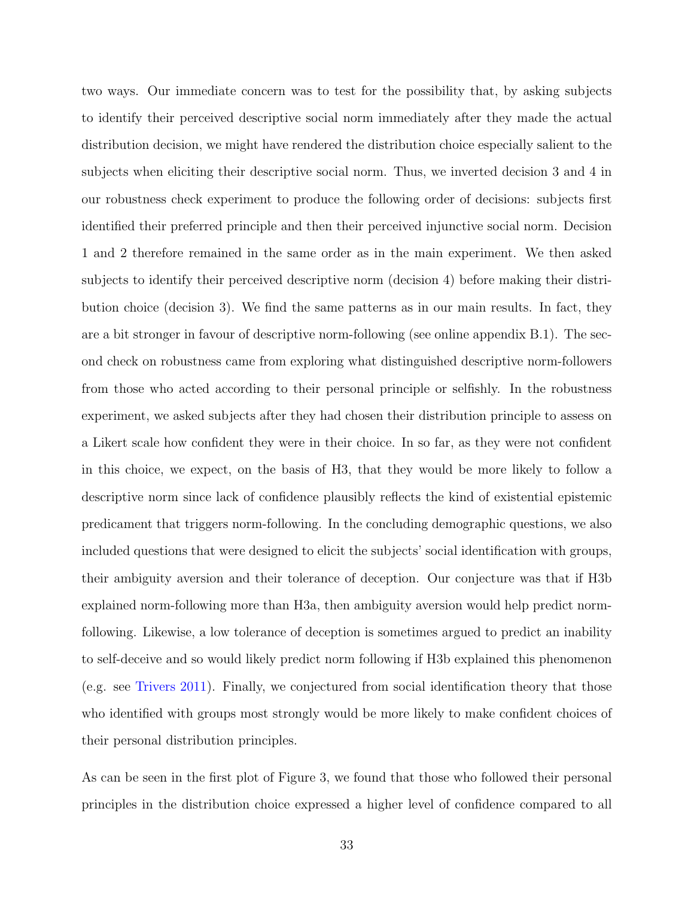two ways. Our immediate concern was to test for the possibility that, by asking subjects to identify their perceived descriptive social norm immediately after they made the actual distribution decision, we might have rendered the distribution choice especially salient to the subjects when eliciting their descriptive social norm. Thus, we inverted decision 3 and 4 in our robustness check experiment to produce the following order of decisions: subjects first identified their preferred principle and then their perceived injunctive social norm. Decision 1 and 2 therefore remained in the same order as in the main experiment. We then asked subjects to identify their perceived descriptive norm (decision 4) before making their distribution choice (decision 3). We find the same patterns as in our main results. In fact, they are a bit stronger in favour of descriptive norm-following (see online appendix B.1). The second check on robustness came from exploring what distinguished descriptive norm-followers from those who acted according to their personal principle or selfishly. In the robustness experiment, we asked subjects after they had chosen their distribution principle to assess on a Likert scale how confident they were in their choice. In so far, as they were not confident in this choice, we expect, on the basis of H3, that they would be more likely to follow a descriptive norm since lack of confidence plausibly reflects the kind of existential epistemic predicament that triggers norm-following. In the concluding demographic questions, we also included questions that were designed to elicit the subjects' social identification with groups, their ambiguity aversion and their tolerance of deception. Our conjecture was that if H3b explained norm-following more than H3a, then ambiguity aversion would help predict normfollowing. Likewise, a low tolerance of deception is sometimes argued to predict an inability to self-deceive and so would likely predict norm following if H3b explained this phenomenon (e.g. see [Trivers](#page-44-13) [2011\)](#page-44-13). Finally, we conjectured from social identification theory that those who identified with groups most strongly would be more likely to make confident choices of their personal distribution principles.

As can be seen in the first plot of Figure 3, we found that those who followed their personal principles in the distribution choice expressed a higher level of confidence compared to all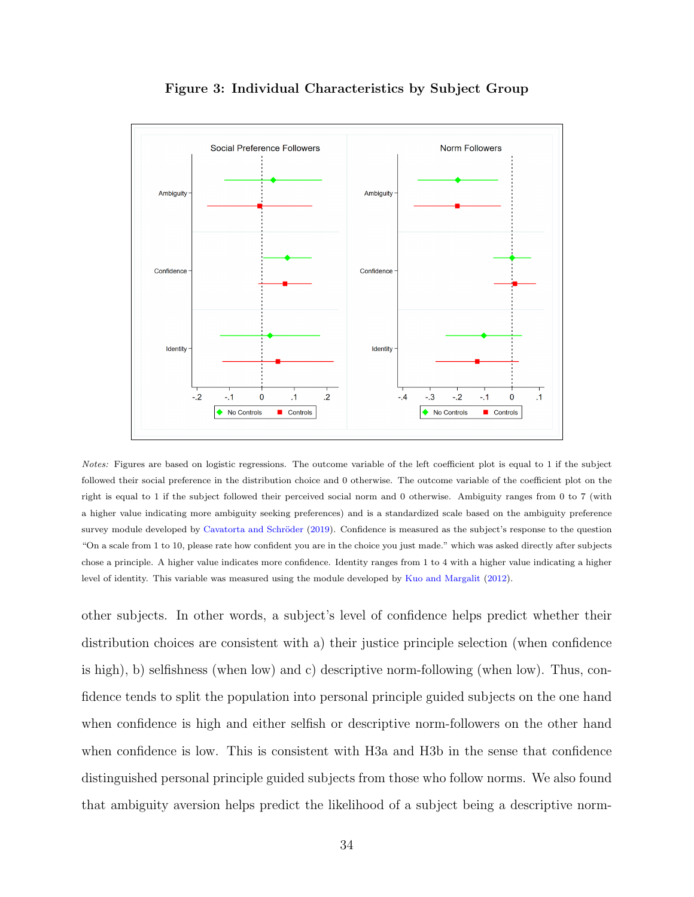

Figure 3: Individual Characteristics by Subject Group

Notes: Figures are based on logistic regressions. The outcome variable of the left coefficient plot is equal to 1 if the subject followed their social preference in the distribution choice and 0 otherwise. The outcome variable of the coefficient plot on the right is equal to 1 if the subject followed their perceived social norm and 0 otherwise. Ambiguity ranges from 0 to 7 (with a higher value indicating more ambiguity seeking preferences) and is a standardized scale based on the ambiguity preference survey module developed by Cavatorta and Schröder [\(2019\)](#page-42-16). Confidence is measured as the subject's response to the question "On a scale from 1 to 10, please rate how confident you are in the choice you just made." which was asked directly after subjects chose a principle. A higher value indicates more confidence. Identity ranges from 1 to 4 with a higher value indicating a higher level of identity. This variable was measured using the module developed by [Kuo and Margalit](#page-44-14) [\(2012\)](#page-44-14).

other subjects. In other words, a subject's level of confidence helps predict whether their distribution choices are consistent with a) their justice principle selection (when confidence is high), b) selfishness (when low) and c) descriptive norm-following (when low). Thus, confidence tends to split the population into personal principle guided subjects on the one hand when confidence is high and either selfish or descriptive norm-followers on the other hand when confidence is low. This is consistent with H3a and H3b in the sense that confidence distinguished personal principle guided subjects from those who follow norms. We also found that ambiguity aversion helps predict the likelihood of a subject being a descriptive norm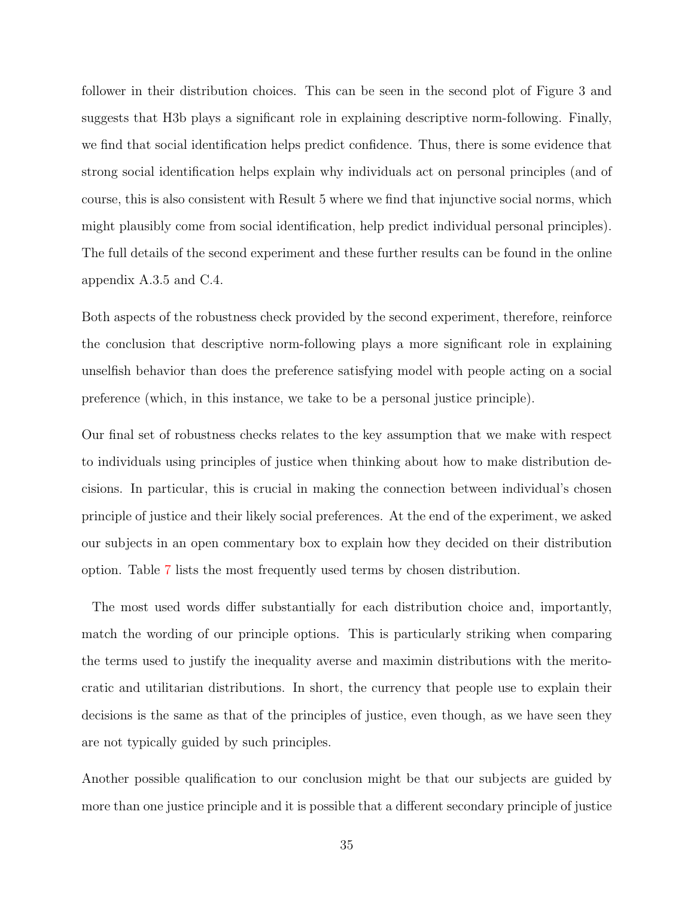follower in their distribution choices. This can be seen in the second plot of Figure 3 and suggests that H3b plays a significant role in explaining descriptive norm-following. Finally, we find that social identification helps predict confidence. Thus, there is some evidence that strong social identification helps explain why individuals act on personal principles (and of course, this is also consistent with Result 5 where we find that injunctive social norms, which might plausibly come from social identification, help predict individual personal principles). The full details of the second experiment and these further results can be found in the online appendix A.3.5 and C.4.

Both aspects of the robustness check provided by the second experiment, therefore, reinforce the conclusion that descriptive norm-following plays a more significant role in explaining unselfish behavior than does the preference satisfying model with people acting on a social preference (which, in this instance, we take to be a personal justice principle).

Our final set of robustness checks relates to the key assumption that we make with respect to individuals using principles of justice when thinking about how to make distribution decisions. In particular, this is crucial in making the connection between individual's chosen principle of justice and their likely social preferences. At the end of the experiment, we asked our subjects in an open commentary box to explain how they decided on their distribution option. Table [7](#page-36-0) lists the most frequently used terms by chosen distribution.

The most used words differ substantially for each distribution choice and, importantly, match the wording of our principle options. This is particularly striking when comparing the terms used to justify the inequality averse and maximin distributions with the meritocratic and utilitarian distributions. In short, the currency that people use to explain their decisions is the same as that of the principles of justice, even though, as we have seen they are not typically guided by such principles.

Another possible qualification to our conclusion might be that our subjects are guided by more than one justice principle and it is possible that a different secondary principle of justice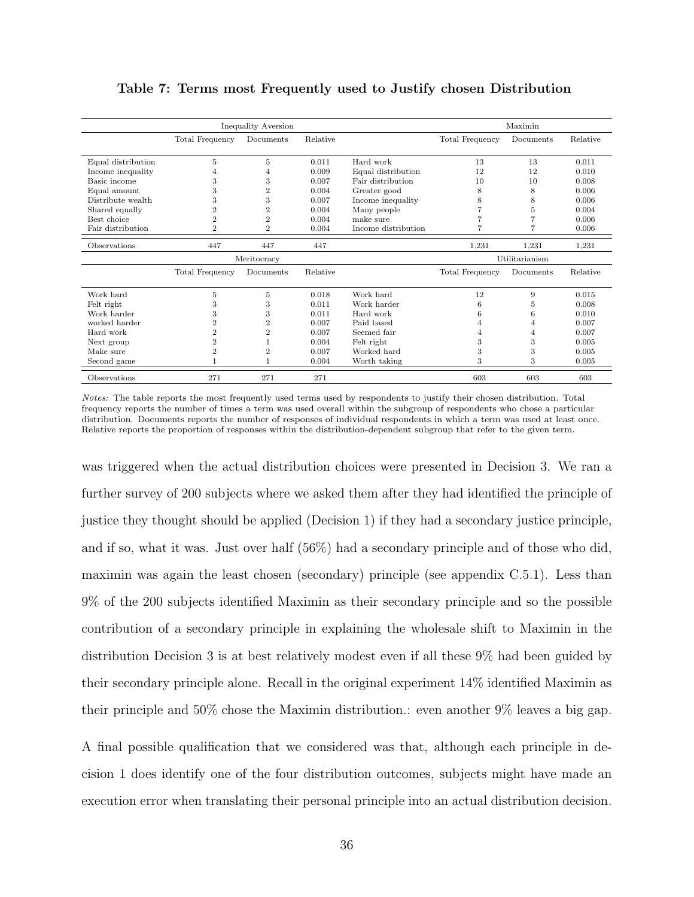| <b>Inequality Aversion</b> |                        |                |          |                     | Maximin                |           |          |  |
|----------------------------|------------------------|----------------|----------|---------------------|------------------------|-----------|----------|--|
|                            | <b>Total Frequency</b> | Documents      | Relative |                     | <b>Total Frequency</b> | Documents | Relative |  |
| Equal distribution         | 5                      | 5              | 0.011    | Hard work           | 13                     | 13        | 0.011    |  |
| Income inequality          | 4                      | 4              | 0.009    | Equal distribution  | 12                     | 12        | 0.010    |  |
| Basic income               | 3                      | 3              | 0.007    | Fair distribution   | 10                     | 10        | 0.008    |  |
| Equal amount               | 3                      | $\overline{2}$ | 0.004    | Greater good        | 8                      | 8         | 0.006    |  |
| Distribute wealth          | 3                      | 3              | 0.007    | Income inequality   | 8                      | 8         | 0.006    |  |
| Shared equally             | $\overline{2}$         | $\overline{2}$ | 0.004    | Many people         |                        | 5         | 0.004    |  |
| Best choice                | $\overline{2}$         | $\overline{2}$ | 0.004    | make sure           | 7                      | 7         | 0.006    |  |
| Fair distribution          | $\overline{2}$         | $\overline{2}$ | 0.004    | Income distribution | 7                      | 7         | 0.006    |  |
| Observations               | 447                    | 447            | 447      |                     | 1,231                  | 1.231     | 1,231    |  |
|                            |                        | Meritocracy    |          |                     | Utilitarianism         |           |          |  |
|                            | Total Frequency        | Documents      | Relative |                     | <b>Total Frequency</b> | Documents | Relative |  |
| Work hard                  | 5                      | 5              | 0.018    | Work hard           | 12                     | 9         | 0.015    |  |
| Felt right                 | 3                      | 3              | 0.011    | Work harder         | 6                      | 5         | 0.008    |  |
| Work harder                | 3                      | 3              | 0.011    | Hard work           | 6                      | 6         | 0.010    |  |
| worked harder              | $\overline{2}$         | $\overline{2}$ | 0.007    | Paid based          | 4                      | 4         | 0.007    |  |
| Hard work                  | $\overline{2}$         | $\overline{2}$ | 0.007    | Seemed fair         | 4                      | 4         | 0.007    |  |
| Next group                 | $\overline{2}$         |                | 0.004    | Felt right          | 3                      | 3         | 0.005    |  |
| Make sure                  | $\overline{2}$         | $\overline{2}$ | 0.007    | Worked hard         | 3                      | 3         | 0.005    |  |
| $\,\mathrm{Second}\,$ game |                        | 1              | 0.004    | Worth taking        | 3                      | 3         | 0.005    |  |
| Observations               | 271                    | 271            | 271      |                     | 603                    | 603       | 603      |  |

#### Table 7: Terms most Frequently used to Justify chosen Distribution

Notes: The table reports the most frequently used terms used by respondents to justify their chosen distribution. Total frequency reports the number of times a term was used overall within the subgroup of respondents who chose a particular distribution. Documents reports the number of responses of individual respondents in which a term was used at least once. Relative reports the proportion of responses within the distribution-dependent subgroup that refer to the given term.

was triggered when the actual distribution choices were presented in Decision 3. We ran a further survey of 200 subjects where we asked them after they had identified the principle of justice they thought should be applied (Decision 1) if they had a secondary justice principle, and if so, what it was. Just over half (56%) had a secondary principle and of those who did, maximin was again the least chosen (secondary) principle (see appendix C.5.1). Less than 9% of the 200 subjects identified Maximin as their secondary principle and so the possible contribution of a secondary principle in explaining the wholesale shift to Maximin in the distribution Decision 3 is at best relatively modest even if all these 9% had been guided by their secondary principle alone. Recall in the original experiment 14% identified Maximin as their principle and 50% chose the Maximin distribution.: even another 9% leaves a big gap.

A final possible qualification that we considered was that, although each principle in decision 1 does identify one of the four distribution outcomes, subjects might have made an execution error when translating their personal principle into an actual distribution decision.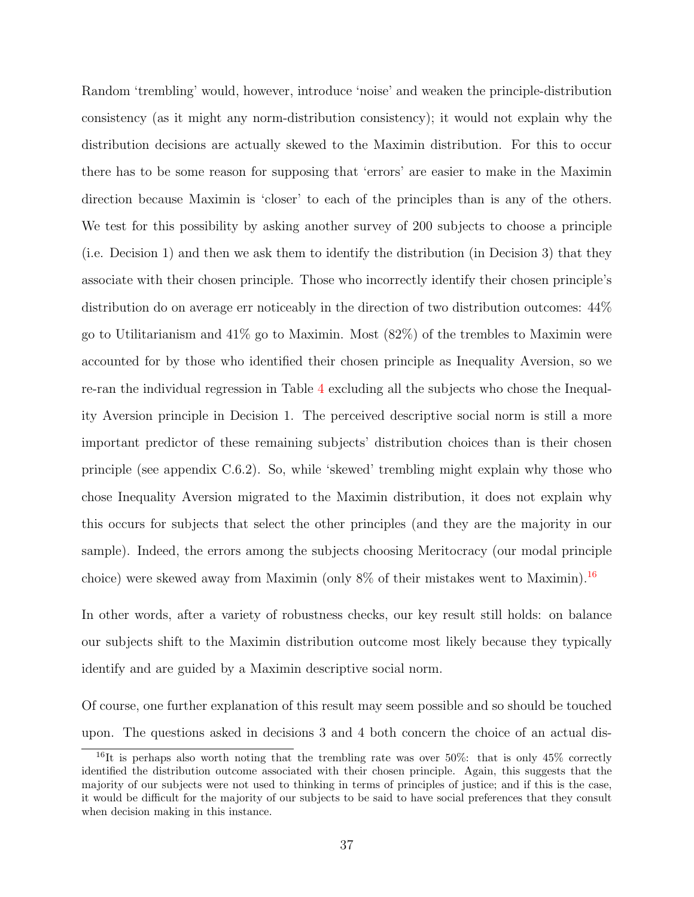Random 'trembling' would, however, introduce 'noise' and weaken the principle-distribution consistency (as it might any norm-distribution consistency); it would not explain why the distribution decisions are actually skewed to the Maximin distribution. For this to occur there has to be some reason for supposing that 'errors' are easier to make in the Maximin direction because Maximin is 'closer' to each of the principles than is any of the others. We test for this possibility by asking another survey of 200 subjects to choose a principle (i.e. Decision 1) and then we ask them to identify the distribution (in Decision 3) that they associate with their chosen principle. Those who incorrectly identify their chosen principle's distribution do on average err noticeably in the direction of two distribution outcomes: 44% go to Utilitarianism and 41% go to Maximin. Most (82%) of the trembles to Maximin were accounted for by those who identified their chosen principle as Inequality Aversion, so we re-ran the individual regression in Table [4](#page-27-0) excluding all the subjects who chose the Inequality Aversion principle in Decision 1. The perceived descriptive social norm is still a more important predictor of these remaining subjects' distribution choices than is their chosen principle (see appendix C.6.2). So, while 'skewed' trembling might explain why those who chose Inequality Aversion migrated to the Maximin distribution, it does not explain why this occurs for subjects that select the other principles (and they are the majority in our sample). Indeed, the errors among the subjects choosing Meritocracy (our modal principle choice) were skewed away from Maximin (only 8% of their mistakes went to Maximin).[16](#page-37-0)

In other words, after a variety of robustness checks, our key result still holds: on balance our subjects shift to the Maximin distribution outcome most likely because they typically identify and are guided by a Maximin descriptive social norm.

Of course, one further explanation of this result may seem possible and so should be touched upon. The questions asked in decisions 3 and 4 both concern the choice of an actual dis-

<span id="page-37-0"></span><sup>&</sup>lt;sup>16</sup>It is perhaps also worth noting that the trembling rate was over  $50\%$ : that is only  $45\%$  correctly identified the distribution outcome associated with their chosen principle. Again, this suggests that the majority of our subjects were not used to thinking in terms of principles of justice; and if this is the case, it would be difficult for the majority of our subjects to be said to have social preferences that they consult when decision making in this instance.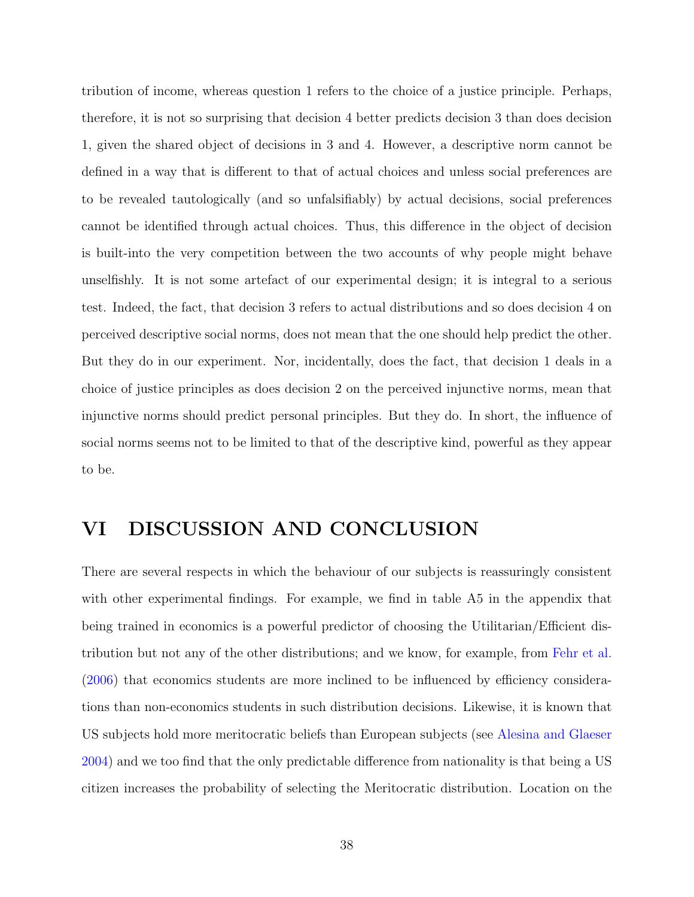tribution of income, whereas question 1 refers to the choice of a justice principle. Perhaps, therefore, it is not so surprising that decision 4 better predicts decision 3 than does decision 1, given the shared object of decisions in 3 and 4. However, a descriptive norm cannot be defined in a way that is different to that of actual choices and unless social preferences are to be revealed tautologically (and so unfalsifiably) by actual decisions, social preferences cannot be identified through actual choices. Thus, this difference in the object of decision is built-into the very competition between the two accounts of why people might behave unselfishly. It is not some artefact of our experimental design; it is integral to a serious test. Indeed, the fact, that decision 3 refers to actual distributions and so does decision 4 on perceived descriptive social norms, does not mean that the one should help predict the other. But they do in our experiment. Nor, incidentally, does the fact, that decision 1 deals in a choice of justice principles as does decision 2 on the perceived injunctive norms, mean that injunctive norms should predict personal principles. But they do. In short, the influence of social norms seems not to be limited to that of the descriptive kind, powerful as they appear to be.

# VI DISCUSSION AND CONCLUSION

There are several respects in which the behaviour of our subjects is reassuringly consistent with other experimental findings. For example, we find in table A5 in the appendix that being trained in economics is a powerful predictor of choosing the Utilitarian/Efficient distribution but not any of the other distributions; and we know, for example, from [Fehr et al.](#page-43-0) [\(2006\)](#page-43-0) that economics students are more inclined to be influenced by efficiency considerations than non-economics students in such distribution decisions. Likewise, it is known that US subjects hold more meritocratic beliefs than European subjects (see [Alesina and Glaeser](#page-42-0) [2004\)](#page-42-0) and we too find that the only predictable difference from nationality is that being a US citizen increases the probability of selecting the Meritocratic distribution. Location on the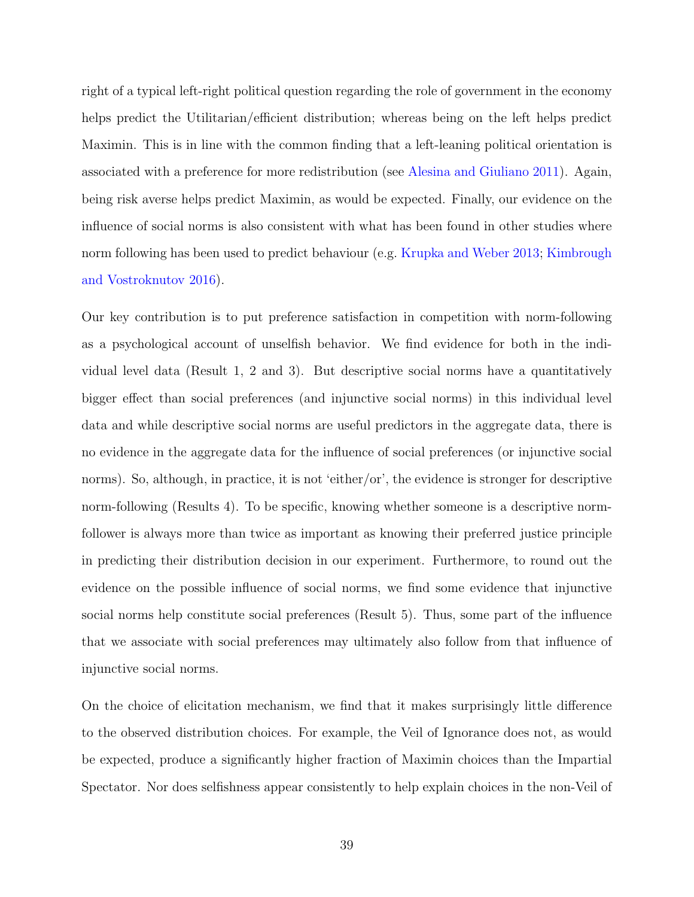right of a typical left-right political question regarding the role of government in the economy helps predict the Utilitarian/efficient distribution; whereas being on the left helps predict Maximin. This is in line with the common finding that a left-leaning political orientation is associated with a preference for more redistribution (see [Alesina and Giuliano](#page-42-1) [2011\)](#page-42-1). Again, being risk averse helps predict Maximin, as would be expected. Finally, our evidence on the influence of social norms is also consistent with what has been found in other studies where norm following has been used to predict behaviour (e.g. [Krupka and Weber](#page-44-0) [2013;](#page-44-0) [Kimbrough](#page-44-1) [and Vostroknutov](#page-44-1) [2016\)](#page-44-1).

Our key contribution is to put preference satisfaction in competition with norm-following as a psychological account of unselfish behavior. We find evidence for both in the individual level data (Result 1, 2 and 3). But descriptive social norms have a quantitatively bigger effect than social preferences (and injunctive social norms) in this individual level data and while descriptive social norms are useful predictors in the aggregate data, there is no evidence in the aggregate data for the influence of social preferences (or injunctive social norms). So, although, in practice, it is not 'either/or', the evidence is stronger for descriptive norm-following (Results 4). To be specific, knowing whether someone is a descriptive normfollower is always more than twice as important as knowing their preferred justice principle in predicting their distribution decision in our experiment. Furthermore, to round out the evidence on the possible influence of social norms, we find some evidence that injunctive social norms help constitute social preferences (Result 5). Thus, some part of the influence that we associate with social preferences may ultimately also follow from that influence of injunctive social norms.

On the choice of elicitation mechanism, we find that it makes surprisingly little difference to the observed distribution choices. For example, the Veil of Ignorance does not, as would be expected, produce a significantly higher fraction of Maximin choices than the Impartial Spectator. Nor does selfishness appear consistently to help explain choices in the non-Veil of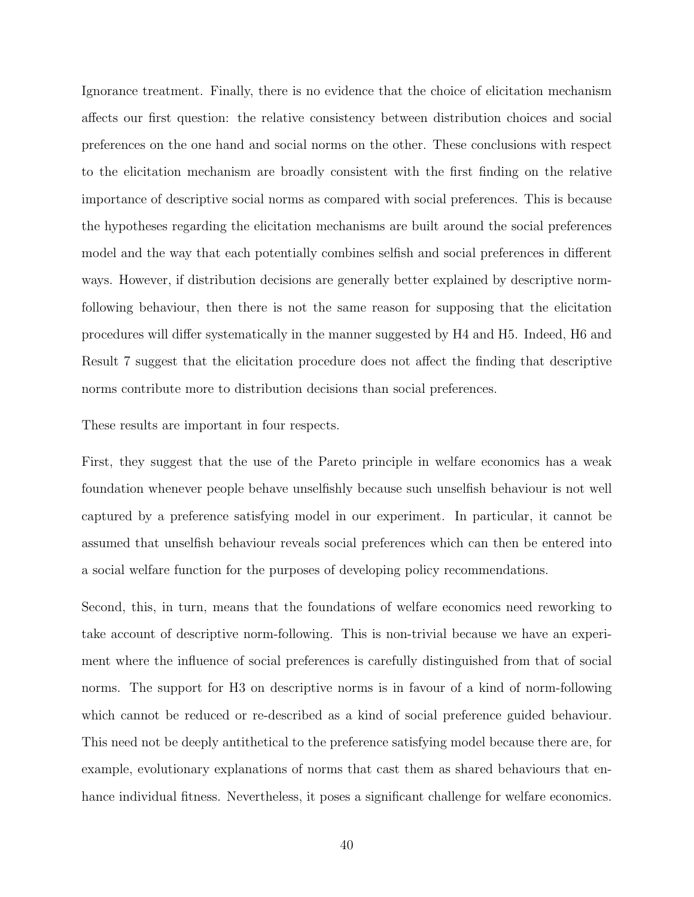Ignorance treatment. Finally, there is no evidence that the choice of elicitation mechanism affects our first question: the relative consistency between distribution choices and social preferences on the one hand and social norms on the other. These conclusions with respect to the elicitation mechanism are broadly consistent with the first finding on the relative importance of descriptive social norms as compared with social preferences. This is because the hypotheses regarding the elicitation mechanisms are built around the social preferences model and the way that each potentially combines selfish and social preferences in different ways. However, if distribution decisions are generally better explained by descriptive normfollowing behaviour, then there is not the same reason for supposing that the elicitation procedures will differ systematically in the manner suggested by H4 and H5. Indeed, H6 and Result 7 suggest that the elicitation procedure does not affect the finding that descriptive norms contribute more to distribution decisions than social preferences.

These results are important in four respects.

First, they suggest that the use of the Pareto principle in welfare economics has a weak foundation whenever people behave unselfishly because such unselfish behaviour is not well captured by a preference satisfying model in our experiment. In particular, it cannot be assumed that unselfish behaviour reveals social preferences which can then be entered into a social welfare function for the purposes of developing policy recommendations.

Second, this, in turn, means that the foundations of welfare economics need reworking to take account of descriptive norm-following. This is non-trivial because we have an experiment where the influence of social preferences is carefully distinguished from that of social norms. The support for H3 on descriptive norms is in favour of a kind of norm-following which cannot be reduced or re-described as a kind of social preference guided behaviour. This need not be deeply antithetical to the preference satisfying model because there are, for example, evolutionary explanations of norms that cast them as shared behaviours that enhance individual fitness. Nevertheless, it poses a significant challenge for welfare economics.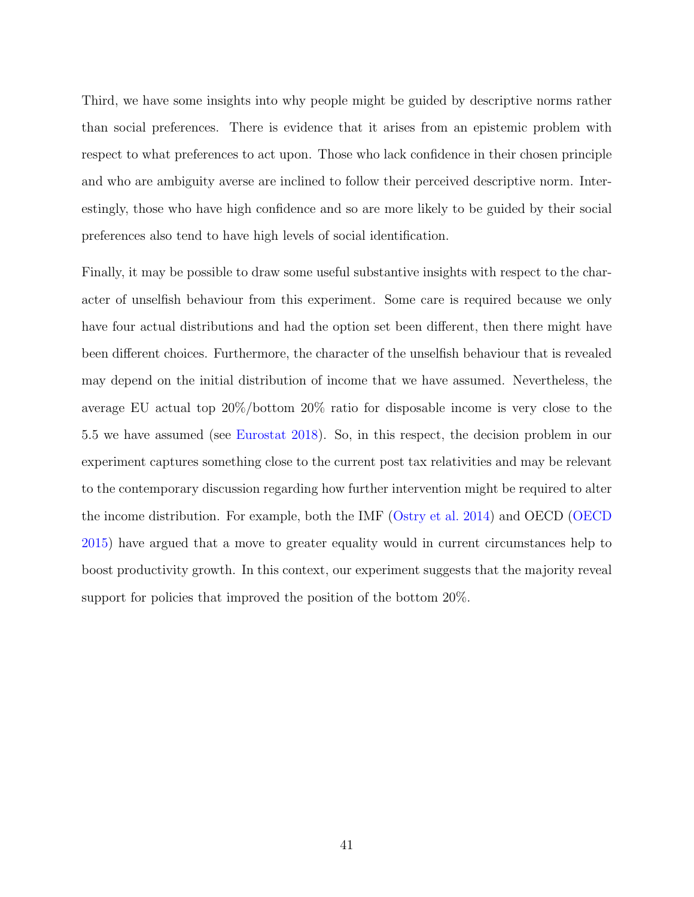Third, we have some insights into why people might be guided by descriptive norms rather than social preferences. There is evidence that it arises from an epistemic problem with respect to what preferences to act upon. Those who lack confidence in their chosen principle and who are ambiguity averse are inclined to follow their perceived descriptive norm. Interestingly, those who have high confidence and so are more likely to be guided by their social preferences also tend to have high levels of social identification.

Finally, it may be possible to draw some useful substantive insights with respect to the character of unselfish behaviour from this experiment. Some care is required because we only have four actual distributions and had the option set been different, then there might have been different choices. Furthermore, the character of the unselfish behaviour that is revealed may depend on the initial distribution of income that we have assumed. Nevertheless, the average EU actual top 20%/bottom 20% ratio for disposable income is very close to the 5.5 we have assumed (see [Eurostat](#page-43-1) [2018\)](#page-43-1). So, in this respect, the decision problem in our experiment captures something close to the current post tax relativities and may be relevant to the contemporary discussion regarding how further intervention might be required to alter the income distribution. For example, both the IMF [\(Ostry et al.](#page-44-2) [2014\)](#page-44-2) and OECD [\(OECD](#page-44-3) [2015\)](#page-44-3) have argued that a move to greater equality would in current circumstances help to boost productivity growth. In this context, our experiment suggests that the majority reveal support for policies that improved the position of the bottom  $20\%$ .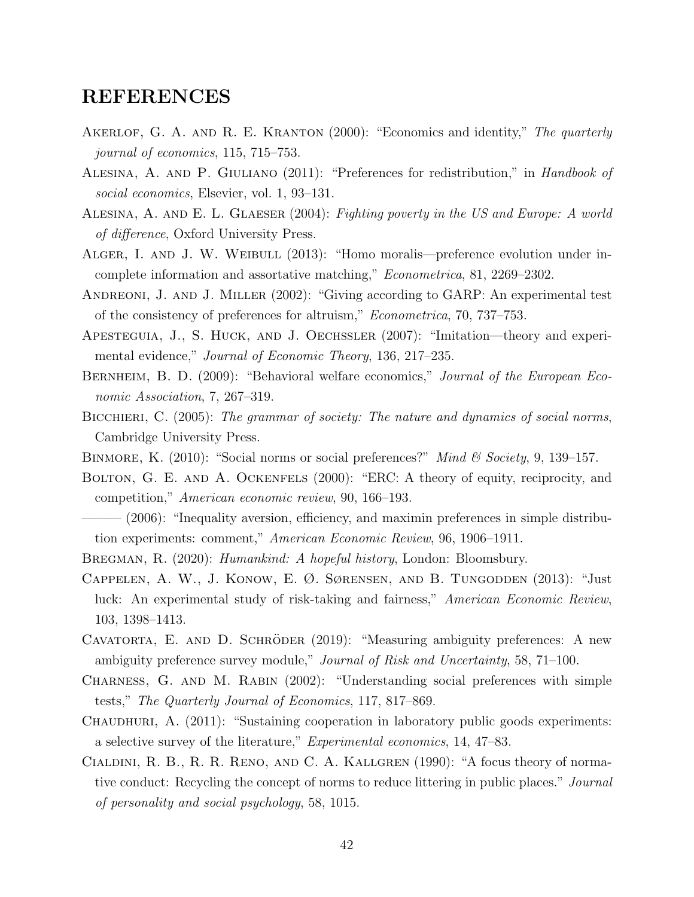# REFERENCES

- AKERLOF, G. A. AND R. E. KRANTON (2000): "Economics and identity," The quarterly journal of economics, 115, 715–753.
- <span id="page-42-1"></span>Alesina, A. and P. Giuliano (2011): "Preferences for redistribution," in Handbook of social economics, Elsevier, vol. 1, 93–131.
- <span id="page-42-0"></span>Alesina, A. and E. L. Glaeser (2004): Fighting poverty in the US and Europe: A world of difference, Oxford University Press.
- ALGER, I. AND J. W. WEIBULL (2013): "Homo moralis—preference evolution under incomplete information and assortative matching," Econometrica, 81, 2269–2302.
- Andreoni, J. and J. Miller (2002): "Giving according to GARP: An experimental test of the consistency of preferences for altruism," Econometrica, 70, 737–753.
- Apesteguia, J., S. Huck, and J. Oechssler (2007): "Imitation—theory and experimental evidence," Journal of Economic Theory, 136, 217–235.
- BERNHEIM, B. D. (2009): "Behavioral welfare economics," *Journal of the European Eco*nomic Association, 7, 267–319.
- BICCHIERI, C. (2005): The grammar of society: The nature and dynamics of social norms, Cambridge University Press.
- BINMORE, K. (2010): "Social norms or social preferences?" Mind & Society, 9, 139–157.
- BOLTON, G. E. AND A. OCKENFELS (2000): "ERC: A theory of equity, reciprocity, and competition," American economic review, 90, 166–193.
- (2006): "Inequality aversion, efficiency, and maximin preferences in simple distribution experiments: comment," American Economic Review, 96, 1906–1911.
- BREGMAN, R. (2020): *Humankind: A hopeful history*, London: Bloomsbury.
- Cappelen, A. W., J. Konow, E. Ø. Sørensen, and B. Tungodden (2013): "Just luck: An experimental study of risk-taking and fairness," American Economic Review, 103, 1398–1413.
- <span id="page-42-2"></span>CAVATORTA, E. AND D. SCHRÖDER (2019): "Measuring ambiguity preferences: A new ambiguity preference survey module," Journal of Risk and Uncertainty, 58, 71–100.
- Charness, G. and M. Rabin (2002): "Understanding social preferences with simple tests," The Quarterly Journal of Economics, 117, 817–869.
- CHAUDHURI, A. (2011): "Sustaining cooperation in laboratory public goods experiments: a selective survey of the literature," Experimental economics, 14, 47–83.
- Cialdini, R. B., R. R. Reno, and C. A. Kallgren (1990): "A focus theory of normative conduct: Recycling the concept of norms to reduce littering in public places." Journal of personality and social psychology, 58, 1015.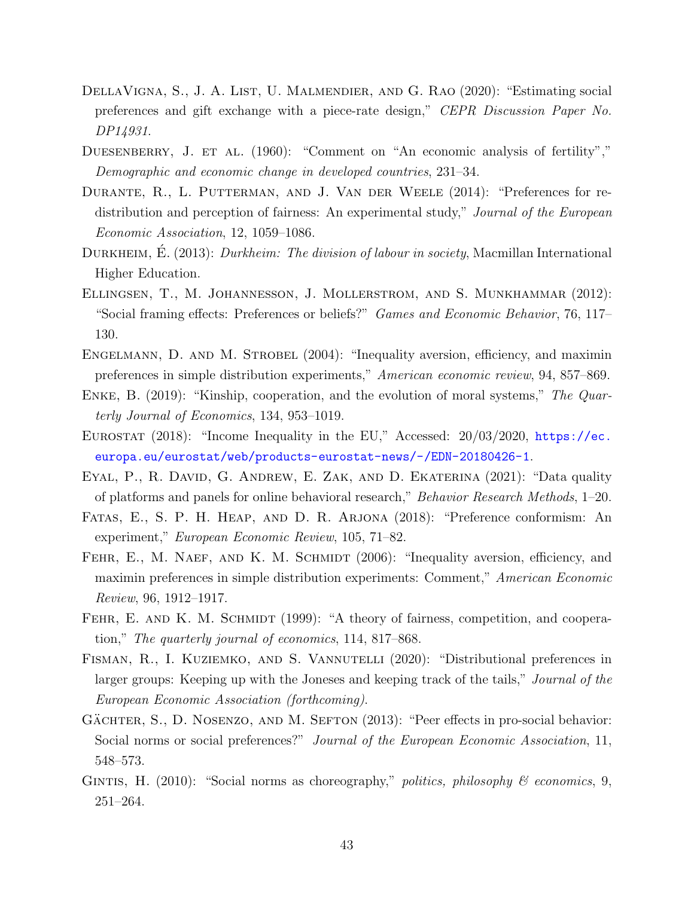- DELLAVIGNA, S., J. A. LIST, U. MALMENDIER, AND G. RAO (2020): "Estimating social preferences and gift exchange with a piece-rate design," CEPR Discussion Paper No. DP14931.
- DUESENBERRY, J. ET AL. (1960): "Comment on "An economic analysis of fertility"," Demographic and economic change in developed countries, 231–34.
- DURANTE, R., L. PUTTERMAN, AND J. VAN DER WEELE (2014): "Preferences for redistribution and perception of fairness: An experimental study," Journal of the European Economic Association, 12, 1059–1086.
- DURKHEIM, E. (2013): *Durkheim: The division of labour in society*, Macmillan International Higher Education.
- Ellingsen, T., M. Johannesson, J. Mollerstrom, and S. Munkhammar (2012): "Social framing effects: Preferences or beliefs?" Games and Economic Behavior, 76, 117– 130.
- ENGELMANN, D. AND M. STROBEL (2004): "Inequality aversion, efficiency, and maximin preferences in simple distribution experiments," American economic review, 94, 857–869.
- ENKE, B. (2019): "Kinship, cooperation, and the evolution of moral systems," The Quarterly Journal of Economics, 134, 953–1019.
- <span id="page-43-1"></span>EUROSTAT (2018): "Income Inequality in the EU," Accessed: 20/03/2020, [https://ec.](https://ec.europa.eu/eurostat/web/products-eurostat-news/-/EDN-20180426-1) [europa.eu/eurostat/web/products-eurostat-news/-/EDN-20180426-1](https://ec.europa.eu/eurostat/web/products-eurostat-news/-/EDN-20180426-1).
- <span id="page-43-2"></span>Eyal, P., R. David, G. Andrew, E. Zak, and D. Ekaterina (2021): "Data quality of platforms and panels for online behavioral research," Behavior Research Methods, 1–20.
- Fatas, E., S. P. H. Heap, and D. R. Arjona (2018): "Preference conformism: An experiment," European Economic Review, 105, 71–82.
- <span id="page-43-0"></span>FEHR, E., M. NAEF, AND K. M. SCHMIDT (2006): "Inequality aversion, efficiency, and maximin preferences in simple distribution experiments: Comment," American Economic Review, 96, 1912–1917.
- FEHR, E. AND K. M. SCHMIDT (1999): "A theory of fairness, competition, and cooperation," The quarterly journal of economics, 114, 817–868.
- FISMAN, R., I. KUZIEMKO, AND S. VANNUTELLI (2020): "Distributional preferences in larger groups: Keeping up with the Joneses and keeping track of the tails," Journal of the European Economic Association (forthcoming).
- GÄCHTER, S., D. NOSENZO, AND M. SEFTON  $(2013)$ : "Peer effects in pro-social behavior: Social norms or social preferences?" Journal of the European Economic Association, 11, 548–573.
- GINTIS, H. (2010): "Social norms as choreography," *politics, philosophy & economics*, 9, 251–264.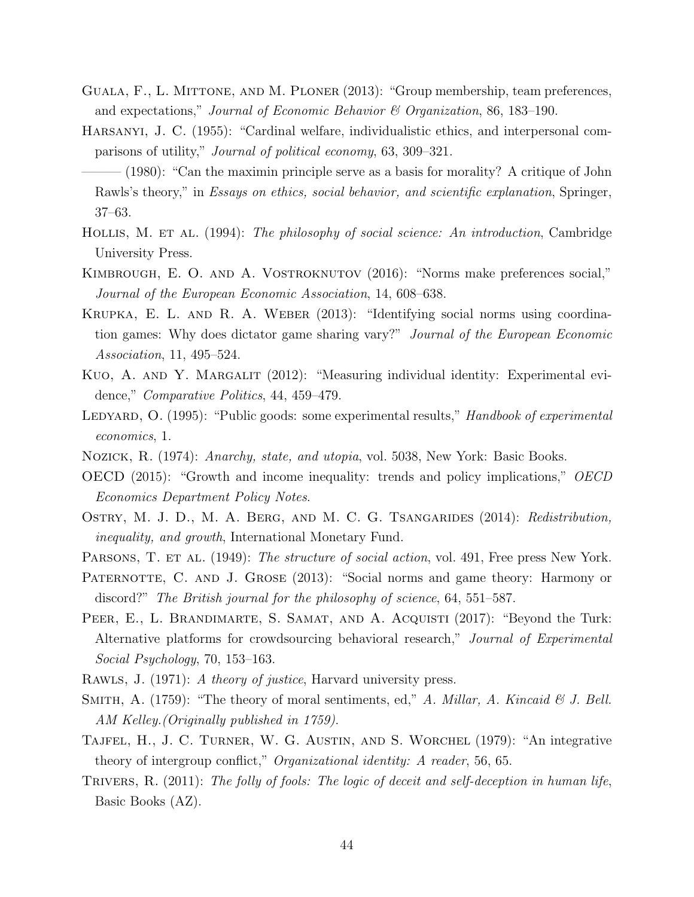- Guala, F., L. Mittone, and M. Ploner (2013): "Group membership, team preferences, and expectations," Journal of Economic Behavior & Organization, 86, 183–190.
- Harsanyi, J. C. (1955): "Cardinal welfare, individualistic ethics, and interpersonal comparisons of utility," Journal of political economy, 63, 309–321.
- $-(1980)$ : "Can the maximin principle serve as a basis for morality? A critique of John Rawls's theory," in *Essays on ethics, social behavior, and scientific explanation*, Springer, 37–63.
- HOLLIS, M. ET AL. (1994): The philosophy of social science: An introduction, Cambridge University Press.
- <span id="page-44-1"></span>KIMBROUGH, E. O. AND A. VOSTROKNUTOV (2016): "Norms make preferences social," Journal of the European Economic Association, 14, 608–638.
- <span id="page-44-0"></span>Krupka, E. L. and R. A. Weber (2013): "Identifying social norms using coordination games: Why does dictator game sharing vary?" Journal of the European Economic Association, 11, 495–524.
- <span id="page-44-5"></span>KUO, A. AND Y. MARGALIT (2012): "Measuring individual identity: Experimental evidence," Comparative Politics, 44, 459–479.
- LEDYARD, O. (1995): "Public goods: some experimental results," Handbook of experimental economics, 1.
- <span id="page-44-3"></span>Nozick, R. (1974): Anarchy, state, and utopia, vol. 5038, New York: Basic Books.
- OECD (2015): "Growth and income inequality: trends and policy implications," OECD Economics Department Policy Notes.
- <span id="page-44-2"></span>OSTRY, M. J. D., M. A. BERG, AND M. C. G. TSANGARIDES (2014): Redistribution, inequality, and growth, International Monetary Fund.
- PARSONS, T. ET AL. (1949): The structure of social action, vol. 491, Free press New York.
- PATERNOTTE, C. AND J. GROSE (2013): "Social norms and game theory: Harmony or discord?" The British journal for the philosophy of science, 64, 551–587.
- <span id="page-44-4"></span>PEER, E., L. BRANDIMARTE, S. SAMAT, AND A. ACQUISTI (2017): "Beyond the Turk: Alternative platforms for crowdsourcing behavioral research," Journal of Experimental Social Psychology, 70, 153–163.
- RAWLS, J. (1971): A theory of justice, Harvard university press.
- SMITH, A.  $(1759)$ : "The theory of moral sentiments, ed," A. Millar, A. Kincaid & J. Bell. AM Kelley.(Originally published in 1759).
- Tajfel, H., J. C. Turner, W. G. Austin, and S. Worchel (1979): "An integrative theory of intergroup conflict," Organizational identity: A reader, 56, 65.
- TRIVERS, R. (2011): The folly of fools: The logic of deceit and self-deception in human life, Basic Books (AZ).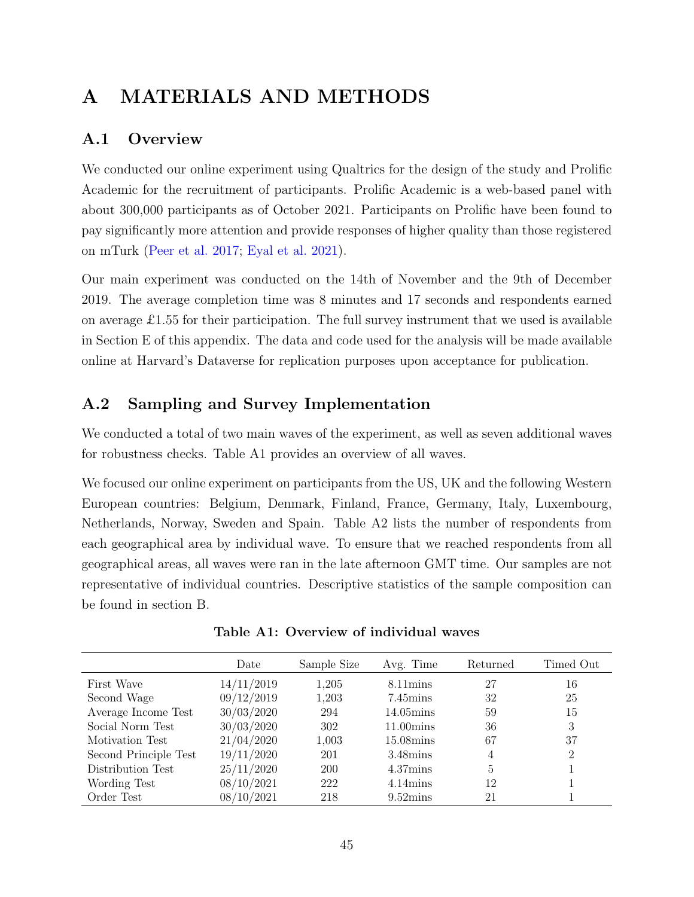# A MATERIALS AND METHODS

# A.1 Overview

We conducted our online experiment using Qualtrics for the design of the study and Prolific Academic for the recruitment of participants. Prolific Academic is a web-based panel with about 300,000 participants as of October 2021. Participants on Prolific have been found to pay significantly more attention and provide responses of higher quality than those registered on mTurk [\(Peer et al.](#page-44-4) [2017;](#page-44-4) [Eyal et al.](#page-43-2) [2021\)](#page-43-2).

Our main experiment was conducted on the 14th of November and the 9th of December 2019. The average completion time was 8 minutes and 17 seconds and respondents earned on average £1.55 for their participation. The full survey instrument that we used is available in Section E of this appendix. The data and code used for the analysis will be made available online at Harvard's Dataverse for replication purposes upon acceptance for publication.

# A.2 Sampling and Survey Implementation

We conducted a total of two main waves of the experiment, as well as seven additional waves for robustness checks. Table A1 provides an overview of all waves.

We focused our online experiment on participants from the US, UK and the following Western European countries: Belgium, Denmark, Finland, France, Germany, Italy, Luxembourg, Netherlands, Norway, Sweden and Spain. Table A2 lists the number of respondents from each geographical area by individual wave. To ensure that we reached respondents from all geographical areas, all waves were ran in the late afternoon GMT time. Our samples are not representative of individual countries. Descriptive statistics of the sample composition can be found in section B.

|                       | Date       | Sample Size | Avg. Time             | Returned | Timed Out |
|-----------------------|------------|-------------|-----------------------|----------|-----------|
| First Wave            | 14/11/2019 | 1,205       | $8.11 \text{mins}$    | 27       | 16        |
| Second Wage           | 09/12/2019 | 1,203       | $7.45 \mathrm{mins}$  | 32       | 25        |
| Average Income Test   | 30/03/2020 | 294         | $14.05 \text{mins}$   | 59       | 15        |
| Social Norm Test      | 30/03/2020 | 302         | $11.00 \text{mins}$   | 36       | 3         |
| Motivation Test       | 21/04/2020 | 1,003       | $15.08 \mathrm{mins}$ | 67       | 37        |
| Second Principle Test | 19/11/2020 | 201         | $3.48 \mathrm{mins}$  | 4        | 2         |
| Distribution Test     | 25/11/2020 | 200         | $4.37 \text{mins}$    | 5        |           |
| Wording Test          | 08/10/2021 | 222         | $4.14 \text{mins}$    | 12       |           |
| Order Test            | 08/10/2021 | 218         | $9.52 \text{mins}$    | 21       |           |

Table A1: Overview of individual waves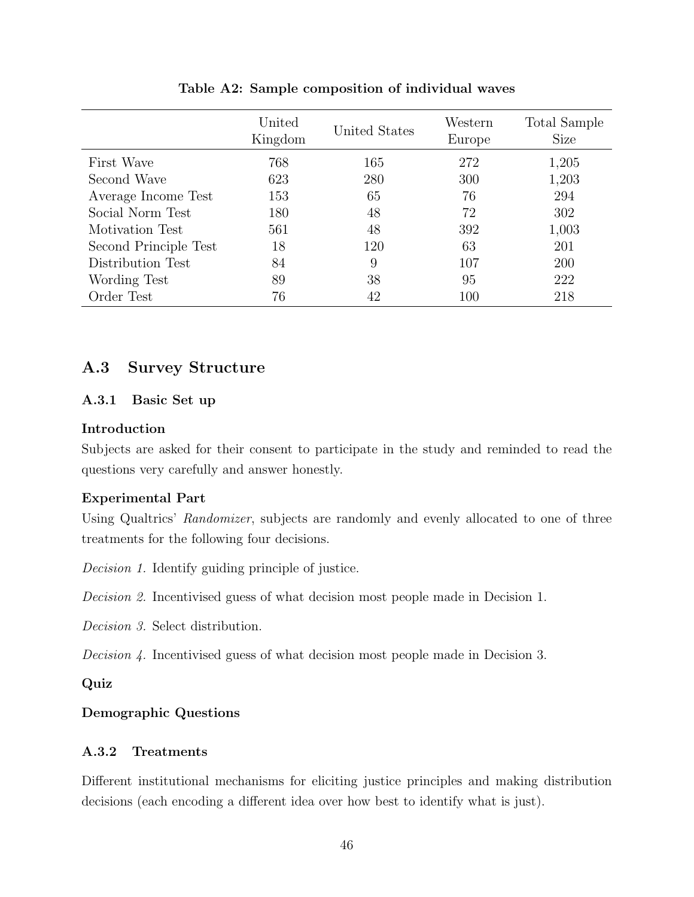|                       | United<br>Kingdom | United States | Western<br>Europe | Total Sample<br><b>Size</b> |
|-----------------------|-------------------|---------------|-------------------|-----------------------------|
| First Wave            | 768               | 165           | 272               | 1,205                       |
| Second Wave           | 623               | 280           | 300               | 1,203                       |
| Average Income Test   | 153               | 65            | 76                | 294                         |
| Social Norm Test      | 180               | 48            | 72                | 302                         |
| Motivation Test       | 561               | 48            | 392               | 1,003                       |
| Second Principle Test | 18                | 120           | 63                | 201                         |
| Distribution Test     | 84                | 9             | 107               | 200                         |
| Wording Test          | 89                | 38            | 95                | 222                         |
| Order Test            | 76                | 42            | 100               | 218                         |

Table A2: Sample composition of individual waves

## A.3 Survey Structure

### A.3.1 Basic Set up

### Introduction

Subjects are asked for their consent to participate in the study and reminded to read the questions very carefully and answer honestly.

### Experimental Part

Using Qualtrics' Randomizer, subjects are randomly and evenly allocated to one of three treatments for the following four decisions.

Decision 1. Identify guiding principle of justice.

Decision 2. Incentivised guess of what decision most people made in Decision 1.

Decision 3. Select distribution.

Decision 4. Incentivised guess of what decision most people made in Decision 3.

### Quiz

## Demographic Questions

### A.3.2 Treatments

Different institutional mechanisms for eliciting justice principles and making distribution decisions (each encoding a different idea over how best to identify what is just).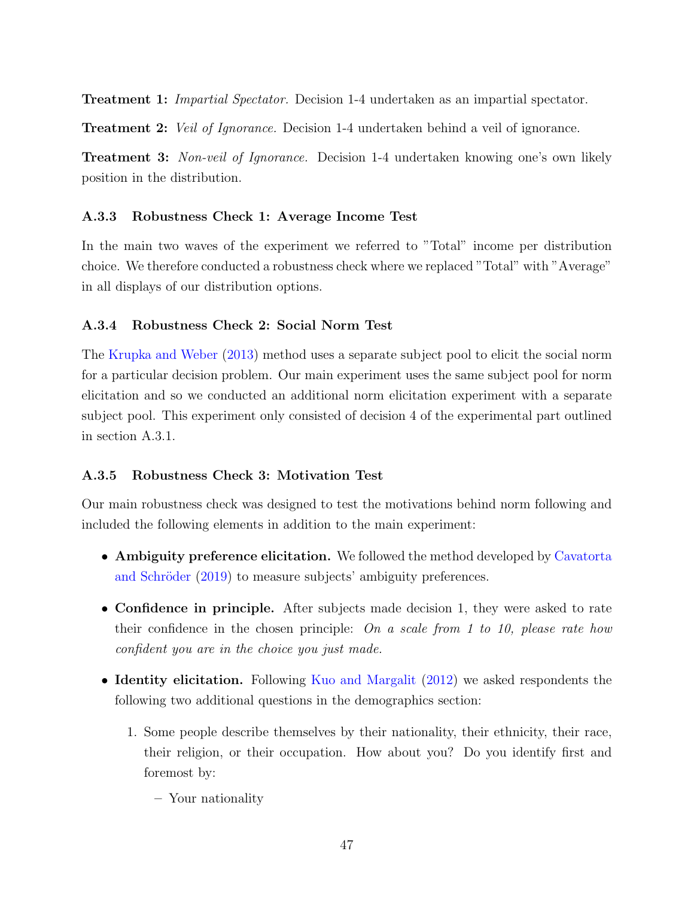Treatment 1: Impartial Spectator. Decision 1-4 undertaken as an impartial spectator.

**Treatment 2:** Veil of Ignorance. Decision 1-4 undertaken behind a veil of ignorance.

**Treatment 3:** Non-veil of Ignorance. Decision 1-4 undertaken knowing one's own likely position in the distribution.

### A.3.3 Robustness Check 1: Average Income Test

In the main two waves of the experiment we referred to "Total" income per distribution choice. We therefore conducted a robustness check where we replaced "Total" with "Average" in all displays of our distribution options.

### A.3.4 Robustness Check 2: Social Norm Test

The [Krupka and Weber](#page-44-0) [\(2013\)](#page-44-0) method uses a separate subject pool to elicit the social norm for a particular decision problem. Our main experiment uses the same subject pool for norm elicitation and so we conducted an additional norm elicitation experiment with a separate subject pool. This experiment only consisted of decision 4 of the experimental part outlined in section A.3.1.

### A.3.5 Robustness Check 3: Motivation Test

Our main robustness check was designed to test the motivations behind norm following and included the following elements in addition to the main experiment:

- Ambiguity preference elicitation. We followed the method developed by [Cavatorta](#page-42-2) and Schröder [\(2019\)](#page-42-2) to measure subjects' ambiguity preferences.
- Confidence in principle. After subjects made decision 1, they were asked to rate their confidence in the chosen principle: On a scale from 1 to 10, please rate how confident you are in the choice you just made.
- Identity elicitation. Following [Kuo and Margalit](#page-44-5) [\(2012\)](#page-44-5) we asked respondents the following two additional questions in the demographics section:
	- 1. Some people describe themselves by their nationality, their ethnicity, their race, their religion, or their occupation. How about you? Do you identify first and foremost by:
		- Your nationality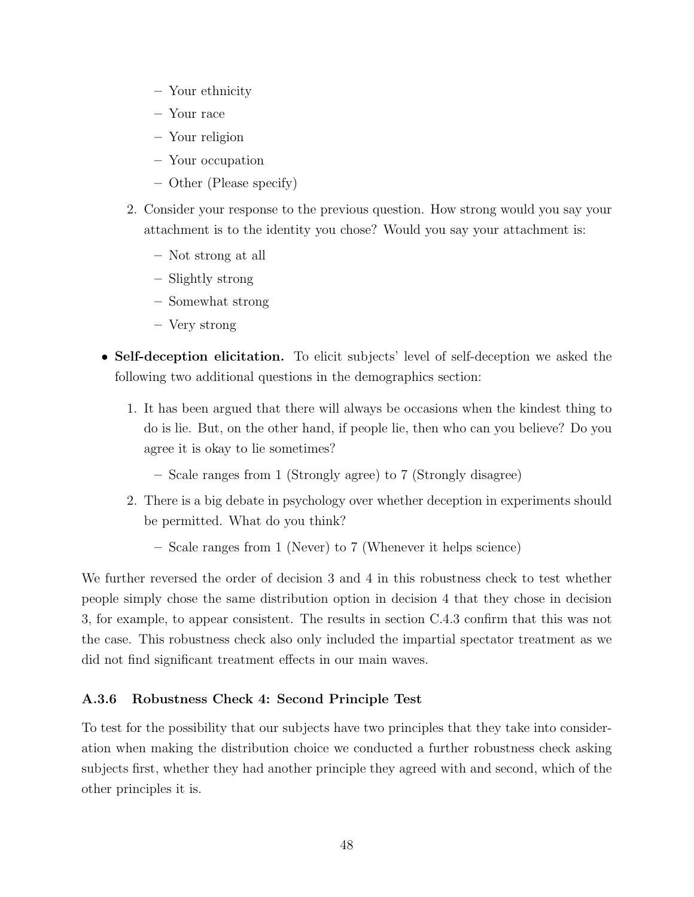- Your ethnicity
- Your race
- Your religion
- Your occupation
- Other (Please specify)
- 2. Consider your response to the previous question. How strong would you say your attachment is to the identity you chose? Would you say your attachment is:
	- Not strong at all
	- Slightly strong
	- Somewhat strong
	- Very strong
- Self-deception elicitation. To elicit subjects' level of self-deception we asked the following two additional questions in the demographics section:
	- 1. It has been argued that there will always be occasions when the kindest thing to do is lie. But, on the other hand, if people lie, then who can you believe? Do you agree it is okay to lie sometimes?
		- Scale ranges from 1 (Strongly agree) to 7 (Strongly disagree)
	- 2. There is a big debate in psychology over whether deception in experiments should be permitted. What do you think?
		- Scale ranges from 1 (Never) to 7 (Whenever it helps science)

We further reversed the order of decision 3 and 4 in this robustness check to test whether people simply chose the same distribution option in decision 4 that they chose in decision 3, for example, to appear consistent. The results in section C.4.3 confirm that this was not the case. This robustness check also only included the impartial spectator treatment as we did not find significant treatment effects in our main waves.

#### A.3.6 Robustness Check 4: Second Principle Test

To test for the possibility that our subjects have two principles that they take into consideration when making the distribution choice we conducted a further robustness check asking subjects first, whether they had another principle they agreed with and second, which of the other principles it is.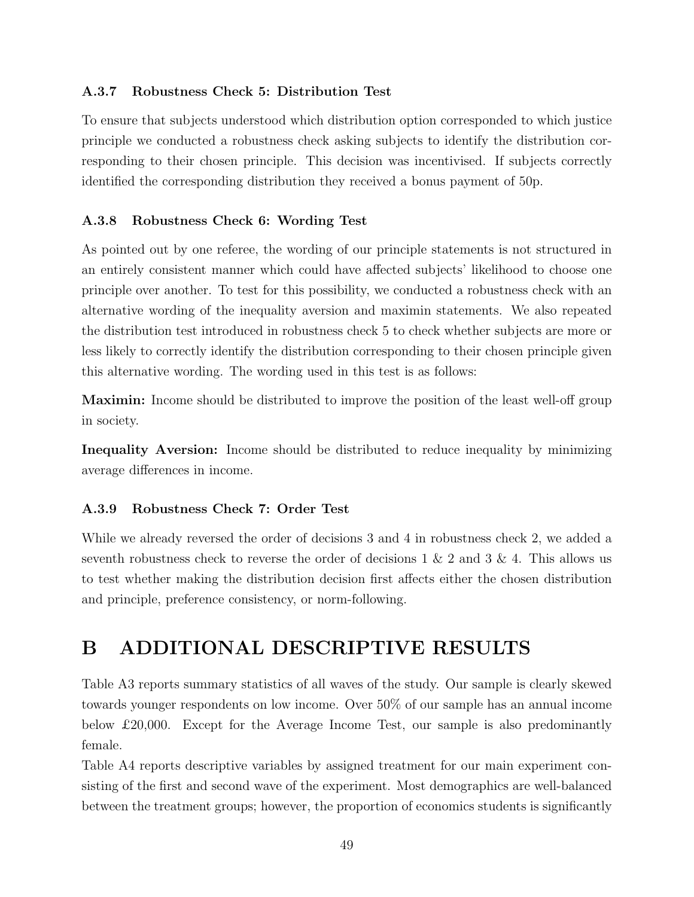### A.3.7 Robustness Check 5: Distribution Test

To ensure that subjects understood which distribution option corresponded to which justice principle we conducted a robustness check asking subjects to identify the distribution corresponding to their chosen principle. This decision was incentivised. If subjects correctly identified the corresponding distribution they received a bonus payment of 50p.

### A.3.8 Robustness Check 6: Wording Test

As pointed out by one referee, the wording of our principle statements is not structured in an entirely consistent manner which could have affected subjects' likelihood to choose one principle over another. To test for this possibility, we conducted a robustness check with an alternative wording of the inequality aversion and maximin statements. We also repeated the distribution test introduced in robustness check 5 to check whether subjects are more or less likely to correctly identify the distribution corresponding to their chosen principle given this alternative wording. The wording used in this test is as follows:

Maximin: Income should be distributed to improve the position of the least well-off group in society.

Inequality Aversion: Income should be distributed to reduce inequality by minimizing average differences in income.

### A.3.9 Robustness Check 7: Order Test

While we already reversed the order of decisions 3 and 4 in robustness check 2, we added a seventh robustness check to reverse the order of decisions  $1 \& 2$  and  $3 \& 4$ . This allows us to test whether making the distribution decision first affects either the chosen distribution and principle, preference consistency, or norm-following.

# B ADDITIONAL DESCRIPTIVE RESULTS

Table A3 reports summary statistics of all waves of the study. Our sample is clearly skewed towards younger respondents on low income. Over 50% of our sample has an annual income below £20,000. Except for the Average Income Test, our sample is also predominantly female.

Table A4 reports descriptive variables by assigned treatment for our main experiment consisting of the first and second wave of the experiment. Most demographics are well-balanced between the treatment groups; however, the proportion of economics students is significantly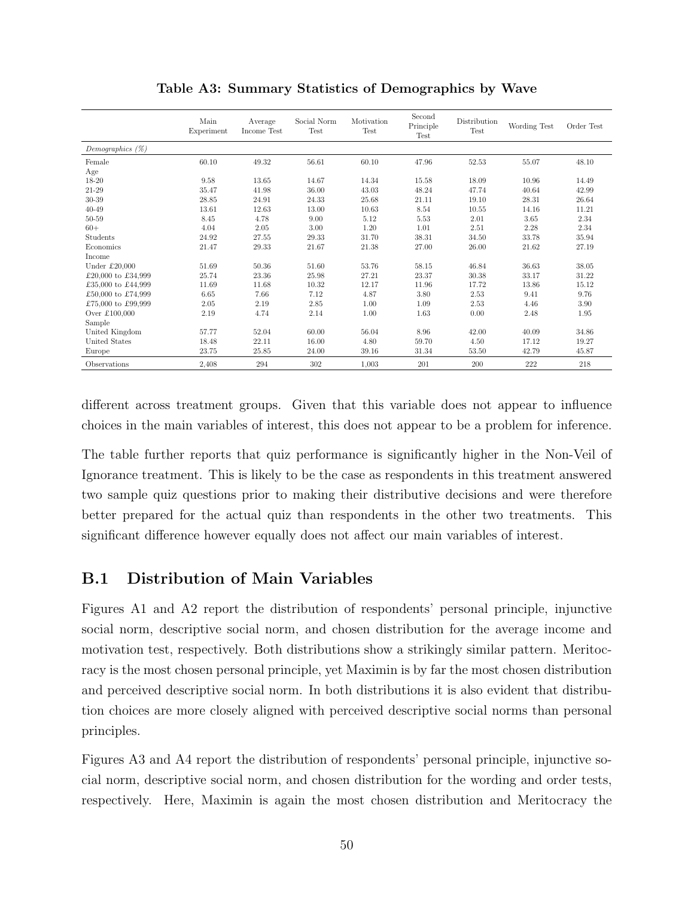|                      | Main<br>Experiment | Average<br>Income Test | Social Norm<br><b>Test</b> | Motivation<br><b>Test</b> | Second<br>Principle<br><b>Test</b> | Distribution<br>Test | Wording Test | Order Test |
|----------------------|--------------------|------------------------|----------------------------|---------------------------|------------------------------------|----------------------|--------------|------------|
| Demographics $(\%)$  |                    |                        |                            |                           |                                    |                      |              |            |
| Female               | 60.10              | 49.32                  | 56.61                      | 60.10                     | 47.96                              | 52.53                | 55.07        | 48.10      |
| Age                  |                    |                        |                            |                           |                                    |                      |              |            |
| 18-20                | 9.58               | 13.65                  | 14.67                      | 14.34                     | 15.58                              | 18.09                | 10.96        | 14.49      |
| 21-29                | 35.47              | 41.98                  | 36.00                      | 43.03                     | 48.24                              | 47.74                | 40.64        | 42.99      |
| 30-39                | 28.85              | 24.91                  | 24.33                      | 25.68                     | 21.11                              | 19.10                | 28.31        | 26.64      |
| $40 - 49$            | 13.61              | 12.63                  | 13.00                      | 10.63                     | 8.54                               | 10.55                | 14.16        | 11.21      |
| 50-59                | 8.45               | 4.78                   | 9.00                       | 5.12                      | 5.53                               | 2.01                 | 3.65         | 2.34       |
| $60+$                | 4.04               | 2.05                   | 3.00                       | 1.20                      | 1.01                               | 2.51                 | 2.28         | 2.34       |
| Students             | 24.92              | 27.55                  | 29.33                      | 31.70                     | 38.31                              | 34.50                | 33.78        | 35.94      |
| Economics            | 21.47              | 29.33                  | 21.67                      | 21.38                     | 27.00                              | 26.00                | 21.62        | 27.19      |
| Income               |                    |                        |                            |                           |                                    |                      |              |            |
| Under $£20,000$      | 51.69              | 50.36                  | 51.60                      | 53.76                     | 58.15                              | 46.84                | 36.63        | 38.05      |
| £20,000 to £34,999   | 25.74              | 23.36                  | 25.98                      | 27.21                     | 23.37                              | 30.38                | 33.17        | 31.22      |
| £35,000 to £44,999   | 11.69              | 11.68                  | 10.32                      | 12.17                     | 11.96                              | 17.72                | 13.86        | 15.12      |
| £50,000 to £74,999   | 6.65               | 7.66                   | 7.12                       | 4.87                      | 3.80                               | 2.53                 | 9.41         | 9.76       |
| £75,000 to £99,999   | 2.05               | 2.19                   | 2.85                       | 1.00                      | 1.09                               | 2.53                 | 4.46         | 3.90       |
| Over £100,000        | 2.19               | 4.74                   | 2.14                       | 1.00                      | 1.63                               | 0.00                 | 2.48         | 1.95       |
| Sample               |                    |                        |                            |                           |                                    |                      |              |            |
| United Kingdom       | 57.77              | 52.04                  | 60.00                      | 56.04                     | 8.96                               | 42.00                | 40.09        | 34.86      |
| <b>United States</b> | 18.48              | 22.11                  | 16.00                      | 4.80                      | 59.70                              | 4.50                 | 17.12        | 19.27      |
| Europe               | 23.75              | 25.85                  | 24.00                      | 39.16                     | 31.34                              | 53.50                | 42.79        | 45.87      |
| Observations         | 2.408              | 294                    | 302                        | 1.003                     | 201                                | 200                  | 222          | 218        |

Table A3: Summary Statistics of Demographics by Wave

different across treatment groups. Given that this variable does not appear to influence choices in the main variables of interest, this does not appear to be a problem for inference.

The table further reports that quiz performance is significantly higher in the Non-Veil of Ignorance treatment. This is likely to be the case as respondents in this treatment answered two sample quiz questions prior to making their distributive decisions and were therefore better prepared for the actual quiz than respondents in the other two treatments. This significant difference however equally does not affect our main variables of interest.

# B.1 Distribution of Main Variables

Figures A1 and A2 report the distribution of respondents' personal principle, injunctive social norm, descriptive social norm, and chosen distribution for the average income and motivation test, respectively. Both distributions show a strikingly similar pattern. Meritocracy is the most chosen personal principle, yet Maximin is by far the most chosen distribution and perceived descriptive social norm. In both distributions it is also evident that distribution choices are more closely aligned with perceived descriptive social norms than personal principles.

Figures A3 and A4 report the distribution of respondents' personal principle, injunctive social norm, descriptive social norm, and chosen distribution for the wording and order tests, respectively. Here, Maximin is again the most chosen distribution and Meritocracy the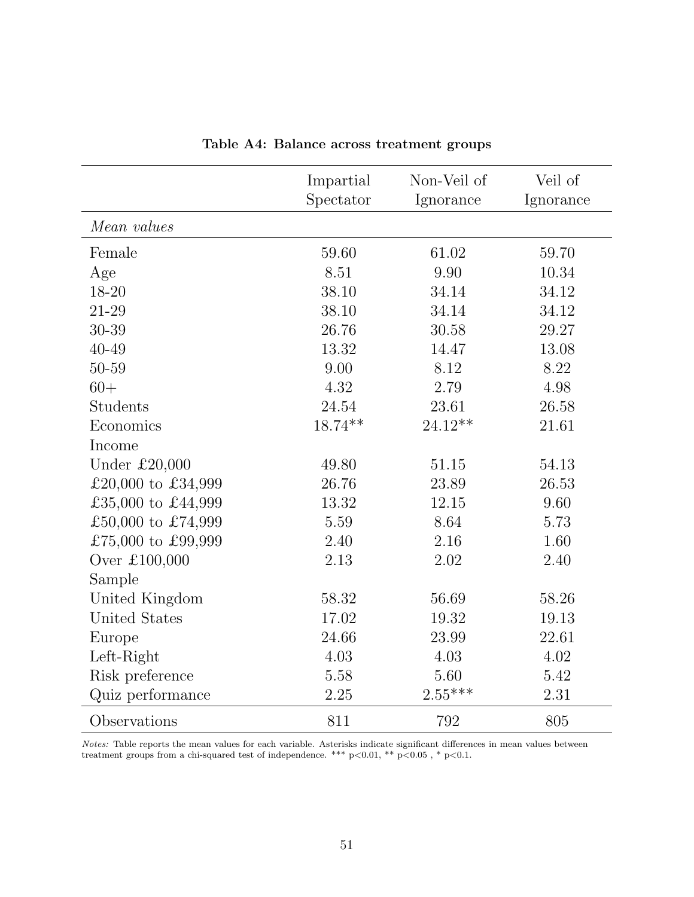|                      | Impartial<br>Spectator | Non-Veil of<br>Ignorance | Veil of<br>Ignorance |
|----------------------|------------------------|--------------------------|----------------------|
| Mean values          |                        |                          |                      |
| Female               | 59.60                  | 61.02                    | 59.70                |
| Age                  | 8.51                   | 9.90                     | 10.34                |
| 18-20                | 38.10                  | 34.14                    | 34.12                |
| 21-29                | 38.10                  | 34.14                    | 34.12                |
| 30-39                | 26.76                  | 30.58                    | 29.27                |
| 40-49                | 13.32                  | 14.47                    | 13.08                |
| 50-59                | 9.00                   | 8.12                     | 8.22                 |
| $60+$                | 4.32                   | 2.79                     | 4.98                 |
| <b>Students</b>      | 24.54                  | 23.61                    | 26.58                |
| Economics            | $18.74**$              | $24.12**$                | 21.61                |
| Income               |                        |                          |                      |
| Under $£20,000$      | 49.80                  | 51.15                    | 54.13                |
| £20,000 to £34,999   | 26.76                  | 23.89                    | 26.53                |
| £35,000 to £44,999   | 13.32                  | 12.15                    | 9.60                 |
| £50,000 to £74,999   | 5.59                   | 8.64                     | 5.73                 |
| £75,000 to £99,999   | 2.40                   | 2.16                     | 1.60                 |
| Over £100,000        | 2.13                   | 2.02                     | 2.40                 |
| Sample               |                        |                          |                      |
| United Kingdom       | 58.32                  | 56.69                    | 58.26                |
| <b>United States</b> | 17.02                  | 19.32                    | 19.13                |
| Europe               | 24.66                  | 23.99                    | 22.61                |
| Left-Right           | 4.03                   | 4.03                     | 4.02                 |
| Risk preference      | 5.58                   | 5.60                     | 5.42                 |
| Quiz performance     | 2.25                   | $2.55***$                | 2.31                 |
| Observations         | 811                    | 792                      | 805                  |

Table A4: Balance across treatment groups

Notes: Table reports the mean values for each variable. Asterisks indicate significant differences in mean values between treatment groups from a chi-squared test of independence. \*\*\* p<0.01, \*\* p<0.05 , \* p<0.1.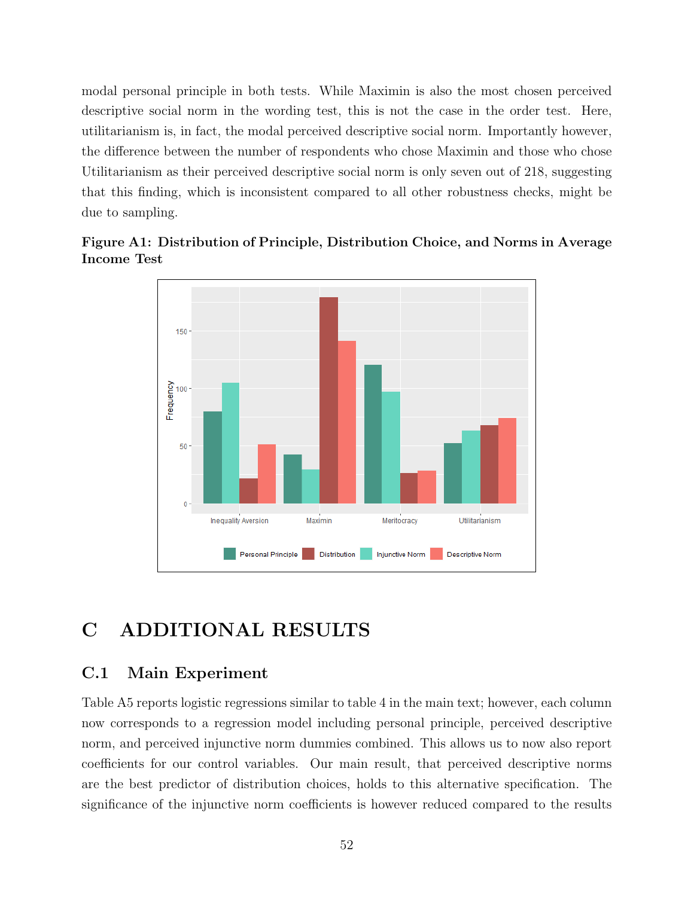modal personal principle in both tests. While Maximin is also the most chosen perceived descriptive social norm in the wording test, this is not the case in the order test. Here, utilitarianism is, in fact, the modal perceived descriptive social norm. Importantly however, the difference between the number of respondents who chose Maximin and those who chose Utilitarianism as their perceived descriptive social norm is only seven out of 218, suggesting that this finding, which is inconsistent compared to all other robustness checks, might be due to sampling.





# C ADDITIONAL RESULTS

## C.1 Main Experiment

Table A5 reports logistic regressions similar to table 4 in the main text; however, each column now corresponds to a regression model including personal principle, perceived descriptive norm, and perceived injunctive norm dummies combined. This allows us to now also report coefficients for our control variables. Our main result, that perceived descriptive norms are the best predictor of distribution choices, holds to this alternative specification. The significance of the injunctive norm coefficients is however reduced compared to the results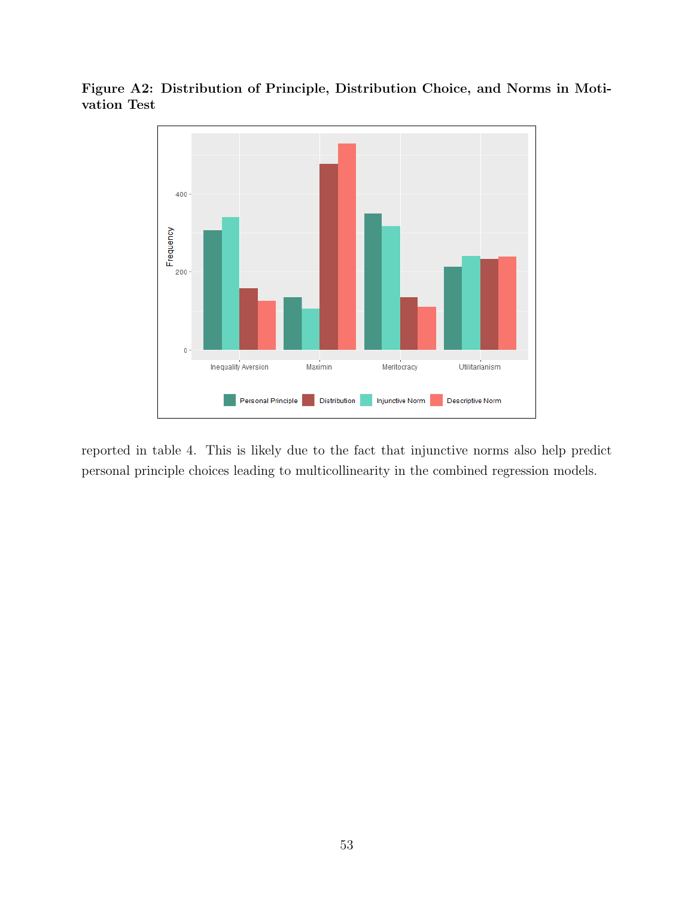

Figure A2: Distribution of Principle, Distribution Choice, and Norms in Motivation Test

reported in table 4. This is likely due to the fact that injunctive norms also help predict personal principle choices leading to multicollinearity in the combined regression models.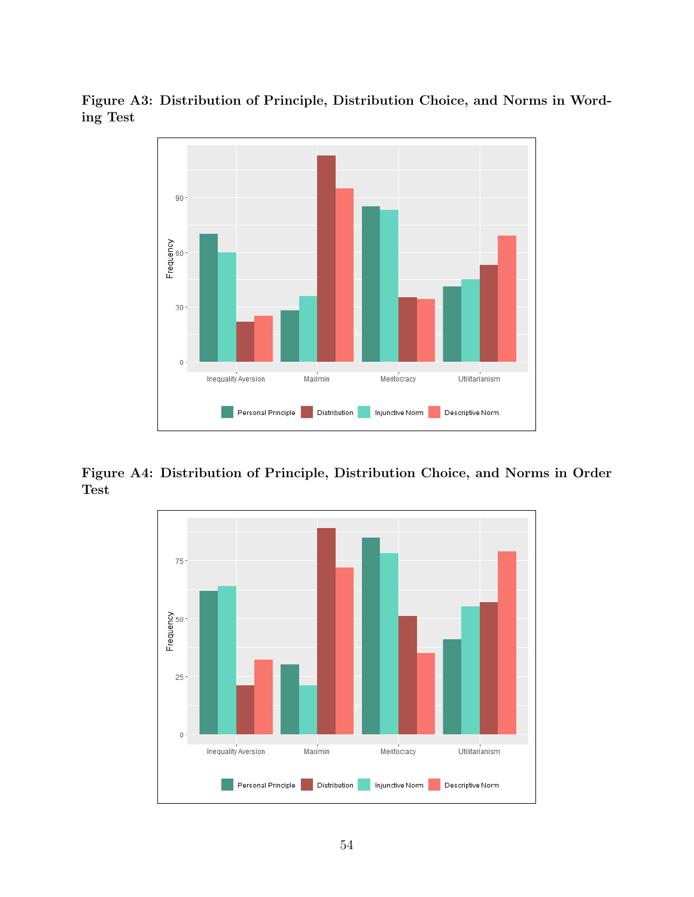Figure A3: Distribution of Principle, Distribution Choice, and Norms in Wording Test



Figure A4: Distribution of Principle, Distribution Choice, and Norms in Order Test

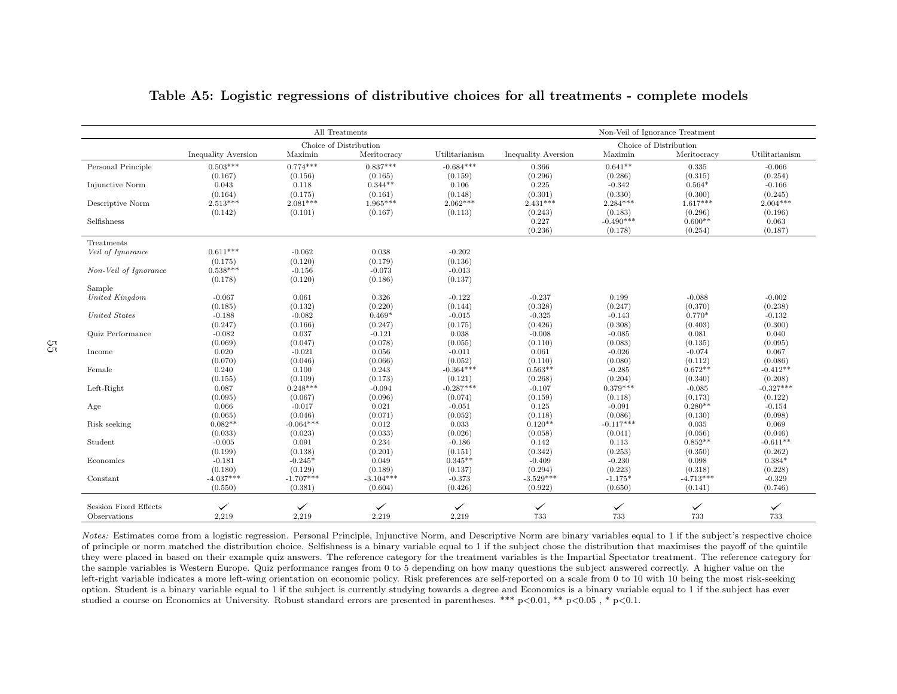|                              |                     |              | All Treatments         |                |                            |              | Non-Veil of Ignorance Treatment |                |
|------------------------------|---------------------|--------------|------------------------|----------------|----------------------------|--------------|---------------------------------|----------------|
|                              |                     |              | Choice of Distribution |                |                            |              | Choice of Distribution          |                |
|                              | Inequality Aversion | Maximin      | Meritocracy            | Utilitarianism | <b>Inequality Aversion</b> | Maximin      | Meritocracy                     | Utilitarianism |
| Personal Principle           | $0.503***$          | $0.774***$   | $0.837***$             | $-0.684***$    | 0.366                      | $0.641**$    | 0.335                           | $-0.066$       |
|                              | (0.167)             | (0.156)      | (0.165)                | (0.159)        | (0.296)                    | (0.286)      | (0.315)                         | (0.254)        |
| Injunctive Norm              | 0.043               | 0.118        | $0.344**$              | 0.106          | 0.225                      | $-0.342$     | $0.564*$                        | $-0.166$       |
|                              | (0.164)             | (0.175)      | (0.161)                | (0.148)        | (0.301)                    | (0.330)      | (0.300)                         | (0.245)        |
| Descriptive Norm             | $2.513***$          | $2.081***$   | $1.965***$             | $2.062***$     | $2.431***$                 | $2.284***$   | $1.617***$                      | $2.004***$     |
|                              | (0.142)             | (0.101)      | (0.167)                | (0.113)        | (0.243)                    | (0.183)      | (0.296)                         | (0.196)        |
| Selfishness                  |                     |              |                        |                | 0.227                      | $-0.490***$  | $0.600**$                       | 0.063          |
|                              |                     |              |                        |                | (0.236)                    | (0.178)      | (0.254)                         | (0.187)        |
| Treatments                   |                     |              |                        |                |                            |              |                                 |                |
| Veil of Ignorance            | $0.611***$          | $-0.062$     | 0.038                  | $-0.202$       |                            |              |                                 |                |
|                              | (0.175)             | (0.120)      | (0.179)                | (0.136)        |                            |              |                                 |                |
| Non-Veil of Ignorance        | $0.538***$          | $-0.156$     | $-0.073$               | $-0.013$       |                            |              |                                 |                |
|                              | (0.178)             | (0.120)      | (0.186)                | (0.137)        |                            |              |                                 |                |
| Sample                       |                     |              |                        |                |                            |              |                                 |                |
| United Kingdom               | $-0.067$            | 0.061        | 0.326                  | $-0.122$       | $-0.237$                   | 0.199        | $-0.088$                        | $-0.002$       |
|                              | (0.185)             | (0.132)      | (0.220)                | (0.144)        | (0.328)                    | (0.247)      | (0.370)                         | (0.238)        |
| United States                | $-0.188$            | $-0.082$     | $0.469*$               | $-0.015$       | $-0.325$                   | $-0.143$     | $0.770*$                        | $-0.132$       |
|                              | (0.247)             | (0.166)      | (0.247)                | (0.175)        | (0.426)                    | (0.308)      | (0.403)                         | (0.300)        |
| Quiz Performance             | $-0.082$            | 0.037        | $-0.121$               | 0.038          | $-0.008$                   | $-0.085$     | 0.081                           | 0.040          |
|                              | (0.069)             | (0.047)      | (0.078)                | (0.055)        | (0.110)                    | (0.083)      | (0.135)                         | (0.095)        |
| Income                       | 0.020               | $-0.021$     | 0.056                  | $-0.011$       | 0.061                      | $-0.026$     | $-0.074$                        | 0.067          |
|                              | (0.070)             | (0.046)      | (0.066)                | (0.052)        | (0.110)                    | (0.080)      | (0.112)                         | (0.086)        |
| Female                       | 0.240               | 0.100        | 0.243                  | $-0.364***$    | $0.563**$                  | $-0.285$     | $0.672**$                       | $-0.412**$     |
|                              | (0.155)             | (0.109)      | (0.173)                | (0.121)        | (0.268)                    | (0.204)      | (0.340)                         | (0.208)        |
| Left-Right                   | 0.087               | $0.248***$   | $-0.094$               | $-0.287***$    | $-0.107$                   | $0.379***$   | $-0.085$                        | $-0.327***$    |
|                              | (0.095)             | (0.067)      | (0.096)                | (0.074)        | (0.159)                    | (0.118)      | (0.173)                         | (0.122)        |
| Age                          | 0.066               | $-0.017$     | 0.021                  | $-0.051$       | 0.125                      | $-0.091$     | $0.280**$                       | $-0.154$       |
|                              | (0.065)             | (0.046)      | (0.071)                | (0.052)        | (0.118)                    | (0.086)      | (0.130)                         | (0.098)        |
| Risk seeking                 | $0.082**$           | $-0.064***$  | 0.012                  | 0.033          | $0.120**$                  | $-0.117***$  | 0.035                           | 0.069          |
|                              | (0.033)             | (0.023)      | (0.033)                | (0.026)        | (0.058)                    | (0.041)      | (0.056)                         | (0.046)        |
| Student                      | $-0.005$            | 0.091        | 0.234                  | $-0.186$       | 0.142                      | 0.113        | $0.852**$                       | $-0.611**$     |
|                              | (0.199)             | (0.138)      | (0.201)                | (0.151)        | (0.342)                    | (0.253)      | (0.350)                         | (0.262)        |
| Economics                    | $-0.181$            | $-0.245*$    | 0.049                  | $0.345**$      | $-0.409$                   | $-0.230$     | 0.098                           | $0.384*$       |
|                              | (0.180)             | (0.129)      | (0.189)                | (0.137)        | (0.294)                    | (0.223)      | (0.318)                         | (0.228)        |
| Constant                     | $-4.037***$         | $-1.707***$  | $-3.104***$            | $-0.373$       | $-3.529***$                | $-1.175*$    | $-4.713***$                     | $-0.329$       |
|                              | (0.550)             | (0.381)      | (0.604)                | (0.426)        | (0.922)                    | (0.650)      | (0.141)                         | (0.746)        |
| <b>Session Fixed Effects</b> | $\checkmark$        | $\checkmark$ | $\checkmark$           | $\checkmark$   |                            |              | $\checkmark$                    |                |
|                              |                     |              |                        |                | $\checkmark$               | $\checkmark$ |                                 | $\checkmark$   |
| Observations                 | 2,219               | 2,219        | 2,219                  | 2,219          | 733                        | 733          | 733                             | 733            |

#### Table A5: Logistic regressions of distributive choices for all treatments - complete models

Notes: Estimates come from <sup>a</sup> logistic regression. Personal Principle, Injunctive Norm, and Descriptive Norm are binary variables equa<sup>l</sup> to <sup>1</sup> if the subject's respective choice of principle or norm matched the distribution choice. Selfishness is <sup>a</sup> binary variable equal to 1 if the subject chose the distribution that maximises the payoff of the quintile they were <sup>p</sup>laced in based on their example quiz answers. The reference category for the treatment variables is the Impartial Spectator treatment. The reference category forthe sample variables is Western Europe. Quiz performance ranges from 0 to 5 depending on how many questions the subject answered correctly. A higher value on the left-right variable indicates <sup>a</sup> more left-wing orientation on economic policy. Risk preferences are self-reported on <sup>a</sup> scale from 0 to 10 with 10 being the most risk-seeking option. Student is <sup>a</sup> binary variable equal to 1 if the subject is currently studying towards <sup>a</sup> degree and Economics is <sup>a</sup> binary variable equal to 1 if the subject has everstudied <sup>a</sup> course on Economics at University. Robust standard errors are presented in parentheses. \*\*\* <sup>p</sup><sup>&</sup>lt;0.01, \*\* <sup>p</sup><sup>&</sup>lt;0.05 , \* <sup>p</sup><0.1.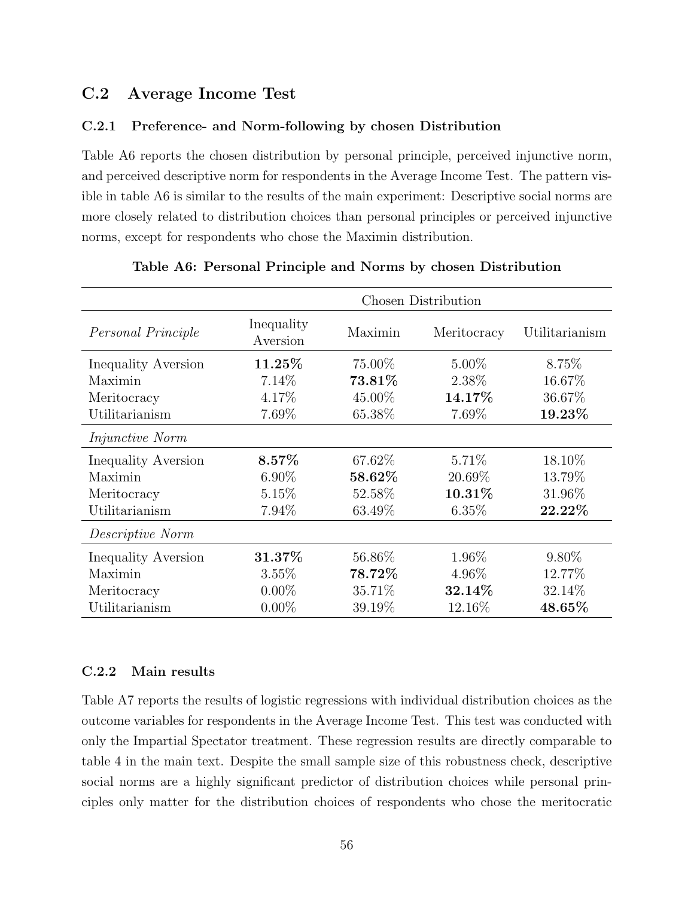# C.2 Average Income Test

### C.2.1 Preference- and Norm-following by chosen Distribution

Table A6 reports the chosen distribution by personal principle, perceived injunctive norm, and perceived descriptive norm for respondents in the Average Income Test. The pattern visible in table A6 is similar to the results of the main experiment: Descriptive social norms are more closely related to distribution choices than personal principles or perceived injunctive norms, except for respondents who chose the Maximin distribution.

|                            | Chosen Distribution    |         |             |                |  |
|----------------------------|------------------------|---------|-------------|----------------|--|
| Personal Principle         | Inequality<br>Aversion | Maximin | Meritocracy | Utilitarianism |  |
| <b>Inequality Aversion</b> | $11.25\%$              | 75.00%  | $5.00\%$    | 8.75%          |  |
| Maximin                    | 7.14%                  | 73.81\% | 2.38\%      | 16.67%         |  |
| Meritocracy                | 4.17%                  | 45.00%  | 14.17%      | 36.67%         |  |
| Utilitarianism             | 7.69%                  | 65.38%  | 7.69%       | 19.23%         |  |
| <i>Injunctive Norm</i>     |                        |         |             |                |  |
| Inequality Aversion        | $8.57\%$               | 67.62\% | $5.71\%$    | 18.10%         |  |
| Maximin                    | $6.90\%$               | 58.62%  | 20.69%      | 13.79%         |  |
| Meritocracy                | 5.15%                  | 52.58%  | 10.31%      | 31.96%         |  |
| Utilitarianism             | 7.94\%                 | 63.49\% | $6.35\%$    | 22.22%         |  |
| Descriptive Norm           |                        |         |             |                |  |
| Inequality Aversion        | 31.37%                 | 56.86%  | 1.96%       | $9.80\%$       |  |
| Maximin                    | 3.55%                  | 78.72%  | 4.96%       | 12.77%         |  |
| Meritocracy                | $0.00\%$               | 35.71\% | 32.14\%     | 32.14%         |  |
| Utilitarianism             | $0.00\%$               | 39.19%  | 12.16\%     | 48.65%         |  |

#### Table A6: Personal Principle and Norms by chosen Distribution

### C.2.2 Main results

Table A7 reports the results of logistic regressions with individual distribution choices as the outcome variables for respondents in the Average Income Test. This test was conducted with only the Impartial Spectator treatment. These regression results are directly comparable to table 4 in the main text. Despite the small sample size of this robustness check, descriptive social norms are a highly significant predictor of distribution choices while personal principles only matter for the distribution choices of respondents who chose the meritocratic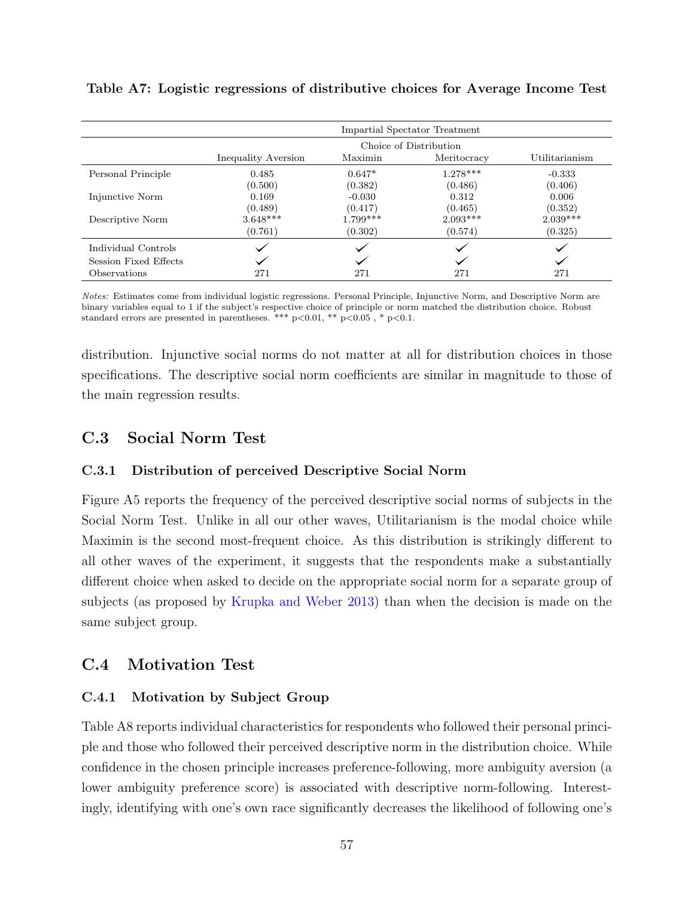|                       | Impartial Spectator Treatment |            |                        |                |  |  |
|-----------------------|-------------------------------|------------|------------------------|----------------|--|--|
|                       |                               |            | Choice of Distribution |                |  |  |
|                       | Inequality Aversion           | Maximin    | Meritocracy            | Utilitarianism |  |  |
| Personal Principle    | 0.485                         | $0.647*$   | $1.278***$             | $-0.333$       |  |  |
|                       | (0.500)                       | (0.382)    | (0.486)                | (0.406)        |  |  |
| Injunctive Norm       | 0.169                         | $-0.030$   | 0.312                  | 0.006          |  |  |
|                       | (0.489)                       | (0.417)    | (0.465)                | (0.352)        |  |  |
| Descriptive Norm      | $3.648***$                    | $1.799***$ | $2.093***$             | $2.039***$     |  |  |
|                       | (0.761)                       | (0.302)    | (0.574)                | (0.325)        |  |  |
| Individual Controls   |                               |            |                        |                |  |  |
| Session Fixed Effects |                               |            |                        |                |  |  |
| Observations          | 271                           | 271        | 271                    | 271            |  |  |

Table A7: Logistic regressions of distributive choices for Average Income Test

Notes: Estimates come from individual logistic regressions. Personal Principle, Injunctive Norm, and Descriptive Norm are binary variables equal to 1 if the subject's respective choice of principle or norm matched the distribution choice. Robust standard errors are presented in parentheses. \*\*\*  $p<0.01$ , \*\*  $p<0.05$ , \*  $p<0.1$ .

distribution. Injunctive social norms do not matter at all for distribution choices in those specifications. The descriptive social norm coefficients are similar in magnitude to those of the main regression results.

## C.3 Social Norm Test

## C.3.1 Distribution of perceived Descriptive Social Norm

Figure A5 reports the frequency of the perceived descriptive social norms of subjects in the Social Norm Test. Unlike in all our other waves, Utilitarianism is the modal choice while Maximin is the second most-frequent choice. As this distribution is strikingly different to all other waves of the experiment, it suggests that the respondents make a substantially different choice when asked to decide on the appropriate social norm for a separate group of subjects (as proposed by [Krupka and Weber](#page-44-0) [2013\)](#page-44-0) than when the decision is made on the same subject group.

# C.4 Motivation Test

## C.4.1 Motivation by Subject Group

Table A8 reports individual characteristics for respondents who followed their personal principle and those who followed their perceived descriptive norm in the distribution choice. While confidence in the chosen principle increases preference-following, more ambiguity aversion (a lower ambiguity preference score) is associated with descriptive norm-following. Interestingly, identifying with one's own race significantly decreases the likelihood of following one's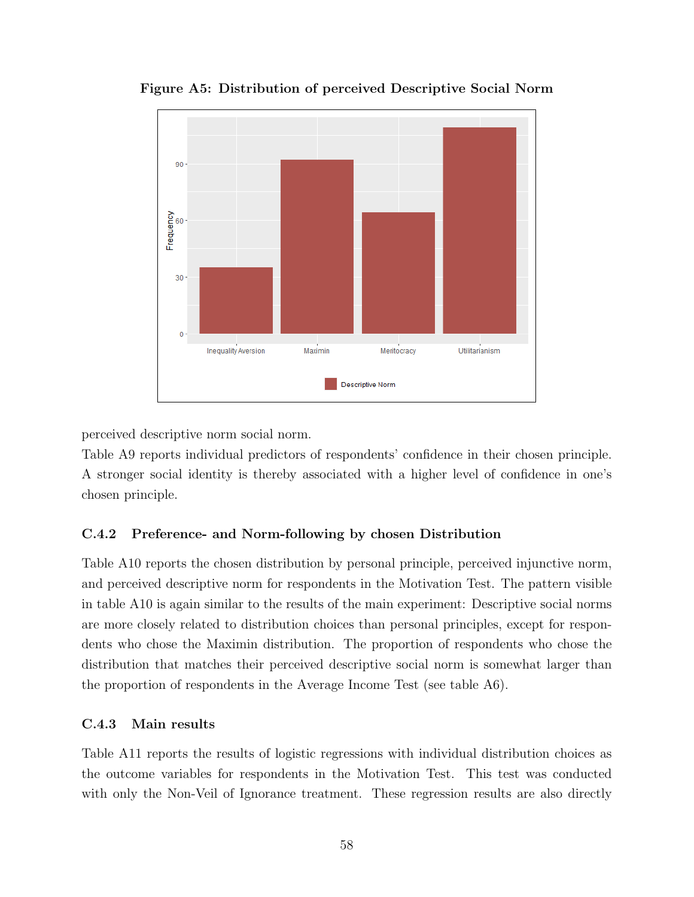

Figure A5: Distribution of perceived Descriptive Social Norm

perceived descriptive norm social norm.

Table A9 reports individual predictors of respondents' confidence in their chosen principle. A stronger social identity is thereby associated with a higher level of confidence in one's chosen principle.

## C.4.2 Preference- and Norm-following by chosen Distribution

Table A10 reports the chosen distribution by personal principle, perceived injunctive norm, and perceived descriptive norm for respondents in the Motivation Test. The pattern visible in table A10 is again similar to the results of the main experiment: Descriptive social norms are more closely related to distribution choices than personal principles, except for respondents who chose the Maximin distribution. The proportion of respondents who chose the distribution that matches their perceived descriptive social norm is somewhat larger than the proportion of respondents in the Average Income Test (see table A6).

## C.4.3 Main results

Table A11 reports the results of logistic regressions with individual distribution choices as the outcome variables for respondents in the Motivation Test. This test was conducted with only the Non-Veil of Ignorance treatment. These regression results are also directly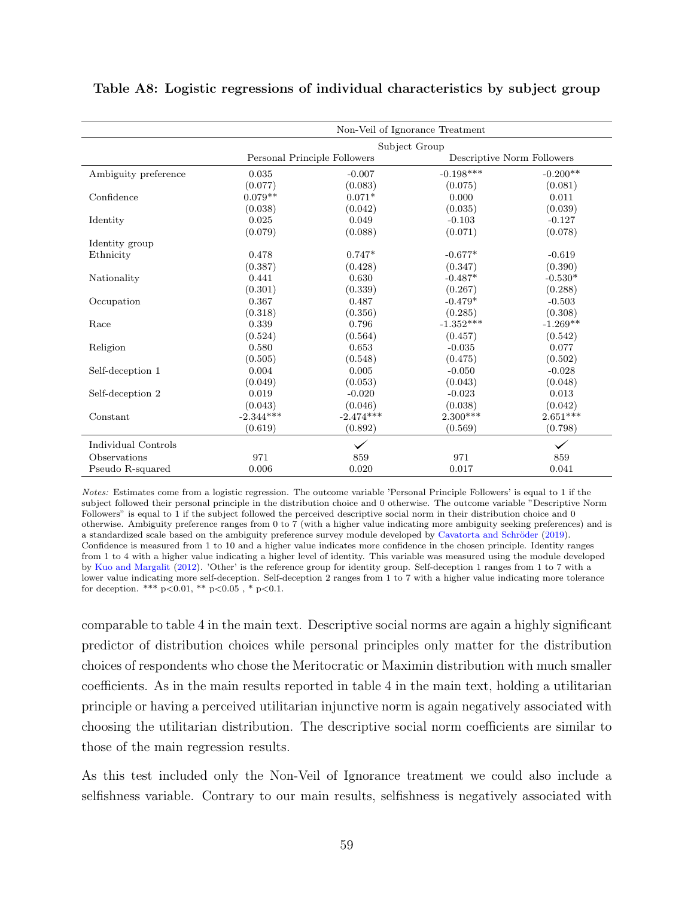|                      | Non-Veil of Ignorance Treatment |                              |                            |              |  |  |  |
|----------------------|---------------------------------|------------------------------|----------------------------|--------------|--|--|--|
|                      | Subject Group                   |                              |                            |              |  |  |  |
|                      |                                 | Personal Principle Followers | Descriptive Norm Followers |              |  |  |  |
| Ambiguity preference | 0.035                           | $-0.007$                     | $-0.198***$                | $-0.200**$   |  |  |  |
|                      | (0.077)                         | (0.083)                      | (0.075)                    | (0.081)      |  |  |  |
| Confidence           | $0.079**$                       | $0.071*$                     | 0.000                      | 0.011        |  |  |  |
|                      | (0.038)                         | (0.042)                      | (0.035)                    | (0.039)      |  |  |  |
| Identity             | 0.025                           | 0.049                        | $-0.103$                   | $-0.127$     |  |  |  |
|                      | (0.079)                         | (0.088)                      | (0.071)                    | (0.078)      |  |  |  |
| Identity group       |                                 |                              |                            |              |  |  |  |
| Ethnicity            | 0.478                           | $0.747*$                     | $-0.677*$                  | $-0.619$     |  |  |  |
|                      | (0.387)                         | (0.428)                      | (0.347)                    | (0.390)      |  |  |  |
| Nationality          | 0.441                           | 0.630                        | $-0.487*$                  | $-0.530*$    |  |  |  |
|                      | (0.301)                         | (0.339)                      | (0.267)                    | (0.288)      |  |  |  |
| Occupation           | 0.367                           | 0.487                        | $-0.479*$                  | $-0.503$     |  |  |  |
|                      | (0.318)                         | (0.356)                      | (0.285)                    | (0.308)      |  |  |  |
| Race                 | 0.339                           | 0.796                        | $-1.352***$                | $-1.269**$   |  |  |  |
|                      | (0.524)                         | (0.564)                      | (0.457)                    | (0.542)      |  |  |  |
| Religion             | 0.580                           | 0.653                        | $-0.035$                   | 0.077        |  |  |  |
|                      | (0.505)                         | (0.548)                      | (0.475)                    | (0.502)      |  |  |  |
| Self-deception 1     | 0.004                           | 0.005                        | $-0.050$                   | $-0.028$     |  |  |  |
|                      | (0.049)                         | (0.053)                      | (0.043)                    | (0.048)      |  |  |  |
| Self-deception 2     | 0.019                           | $-0.020$                     | $-0.023$                   | 0.013        |  |  |  |
|                      | (0.043)                         | (0.046)                      | (0.038)                    | (0.042)      |  |  |  |
| Constant             | $-2.344***$                     | $-2.474***$                  | $2.300***$                 | $2.651***$   |  |  |  |
|                      | (0.619)                         | (0.892)                      | (0.569)                    | (0.798)      |  |  |  |
| Individual Controls  |                                 |                              |                            | $\checkmark$ |  |  |  |
| Observations         | 971                             | 859                          | 971                        | 859          |  |  |  |
| Pseudo R-squared     | 0.006                           | 0.020                        | 0.017                      | 0.041        |  |  |  |

#### Table A8: Logistic regressions of individual characteristics by subject group

Notes: Estimates come from a logistic regression. The outcome variable 'Personal Principle Followers' is equal to 1 if the subject followed their personal principle in the distribution choice and 0 otherwise. The outcome variable "Descriptive Norm Followers" is equal to 1 if the subject followed the perceived descriptive social norm in their distribution choice and 0 otherwise. Ambiguity preference ranges from 0 to 7 (with a higher value indicating more ambiguity seeking preferences) and is a standardized scale based on the ambiguity preference survey module developed by Cavatorta and Schröder [\(2019\)](#page-42-2). Confidence is measured from 1 to 10 and a higher value indicates more confidence in the chosen principle. Identity ranges from 1 to 4 with a higher value indicating a higher level of identity. This variable was measured using the module developed by [Kuo and Margalit](#page-44-5) [\(2012\)](#page-44-5). 'Other' is the reference group for identity group. Self-deception 1 ranges from 1 to 7 with a lower value indicating more self-deception. Self-deception 2 ranges from 1 to 7 with a higher value indicating more tolerance for deception. \*\*\*  $p<0.01$ , \*\*  $p<0.05$ , \*  $p<0.1$ .

comparable to table 4 in the main text. Descriptive social norms are again a highly significant predictor of distribution choices while personal principles only matter for the distribution choices of respondents who chose the Meritocratic or Maximin distribution with much smaller coefficients. As in the main results reported in table 4 in the main text, holding a utilitarian principle or having a perceived utilitarian injunctive norm is again negatively associated with choosing the utilitarian distribution. The descriptive social norm coefficients are similar to those of the main regression results.

As this test included only the Non-Veil of Ignorance treatment we could also include a selfishness variable. Contrary to our main results, selfishness is negatively associated with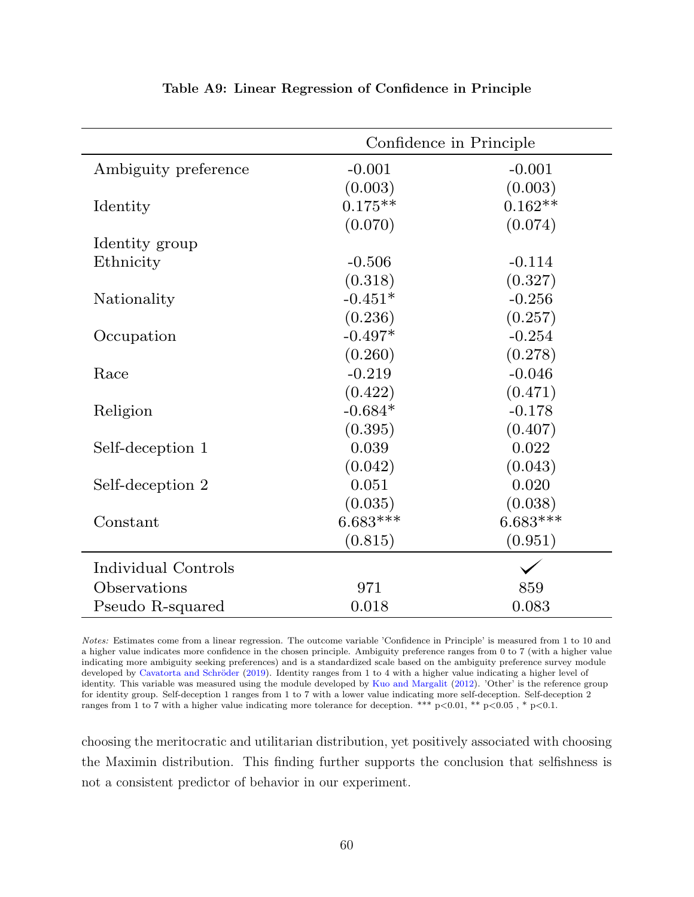|                      | Confidence in Principle |            |  |  |
|----------------------|-------------------------|------------|--|--|
| Ambiguity preference | $-0.001$                | $-0.001$   |  |  |
|                      | (0.003)                 | (0.003)    |  |  |
| Identity             | $0.175**$               | $0.162**$  |  |  |
|                      | (0.070)                 | (0.074)    |  |  |
| Identity group       |                         |            |  |  |
| Ethnicity            | $-0.506$                | $-0.114$   |  |  |
|                      | (0.318)                 | (0.327)    |  |  |
| Nationality          | $-0.451*$               | $-0.256$   |  |  |
|                      | (0.236)                 | (0.257)    |  |  |
| Occupation           | $-0.497*$               | $-0.254$   |  |  |
|                      | (0.260)                 | (0.278)    |  |  |
| Race                 | $-0.219$                | $-0.046$   |  |  |
|                      | (0.422)                 | (0.471)    |  |  |
| Religion             | $-0.684*$               | $-0.178$   |  |  |
|                      | (0.395)                 | (0.407)    |  |  |
| Self-deception 1     | 0.039                   | 0.022      |  |  |
|                      | (0.042)                 | (0.043)    |  |  |
| Self-deception 2     | 0.051                   | 0.020      |  |  |
|                      | (0.035)                 | (0.038)    |  |  |
| Constant             | $6.683***$              | $6.683***$ |  |  |
|                      | (0.815)                 | (0.951)    |  |  |
| Individual Controls  |                         |            |  |  |
| Observations         | 971                     | 859        |  |  |
| Pseudo R-squared     | 0.018                   | 0.083      |  |  |

#### Table A9: Linear Regression of Confidence in Principle

Notes: Estimates come from a linear regression. The outcome variable 'Confidence in Principle' is measured from 1 to 10 and a higher value indicates more confidence in the chosen principle. Ambiguity preference ranges from 0 to 7 (with a higher value indicating more ambiguity seeking preferences) and is a standardized scale based on the ambiguity preference survey module developed by Cavatorta and Schröder [\(2019\)](#page-42-2). Identity ranges from 1 to 4 with a higher value indicating a higher level of identity. This variable was measured using the module developed by [Kuo and Margalit](#page-44-5) [\(2012\)](#page-44-5). 'Other' is the reference group for identity group. Self-deception 1 ranges from 1 to 7 with a lower value indicating more self-deception. Self-deception 2 ranges from 1 to 7 with a higher value indicating more tolerance for deception. \*\*\* p<0.01, \*\* p<0.05 , \* p<0.1.

choosing the meritocratic and utilitarian distribution, yet positively associated with choosing the Maximin distribution. This finding further supports the conclusion that selfishness is not a consistent predictor of behavior in our experiment.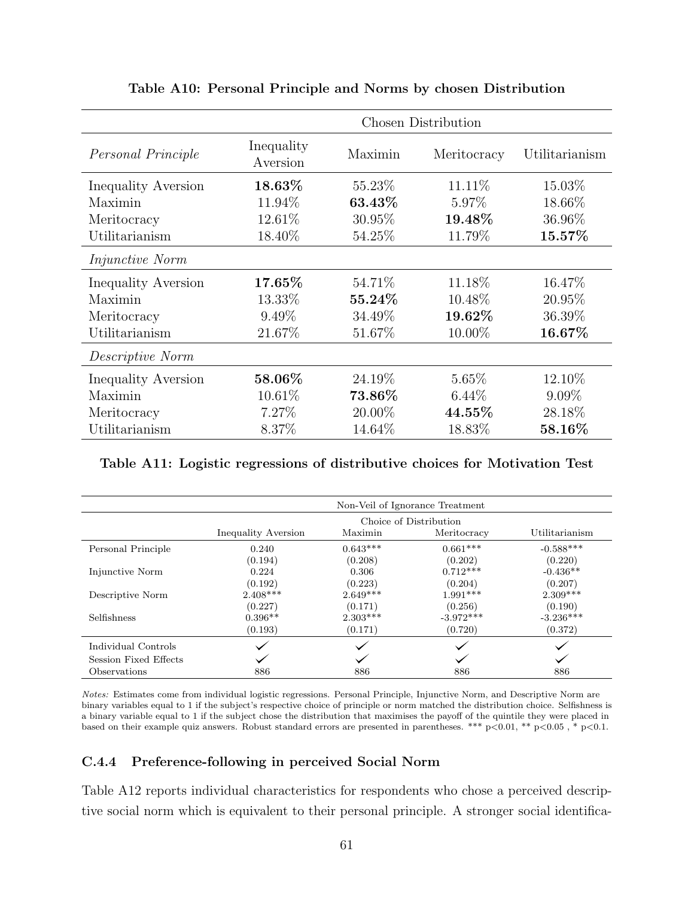|                            | Chosen Distribution    |           |             |                |  |  |
|----------------------------|------------------------|-----------|-------------|----------------|--|--|
| Personal Principle         | Inequality<br>Aversion | Maximin   | Meritocracy | Utilitarianism |  |  |
| Inequality Aversion        | 18.63%                 | 55.23%    | 11.11\%     | 15.03%         |  |  |
| Maximin                    | 11.94%                 | 63.43%    | 5.97%       | 18.66%         |  |  |
| Meritocracy                | 12.61%                 | 30.95%    | 19.48%      | 36.96%         |  |  |
| Utilitarianism             | 18.40%                 | 54.25%    | 11.79%      | 15.57%         |  |  |
| <i>Injunctive Norm</i>     |                        |           |             |                |  |  |
| Inequality Aversion        | 17.65%                 | 54.71%    | 11.18%      | 16.47%         |  |  |
| Maximin                    | 13.33%                 | 55.24\%   | 10.48\%     | 20.95%         |  |  |
| Meritocracy                | $9.49\%$               | 34.49%    | 19.62%      | 36.39%         |  |  |
| Utilitarianism             | 21.67%                 | 51.67%    | $10.00\%$   | 16.67%         |  |  |
| Descriptive Norm           |                        |           |             |                |  |  |
| <b>Inequality Aversion</b> | 58.06%                 | 24.19\%   | $5.65\%$    | 12.10%         |  |  |
| Maximin                    | $10.61\%$              | $73.86\%$ | $6.44\%$    | $9.09\%$       |  |  |
| Meritocracy                | 7.27%                  | 20.00%    | $44.55\%$   | 28.18%         |  |  |
| Utilitarianism             | 8.37%                  | 14.64%    | 18.83%      | 58.16%         |  |  |

### Table A10: Personal Principle and Norms by chosen Distribution

### Table A11: Logistic regressions of distributive choices for Motivation Test

|                       | Non-Veil of Ignorance Treatment |            |                        |                |  |  |  |
|-----------------------|---------------------------------|------------|------------------------|----------------|--|--|--|
|                       |                                 |            | Choice of Distribution |                |  |  |  |
|                       | Inequality Aversion             | Maximin    | Meritocracy            | Utilitarianism |  |  |  |
| Personal Principle    | 0.240                           | $0.643***$ | $0.661***$             | $-0.588***$    |  |  |  |
|                       | (0.194)                         | (0.208)    | (0.202)                | (0.220)        |  |  |  |
| Injunctive Norm       | 0.224                           | 0.306      | $0.712***$             | $-0.436**$     |  |  |  |
|                       | (0.192)                         | (0.223)    | (0.204)                | (0.207)        |  |  |  |
| Descriptive Norm      | $2.408***$                      | $2.649***$ | $1.991***$             | $2.309***$     |  |  |  |
|                       | (0.227)                         | (0.171)    | (0.256)                | (0.190)        |  |  |  |
| Selfishness           | $0.396**$                       | $2.303***$ | $-3.972***$            | $-3.236***$    |  |  |  |
|                       | (0.193)                         | (0.171)    | (0.720)                | (0.372)        |  |  |  |
| Individual Controls   |                                 |            |                        |                |  |  |  |
| Session Fixed Effects |                                 |            |                        |                |  |  |  |
| Observations          | 886                             | 886        | 886                    | 886            |  |  |  |

Notes: Estimates come from individual logistic regressions. Personal Principle, Injunctive Norm, and Descriptive Norm are binary variables equal to 1 if the subject's respective choice of principle or norm matched the distribution choice. Selfishness is a binary variable equal to 1 if the subject chose the distribution that maximises the payoff of the quintile they were placed in based on their example quiz answers. Robust standard errors are presented in parentheses. \*\*\* p<0.01, \*\* p<0.05 , \* p<0.1.

### C.4.4 Preference-following in perceived Social Norm

Table A12 reports individual characteristics for respondents who chose a perceived descriptive social norm which is equivalent to their personal principle. A stronger social identifica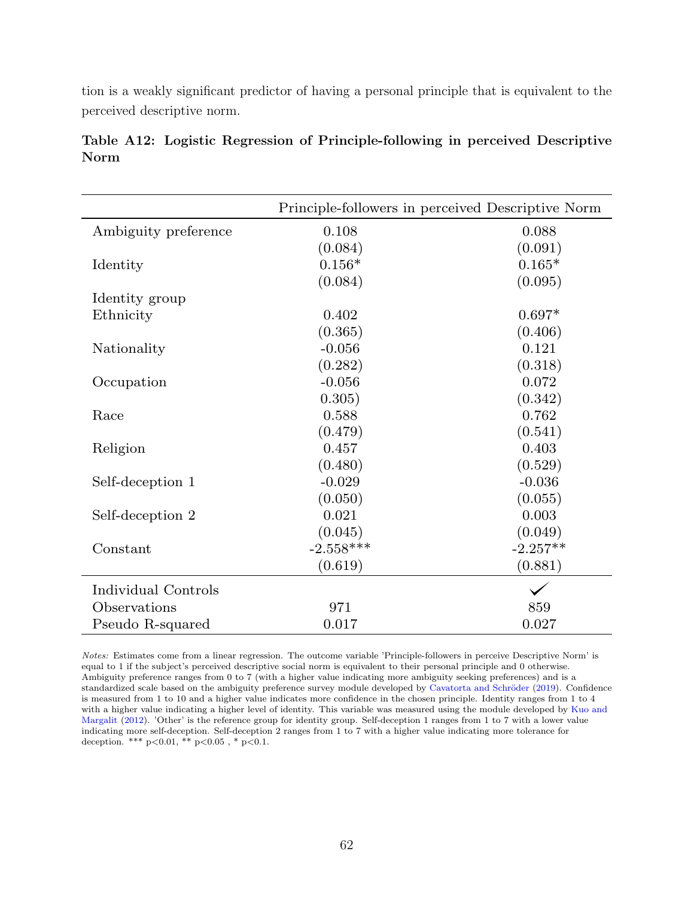tion is a weakly significant predictor of having a personal principle that is equivalent to the perceived descriptive norm.

|                      |             | Principle-followers in perceived Descriptive Norm |
|----------------------|-------------|---------------------------------------------------|
| Ambiguity preference | 0.108       | 0.088                                             |
|                      | (0.084)     | (0.091)                                           |
| Identity             | $0.156*$    | $0.165*$                                          |
|                      | (0.084)     | (0.095)                                           |
| Identity group       |             |                                                   |
| Ethnicity            | 0.402       | $0.697*$                                          |
|                      | (0.365)     | (0.406)                                           |
| Nationality          | $-0.056$    | 0.121                                             |
|                      | (0.282)     | (0.318)                                           |
| Occupation           | $-0.056$    | 0.072                                             |
|                      | 0.305)      | (0.342)                                           |
| Race                 | 0.588       | 0.762                                             |
|                      | (0.479)     | (0.541)                                           |
| Religion             | 0.457       | 0.403                                             |
|                      | (0.480)     | (0.529)                                           |
| Self-deception 1     | $-0.029$    | $-0.036$                                          |
|                      | (0.050)     | (0.055)                                           |
| Self-deception 2     | 0.021       | 0.003                                             |
|                      | (0.045)     | (0.049)                                           |
| Constant             | $-2.558***$ | $-2.257**$                                        |
|                      | (0.619)     | (0.881)                                           |
| Individual Controls  |             |                                                   |
| Observations         | 971         | 859                                               |
| Pseudo R-squared     | 0.017       | 0.027                                             |

Table A12: Logistic Regression of Principle-following in perceived Descriptive Norm

Notes: Estimates come from a linear regression. The outcome variable 'Principle-followers in perceive Descriptive Norm' is equal to 1 if the subject's perceived descriptive social norm is equivalent to their personal principle and 0 otherwise. Ambiguity preference ranges from 0 to 7 (with a higher value indicating more ambiguity seeking preferences) and is a standardized scale based on the ambiguity preference survey module developed by Cavatorta and Schröder [\(2019\)](#page-42-2). Confidence is measured from 1 to 10 and a higher value indicates more confidence in the chosen principle. Identity ranges from 1 to 4 with a higher value indicating a higher level of identity. This variable was measured using the module developed by [Kuo and](#page-44-5) [Margalit](#page-44-5) [\(2012\)](#page-44-5). 'Other' is the reference group for identity group. Self-deception 1 ranges from 1 to 7 with a lower value indicating more self-deception. Self-deception 2 ranges from 1 to 7 with a higher value indicating more tolerance for deception. \*\*\* p<0.01, \*\* p<0.05 , \* p<0.1.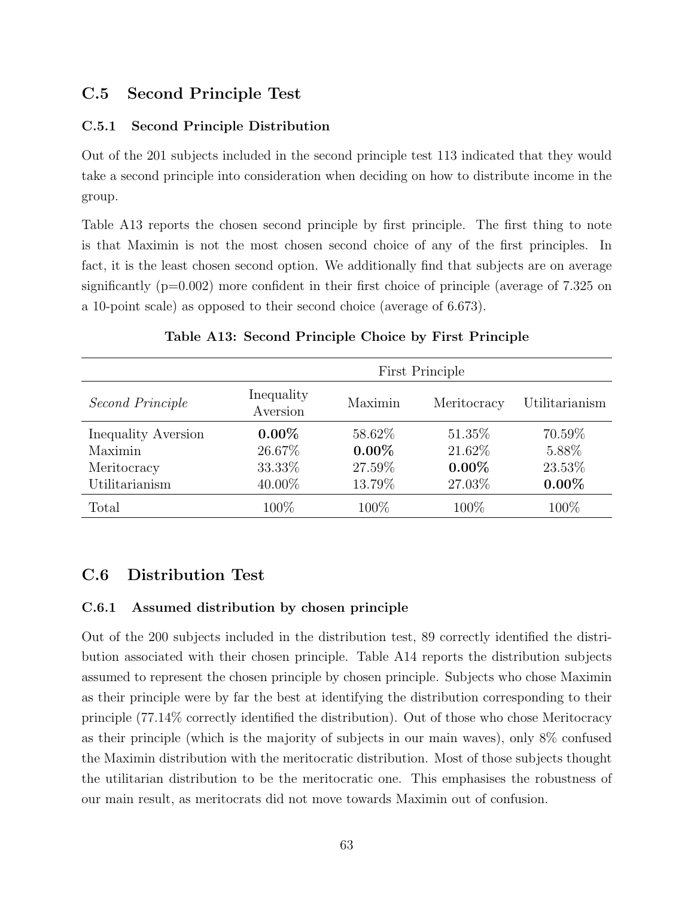# C.5 Second Principle Test

### C.5.1 Second Principle Distribution

Out of the 201 subjects included in the second principle test 113 indicated that they would take a second principle into consideration when deciding on how to distribute income in the group.

Table A13 reports the chosen second principle by first principle. The first thing to note is that Maximin is not the most chosen second choice of any of the first principles. In fact, it is the least chosen second option. We additionally find that subjects are on average significantly  $(p=0.002)$  more confident in their first choice of principle (average of 7.325 on a 10-point scale) as opposed to their second choice (average of 6.673).

|                     | First Principle        |          |             |                |  |
|---------------------|------------------------|----------|-------------|----------------|--|
| Second Principle    | Inequality<br>Aversion | Maximin  | Meritocracy | Utilitarianism |  |
| Inequality Aversion | $0.00\%$               | 58.62\%  | 51.35%      | 70.59%         |  |
| Maximin             | 26.67%                 | $0.00\%$ | 21.62%      | 5.88%          |  |
| Meritocracy         | 33.33%                 | 27.59%   | $0.00\%$    | 23.53%         |  |
| Utilitarianism      | 40.00%                 | 13.79%   | 27.03%      | $0.00\%$       |  |
| Total               | 100\%                  | 100%     | 100%        | 100%           |  |

Table A13: Second Principle Choice by First Principle

# C.6 Distribution Test

### C.6.1 Assumed distribution by chosen principle

Out of the 200 subjects included in the distribution test, 89 correctly identified the distribution associated with their chosen principle. Table A14 reports the distribution subjects assumed to represent the chosen principle by chosen principle. Subjects who chose Maximin as their principle were by far the best at identifying the distribution corresponding to their principle (77.14% correctly identified the distribution). Out of those who chose Meritocracy as their principle (which is the majority of subjects in our main waves), only 8% confused the Maximin distribution with the meritocratic distribution. Most of those subjects thought the utilitarian distribution to be the meritocratic one. This emphasises the robustness of our main result, as meritocrats did not move towards Maximin out of confusion.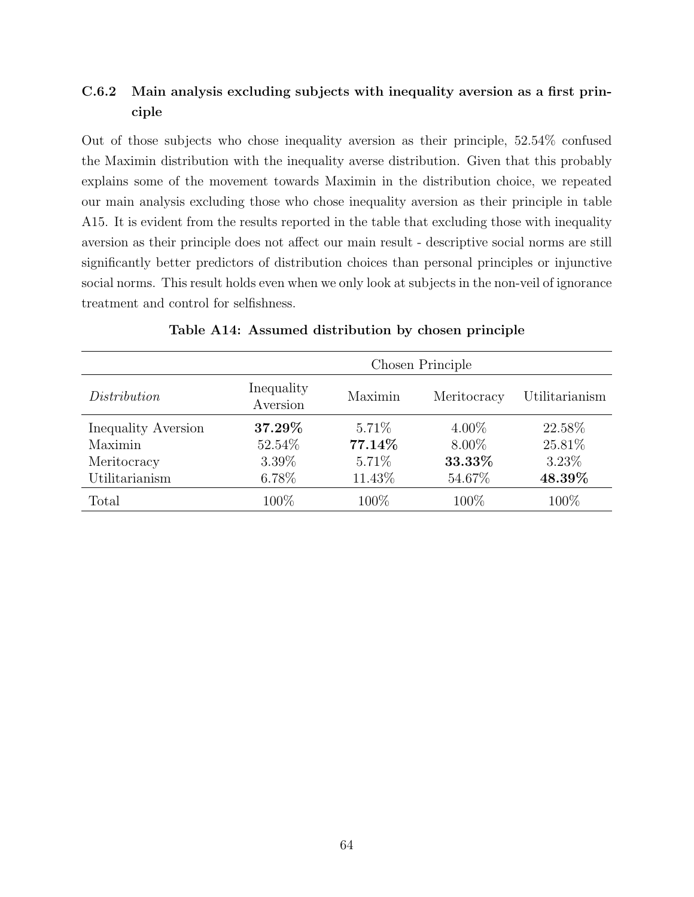# C.6.2 Main analysis excluding subjects with inequality aversion as a first principle

Out of those subjects who chose inequality aversion as their principle, 52.54% confused the Maximin distribution with the inequality averse distribution. Given that this probably explains some of the movement towards Maximin in the distribution choice, we repeated our main analysis excluding those who chose inequality aversion as their principle in table A15. It is evident from the results reported in the table that excluding those with inequality aversion as their principle does not affect our main result - descriptive social norms are still significantly better predictors of distribution choices than personal principles or injunctive social norms. This result holds even when we only look at subjects in the non-veil of ignorance treatment and control for selfishness.

|                     | Chosen Principle       |         |             |                |  |
|---------------------|------------------------|---------|-------------|----------------|--|
| Distribution        | Inequality<br>Aversion | Maximin | Meritocracy | Utilitarianism |  |
| Inequality Aversion | 37.29%                 | 5.71\%  | $4.00\%$    | 22.58%         |  |
| Maximin             | 52.54%                 | 77.14%  | $8.00\%$    | 25.81%         |  |
| Meritocracy         | 3.39%                  | 5.71%   | 33.33%      | 3.23%          |  |
| Utilitarianism      | 6.78%                  | 11.43\% | 54.67%      | 48.39%         |  |
| Total               | 100\%                  | 100%    | 100%        | 100\%          |  |

Table A14: Assumed distribution by chosen principle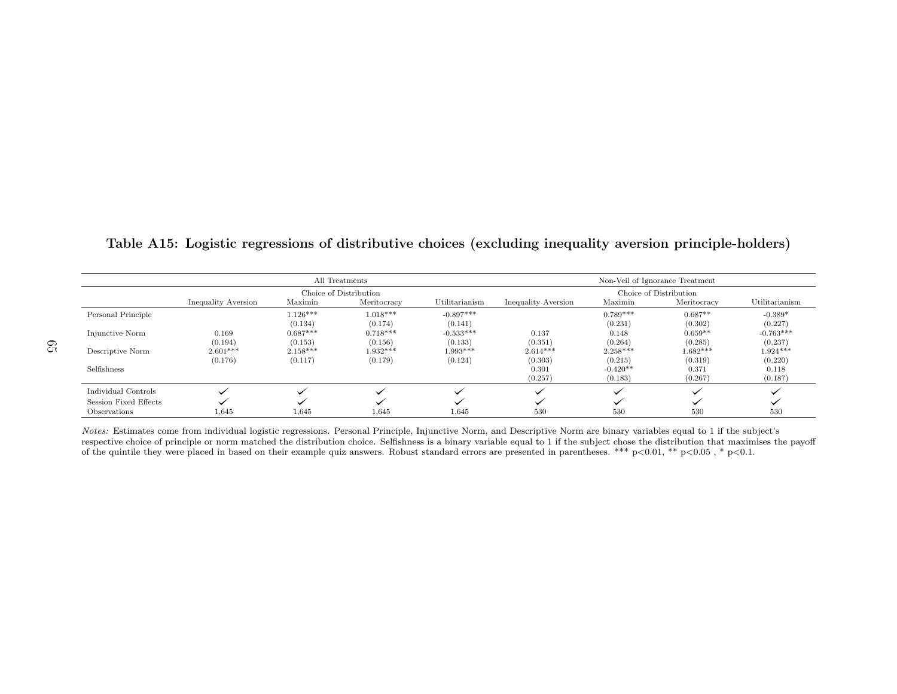|                       |                     |            | All Treatments         |                |                     |            | Non-Veil of Ignorance Treatment |                |
|-----------------------|---------------------|------------|------------------------|----------------|---------------------|------------|---------------------------------|----------------|
|                       |                     |            | Choice of Distribution |                |                     |            | Choice of Distribution          |                |
|                       | Inequality Aversion | Maximin    | Meritocracy            | Utilitarianism | Inequality Aversion | Maximin    | Meritocracy                     | Utilitarianism |
| Personal Principle    |                     | $1.126***$ | $1.018***$             | $-0.897***$    |                     | $0.789***$ | $0.687**$                       | $-0.389*$      |
|                       |                     | (0.134)    | (0.174)                | (0.141)        |                     | (0.231)    | (0.302)                         | (0.227)        |
| Injunctive Norm       | 0.169               | $0.687***$ | $0.718***$             | $-0.533***$    | 0.137               | 0.148      | $0.659**$                       | $-0.763***$    |
|                       | (0.194)             | (0.153)    | (0.156)                | (0.133)        | (0.351)             | (0.264)    | (0.285)                         | (0.237)        |
| Descriptive Norm      | $2.601***$          | $2.158***$ | $1.932***$             | $1.993***$     | $2.614***$          | $2.258***$ | $1.682***$                      | $1.924***$     |
|                       | (0.176)             | (0.117)    | (0.179)                | (0.124)        | (0.303)             | (0.215)    | (0.319)                         | (0.220)        |
| Selfishness           |                     |            |                        |                | 0.301               | $-0.420**$ | 0.371                           | 0.118          |
|                       |                     |            |                        |                | (0.257)             | (0.183)    | (0.267)                         | (0.187)        |
| Individual Controls   |                     |            |                        |                |                     |            |                                 |                |
| Session Fixed Effects |                     |            |                        |                |                     |            |                                 |                |
| Observations          | 1,645               | 1,645      | 1,645                  | 1,645          | 530                 | 530        | 530                             | 530            |

Table A15: Logistic regressions of distributive choices (excluding inequality aversion principle-holders)

Notes: Estimates come from individual logistic regressions. Personal Principle, Injunctive Norm, and Descriptive Norm are binary variables equal to 1 if the subject's respective choice of principle or norm matched the distribution choice. Selfishness is <sup>a</sup> binary variable equal to 1 if the subject chose the distribution that maximises the payoffof the quintile they were placed in based on their example quiz answers. Robust standard errors are presented in parentheses. \*\*\* p<0.01, \*\* p<0.05, \* p<0.1.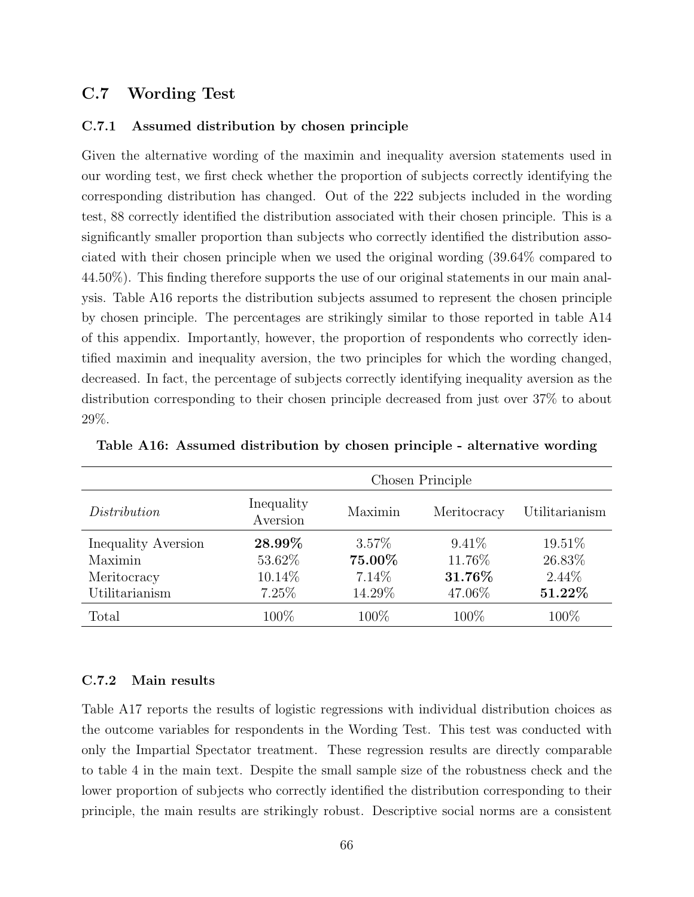### C.7 Wording Test

#### C.7.1 Assumed distribution by chosen principle

Given the alternative wording of the maximin and inequality aversion statements used in our wording test, we first check whether the proportion of subjects correctly identifying the corresponding distribution has changed. Out of the 222 subjects included in the wording test, 88 correctly identified the distribution associated with their chosen principle. This is a significantly smaller proportion than subjects who correctly identified the distribution associated with their chosen principle when we used the original wording (39.64% compared to 44.50%). This finding therefore supports the use of our original statements in our main analysis. Table A16 reports the distribution subjects assumed to represent the chosen principle by chosen principle. The percentages are strikingly similar to those reported in table A14 of this appendix. Importantly, however, the proportion of respondents who correctly identified maximin and inequality aversion, the two principles for which the wording changed, decreased. In fact, the percentage of subjects correctly identifying inequality aversion as the distribution corresponding to their chosen principle decreased from just over 37% to about 29%.

|                     | Chosen Principle       |         |             |                |  |
|---------------------|------------------------|---------|-------------|----------------|--|
| Distribution        | Inequality<br>Aversion | Maximin | Meritocracy | Utilitarianism |  |
| Inequality Aversion | 28.99%                 | 3.57%   | $9.41\%$    | 19.51%         |  |
| Maximin             | 53.62%                 | 75.00%  | 11.76%      | 26.83%         |  |
| Meritocracy         | 10.14\%                | 7.14%   | 31.76%      | $2.44\%$       |  |
| Utilitarianism      | 7.25%                  | 14.29%  | 47.06%      | 51.22%         |  |
| Total               | 100%                   | 100\%   | 100%        | 100%           |  |

Table A16: Assumed distribution by chosen principle - alternative wording

#### C.7.2 Main results

Table A17 reports the results of logistic regressions with individual distribution choices as the outcome variables for respondents in the Wording Test. This test was conducted with only the Impartial Spectator treatment. These regression results are directly comparable to table 4 in the main text. Despite the small sample size of the robustness check and the lower proportion of subjects who correctly identified the distribution corresponding to their principle, the main results are strikingly robust. Descriptive social norms are a consistent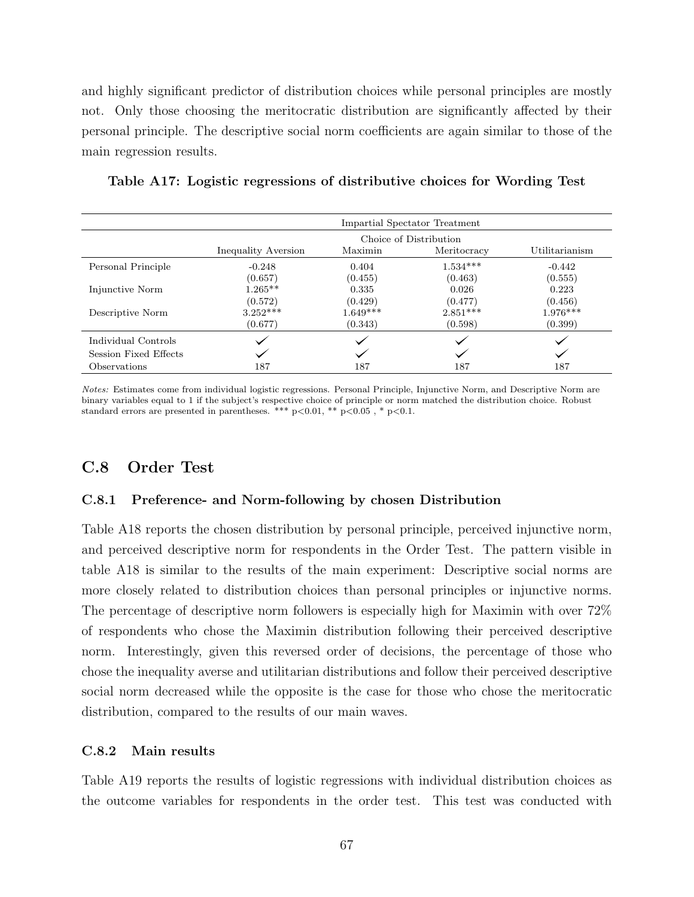and highly significant predictor of distribution choices while personal principles are mostly not. Only those choosing the meritocratic distribution are significantly affected by their personal principle. The descriptive social norm coefficients are again similar to those of the main regression results.

|                       | Impartial Spectator Treatment |            |             |                |  |
|-----------------------|-------------------------------|------------|-------------|----------------|--|
|                       | Choice of Distribution        |            |             |                |  |
|                       | Inequality Aversion           | Maximin    | Meritocracy | Utilitarianism |  |
| Personal Principle    | $-0.248$                      | 0.404      | $1.534***$  | $-0.442$       |  |
|                       | (0.657)                       | (0.455)    | (0.463)     | (0.555)        |  |
| Injunctive Norm       | $1.265**$                     | 0.335      | 0.026       | 0.223          |  |
|                       | (0.572)                       | (0.429)    | (0.477)     | (0.456)        |  |
| Descriptive Norm      | $3.252***$                    | $1.649***$ | $2.851***$  | $1.976***$     |  |
|                       | (0.677)                       | (0.343)    | (0.598)     | (0.399)        |  |
| Individual Controls   |                               |            |             |                |  |
| Session Fixed Effects |                               |            |             |                |  |
| Observations          | 187                           | 187        | 187         | 187            |  |

Table A17: Logistic regressions of distributive choices for Wording Test

Notes: Estimates come from individual logistic regressions. Personal Principle, Injunctive Norm, and Descriptive Norm are binary variables equal to 1 if the subject's respective choice of principle or norm matched the distribution choice. Robust standard errors are presented in parentheses. \*\*\*  $p<0.01$ , \*\*  $p<0.05$ , \*  $p<0.1$ .

## C.8 Order Test

#### C.8.1 Preference- and Norm-following by chosen Distribution

Table A18 reports the chosen distribution by personal principle, perceived injunctive norm, and perceived descriptive norm for respondents in the Order Test. The pattern visible in table A18 is similar to the results of the main experiment: Descriptive social norms are more closely related to distribution choices than personal principles or injunctive norms. The percentage of descriptive norm followers is especially high for Maximin with over 72% of respondents who chose the Maximin distribution following their perceived descriptive norm. Interestingly, given this reversed order of decisions, the percentage of those who chose the inequality averse and utilitarian distributions and follow their perceived descriptive social norm decreased while the opposite is the case for those who chose the meritocratic distribution, compared to the results of our main waves.

#### C.8.2 Main results

Table A19 reports the results of logistic regressions with individual distribution choices as the outcome variables for respondents in the order test. This test was conducted with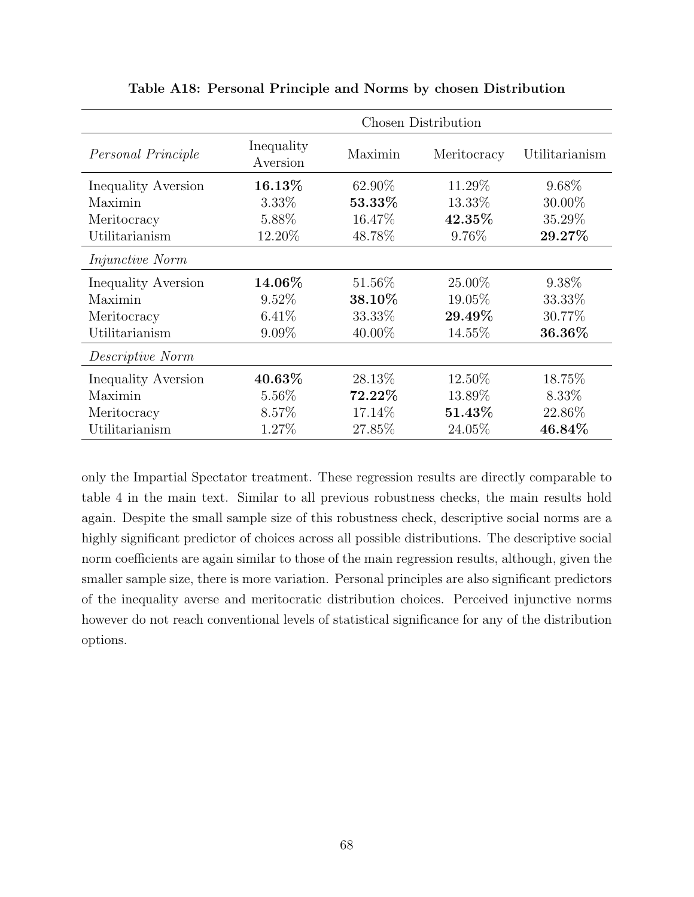|                            | <b>Chosen Distribution</b> |           |             |                |  |
|----------------------------|----------------------------|-----------|-------------|----------------|--|
| Personal Principle         | Inequality<br>Aversion     | Maximin   | Meritocracy | Utilitarianism |  |
| Inequality Aversion        | 16.13%                     | 62.90%    | 11.29%      | 9.68%          |  |
| Maximin                    | 3.33%                      | 53.33%    | 13.33%      | 30.00%         |  |
| Meritocracy                | 5.88%                      | 16.47%    | 42.35%      | 35.29%         |  |
| Utilitarianism             | 12.20%                     | 48.78%    | 9.76%       | 29.27%         |  |
| <i>Injunctive Norm</i>     |                            |           |             |                |  |
| Inequality Aversion        | 14.06%                     | 51.56%    | 25.00%      | 9.38\%         |  |
| Maximin                    | 9.52%                      | 38.10%    | 19.05%      | 33.33%         |  |
| Meritocracy                | $6.41\%$                   | 33.33%    | 29.49%      | 30.77%         |  |
| Utilitarianism             | $9.09\%$                   | $40.00\%$ | 14.55%      | 36.36%         |  |
| Descriptive Norm           |                            |           |             |                |  |
| <b>Inequality Aversion</b> | $40.63\%$                  | 28.13\%   | 12.50\%     | 18.75%         |  |
| Maximin                    | 5.56%                      | $72.22\%$ | 13.89%      | 8.33\%         |  |
| Meritocracy                | 8.57%                      | 17.14\%   | 51.43%      | 22.86%         |  |
| Utilitarianism             | 1.27%                      | 27.85%    | 24.05%      | 46.84%         |  |

Table A18: Personal Principle and Norms by chosen Distribution

only the Impartial Spectator treatment. These regression results are directly comparable to table 4 in the main text. Similar to all previous robustness checks, the main results hold again. Despite the small sample size of this robustness check, descriptive social norms are a highly significant predictor of choices across all possible distributions. The descriptive social norm coefficients are again similar to those of the main regression results, although, given the smaller sample size, there is more variation. Personal principles are also significant predictors of the inequality averse and meritocratic distribution choices. Perceived injunctive norms however do not reach conventional levels of statistical significance for any of the distribution options.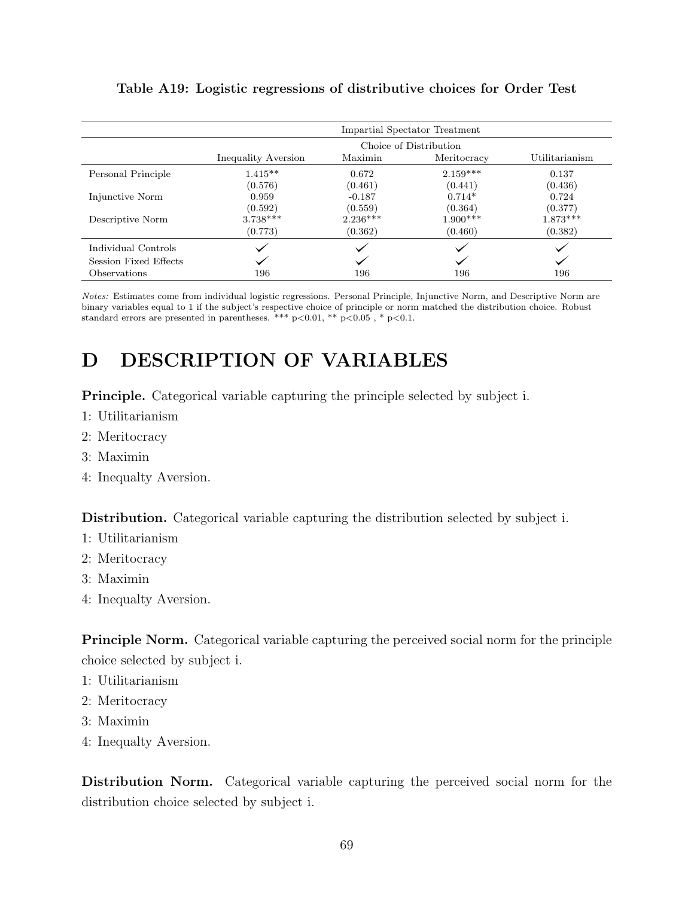|                       | Impartial Spectator Treatment |                                          |            |            |  |  |  |
|-----------------------|-------------------------------|------------------------------------------|------------|------------|--|--|--|
|                       | Choice of Distribution        |                                          |            |            |  |  |  |
|                       | Inequality Aversion           | Utilitarianism<br>Maximin<br>Meritocracy |            |            |  |  |  |
| Personal Principle    | $1.415**$                     | 0.672                                    | $2.159***$ | 0.137      |  |  |  |
|                       | (0.576)                       | (0.461)                                  | (0.441)    | (0.436)    |  |  |  |
| Injunctive Norm       | 0.959                         | $-0.187$                                 | $0.714*$   | 0.724      |  |  |  |
|                       | (0.592)                       | (0.559)                                  | (0.364)    | (0.377)    |  |  |  |
| Descriptive Norm      | $3.738***$                    | $2.236***$                               | $1.900***$ | $1.873***$ |  |  |  |
|                       | (0.773)                       | (0.362)                                  | (0.460)    | (0.382)    |  |  |  |
| Individual Controls   |                               |                                          |            |            |  |  |  |
| Session Fixed Effects |                               |                                          |            |            |  |  |  |
| Observations          | 196                           | 196                                      | 196        | 196        |  |  |  |

### Table A19: Logistic regressions of distributive choices for Order Test

Notes: Estimates come from individual logistic regressions. Personal Principle, Injunctive Norm, and Descriptive Norm are binary variables equal to 1 if the subject's respective choice of principle or norm matched the distribution choice. Robust standard errors are presented in parentheses. \*\*\*  $p<0.01$ , \*\*  $p<0.05$ , \*  $p<0.1$ .

# D DESCRIPTION OF VARIABLES

Principle. Categorical variable capturing the principle selected by subject i.

- 1: Utilitarianism
- 2: Meritocracy
- 3: Maximin
- 4: Inequalty Aversion.

Distribution. Categorical variable capturing the distribution selected by subject i.

- 1: Utilitarianism
- 2: Meritocracy
- 3: Maximin
- 4: Inequalty Aversion.

Principle Norm. Categorical variable capturing the perceived social norm for the principle choice selected by subject i.

- 1: Utilitarianism
- 2: Meritocracy
- 3: Maximin
- 4: Inequalty Aversion.

Distribution Norm. Categorical variable capturing the perceived social norm for the distribution choice selected by subject i.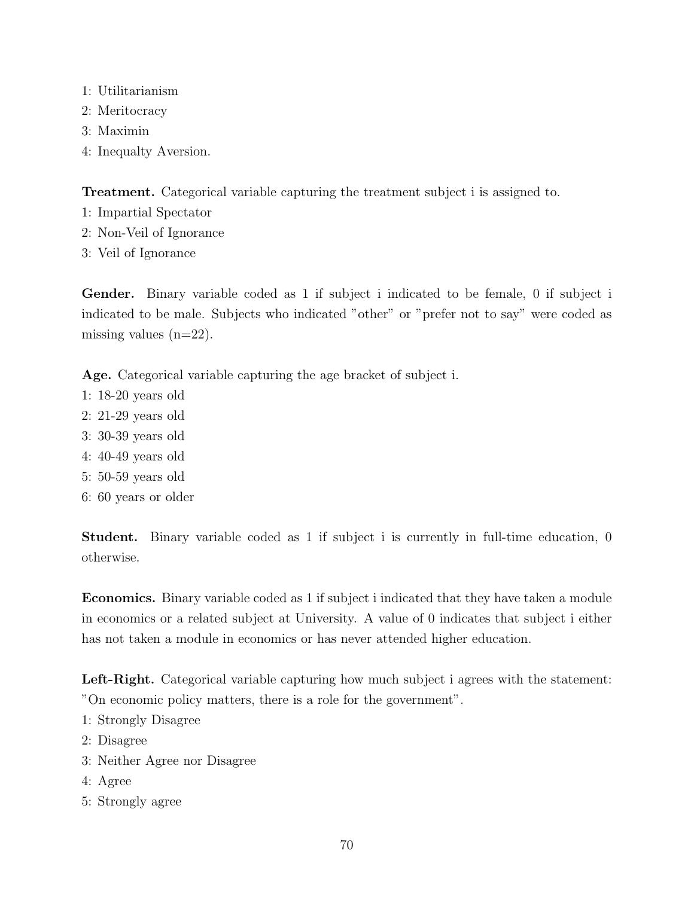- 1: Utilitarianism
- 2: Meritocracy
- 3: Maximin
- 4: Inequalty Aversion.

Treatment. Categorical variable capturing the treatment subject i is assigned to.

- 1: Impartial Spectator
- 2: Non-Veil of Ignorance
- 3: Veil of Ignorance

Gender. Binary variable coded as 1 if subject i indicated to be female, 0 if subject i indicated to be male. Subjects who indicated "other" or "prefer not to say" were coded as missing values  $(n=22)$ .

Age. Categorical variable capturing the age bracket of subject i.

- 1: 18-20 years old
- 2: 21-29 years old
- 3: 30-39 years old
- 4: 40-49 years old
- 5: 50-59 years old
- 6: 60 years or older

Student. Binary variable coded as 1 if subject i is currently in full-time education, 0 otherwise.

Economics. Binary variable coded as 1 if subject i indicated that they have taken a module in economics or a related subject at University. A value of 0 indicates that subject i either has not taken a module in economics or has never attended higher education.

Left-Right. Categorical variable capturing how much subject i agrees with the statement: "On economic policy matters, there is a role for the government".

- 1: Strongly Disagree
- 2: Disagree
- 3: Neither Agree nor Disagree
- 4: Agree
- 5: Strongly agree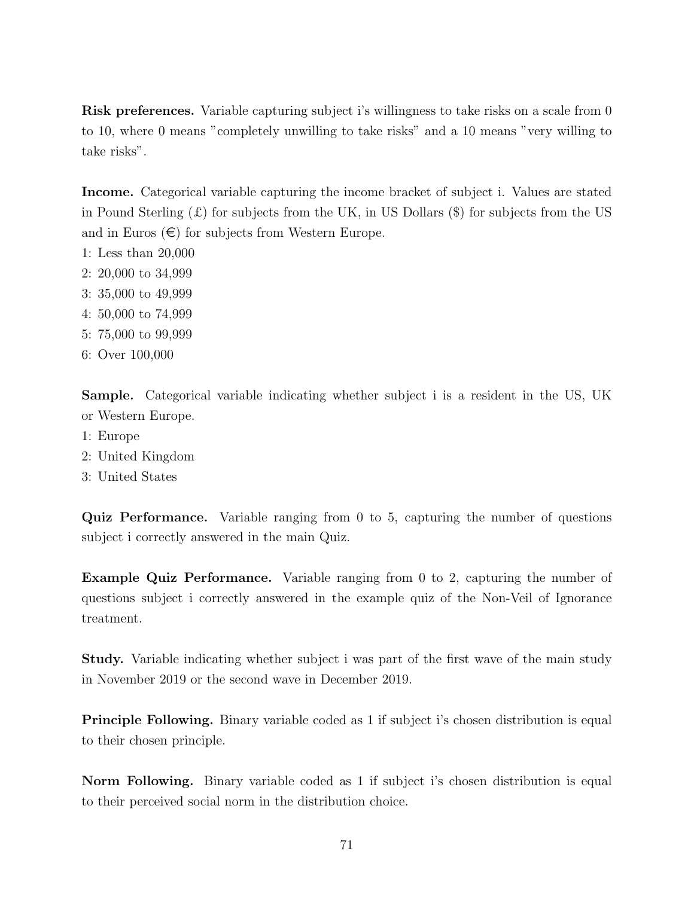Risk preferences. Variable capturing subject i's willingness to take risks on a scale from 0 to 10, where 0 means "completely unwilling to take risks" and a 10 means "very willing to take risks".

Income. Categorical variable capturing the income bracket of subject i. Values are stated in Pound Sterling  $(\mathcal{L})$  for subjects from the UK, in US Dollars  $(\mathcal{L})$  for subjects from the US and in Euros  $(\epsilon)$  for subjects from Western Europe.

- 1: Less than 20,000
- 2: 20,000 to 34,999
- 3: 35,000 to 49,999
- 4: 50,000 to 74,999
- 5: 75,000 to 99,999
- 6: Over 100,000

Sample. Categorical variable indicating whether subject i is a resident in the US, UK or Western Europe.

- 1: Europe
- 2: United Kingdom
- 3: United States

Quiz Performance. Variable ranging from 0 to 5, capturing the number of questions subject i correctly answered in the main Quiz.

Example Quiz Performance. Variable ranging from 0 to 2, capturing the number of questions subject i correctly answered in the example quiz of the Non-Veil of Ignorance treatment.

Study. Variable indicating whether subject i was part of the first wave of the main study in November 2019 or the second wave in December 2019.

Principle Following. Binary variable coded as 1 if subject i's chosen distribution is equal to their chosen principle.

Norm Following. Binary variable coded as 1 if subject i's chosen distribution is equal to their perceived social norm in the distribution choice.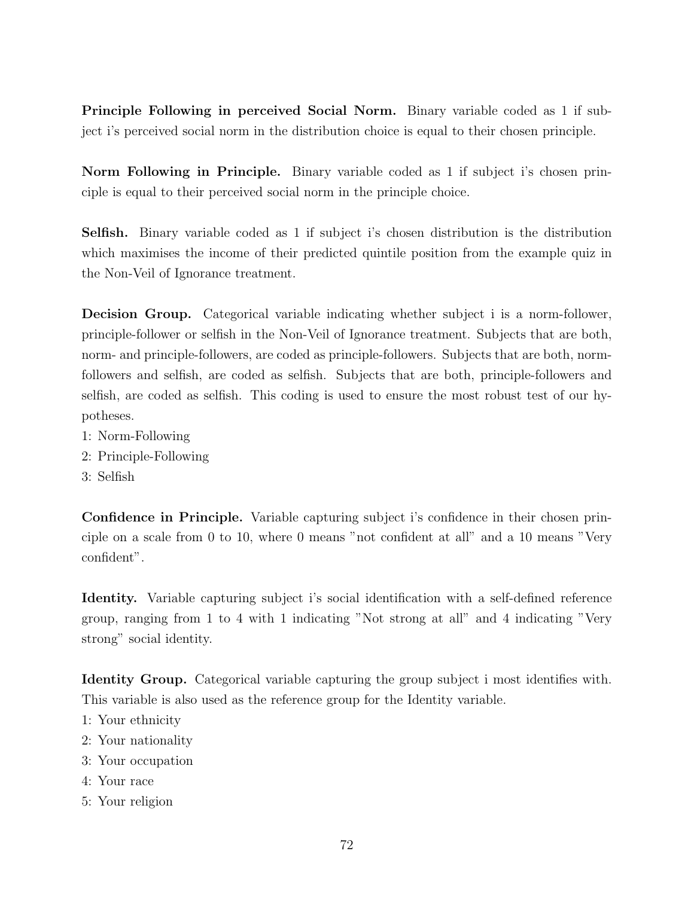Principle Following in perceived Social Norm. Binary variable coded as 1 if subject i's perceived social norm in the distribution choice is equal to their chosen principle.

Norm Following in Principle. Binary variable coded as 1 if subject i's chosen principle is equal to their perceived social norm in the principle choice.

Selfish. Binary variable coded as 1 if subject i's chosen distribution is the distribution which maximises the income of their predicted quintile position from the example quiz in the Non-Veil of Ignorance treatment.

Decision Group. Categorical variable indicating whether subject i is a norm-follower, principle-follower or selfish in the Non-Veil of Ignorance treatment. Subjects that are both, norm- and principle-followers, are coded as principle-followers. Subjects that are both, normfollowers and selfish, are coded as selfish. Subjects that are both, principle-followers and selfish, are coded as selfish. This coding is used to ensure the most robust test of our hypotheses.

- 1: Norm-Following
- 2: Principle-Following
- 3: Selfish

Confidence in Principle. Variable capturing subject i's confidence in their chosen principle on a scale from 0 to 10, where 0 means "not confident at all" and a 10 means "Very confident".

Identity. Variable capturing subject i's social identification with a self-defined reference group, ranging from 1 to 4 with 1 indicating "Not strong at all" and 4 indicating "Very strong" social identity.

Identity Group. Categorical variable capturing the group subject i most identifies with. This variable is also used as the reference group for the Identity variable.

- 1: Your ethnicity
- 2: Your nationality
- 3: Your occupation
- 4: Your race
- 5: Your religion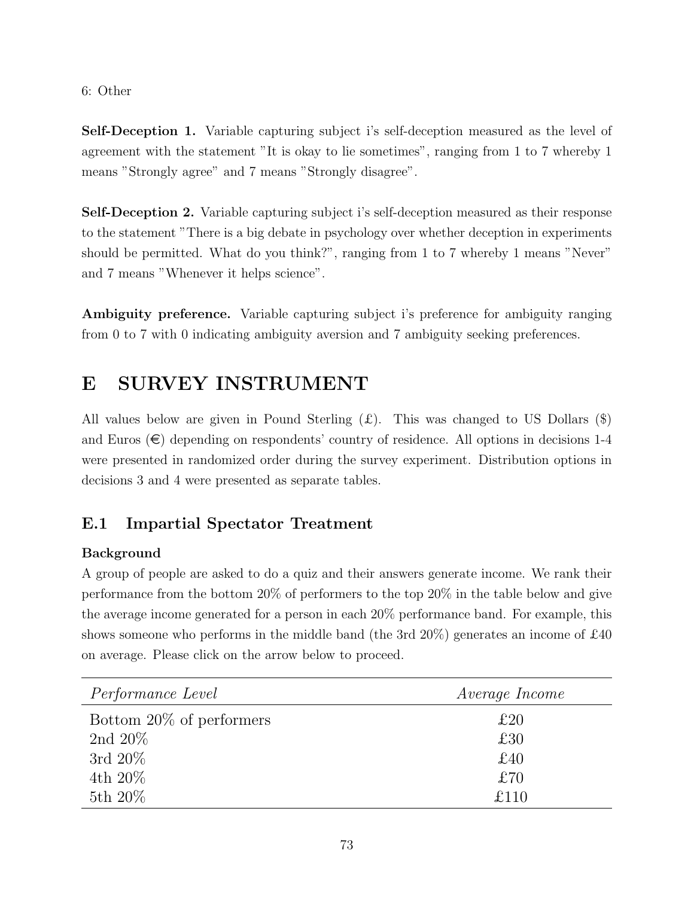#### 6: Other

Self-Deception 1. Variable capturing subject i's self-deception measured as the level of agreement with the statement "It is okay to lie sometimes", ranging from 1 to 7 whereby 1 means "Strongly agree" and 7 means "Strongly disagree".

Self-Deception 2. Variable capturing subject i's self-deception measured as their response to the statement "There is a big debate in psychology over whether deception in experiments should be permitted. What do you think?", ranging from 1 to 7 whereby 1 means "Never" and 7 means "Whenever it helps science".

Ambiguity preference. Variable capturing subject i's preference for ambiguity ranging from 0 to 7 with 0 indicating ambiguity aversion and 7 ambiguity seeking preferences.

# E SURVEY INSTRUMENT

All values below are given in Pound Sterling  $(\mathcal{L})$ . This was changed to US Dollars  $(\mathcal{S})$ and Euros  $(\epsilon)$  depending on respondents' country of residence. All options in decisions 1-4 were presented in randomized order during the survey experiment. Distribution options in decisions 3 and 4 were presented as separate tables.

## E.1 Impartial Spectator Treatment

#### Background

A group of people are asked to do a quiz and their answers generate income. We rank their performance from the bottom 20% of performers to the top 20% in the table below and give the average income generated for a person in each 20% performance band. For example, this shows someone who performs in the middle band (the 3rd 20%) generates an income of £40 on average. Please click on the arrow below to proceed.

| <i>Performance Level</i> | <i>Average Income</i> |
|--------------------------|-----------------------|
| Bottom 20% of performers | £20                   |
| 2nd $20\%$               | £30                   |
| 3rd $20\%$               | £40                   |
| 4th $20\%$               | £70                   |
| 5th 20%                  | £110                  |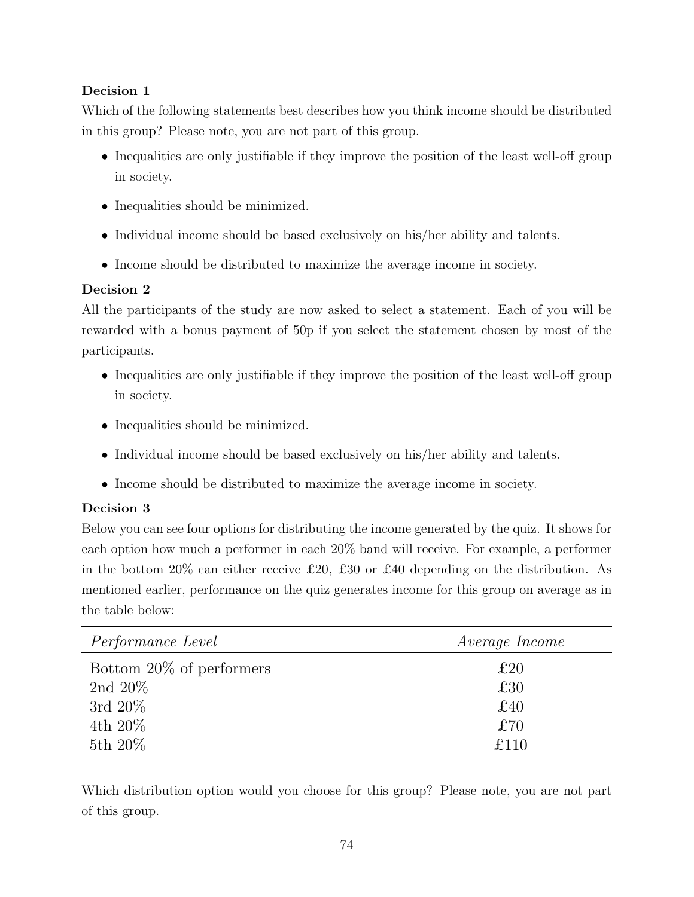Which of the following statements best describes how you think income should be distributed in this group? Please note, you are not part of this group.

- Inequalities are only justifiable if they improve the position of the least well-off group in society.
- Inequalities should be minimized.
- Individual income should be based exclusively on his/her ability and talents.
- Income should be distributed to maximize the average income in society.

### Decision 2

All the participants of the study are now asked to select a statement. Each of you will be rewarded with a bonus payment of 50p if you select the statement chosen by most of the participants.

- Inequalities are only justifiable if they improve the position of the least well-off group in society.
- Inequalities should be minimized.
- Individual income should be based exclusively on his/her ability and talents.
- Income should be distributed to maximize the average income in society.

### Decision 3

Below you can see four options for distributing the income generated by the quiz. It shows for each option how much a performer in each 20% band will receive. For example, a performer in the bottom 20% can either receive £20, £30 or £40 depending on the distribution. As mentioned earlier, performance on the quiz generates income for this group on average as in the table below:

| <i>Performance Level</i> | <i>Average Income</i> |
|--------------------------|-----------------------|
| Bottom 20% of performers | £20                   |
| 2nd $20\%$               | £30                   |
| 3rd $20\%$               | £40                   |
| 4th 20%                  | £70                   |
| 5th 20%                  | £110                  |

Which distribution option would you choose for this group? Please note, you are not part of this group.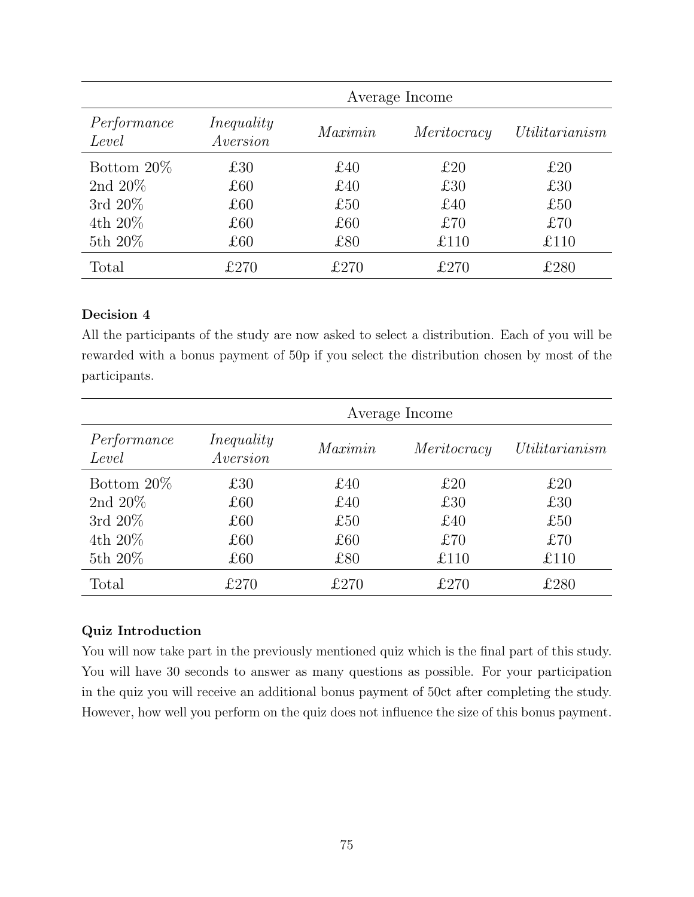|                      | Average Income         |         |             |                |
|----------------------|------------------------|---------|-------------|----------------|
| Performance<br>Level | Inequality<br>Aversion | Maximin | Meritocracy | Utilitarianism |
| Bottom $20\%$        | £30                    | £40     | £20         | £20            |
| 2nd $20\%$           | £60                    | £40     | £30         | £30            |
| 3rd $20\%$           | £60                    | £50     | £40         | £50            |
| 4th 20%              | £60                    | £60     | £70         | £70            |
| 5th 20%              | £60                    | £80     | £110        | £110           |
| Total                | £270                   | £270    | £270        | $\pounds280$   |

All the participants of the study are now asked to select a distribution. Each of you will be rewarded with a bonus payment of 50p if you select the distribution chosen by most of the participants.

| Performance<br>Level | Inequality<br>Aversion | Maximin | Meritocracy | Utilitarianism |
|----------------------|------------------------|---------|-------------|----------------|
| Bottom $20\%$        | £30                    | £40     | £20         | £20            |
| 2nd $20\%$           | £60                    | £40     | £30         | £30            |
| 3rd $20\%$           | £60                    | £50     | £40         | £50            |
| 4th $20\%$           | £60                    | £60     | £70         | £70            |
| 5th 20%              | £60                    | £80     | £110        | £110           |
| Total                | £270                   | £270    | £270        | $\pounds280$   |

### Quiz Introduction

You will now take part in the previously mentioned quiz which is the final part of this study. You will have 30 seconds to answer as many questions as possible. For your participation in the quiz you will receive an additional bonus payment of 50ct after completing the study. However, how well you perform on the quiz does not influence the size of this bonus payment.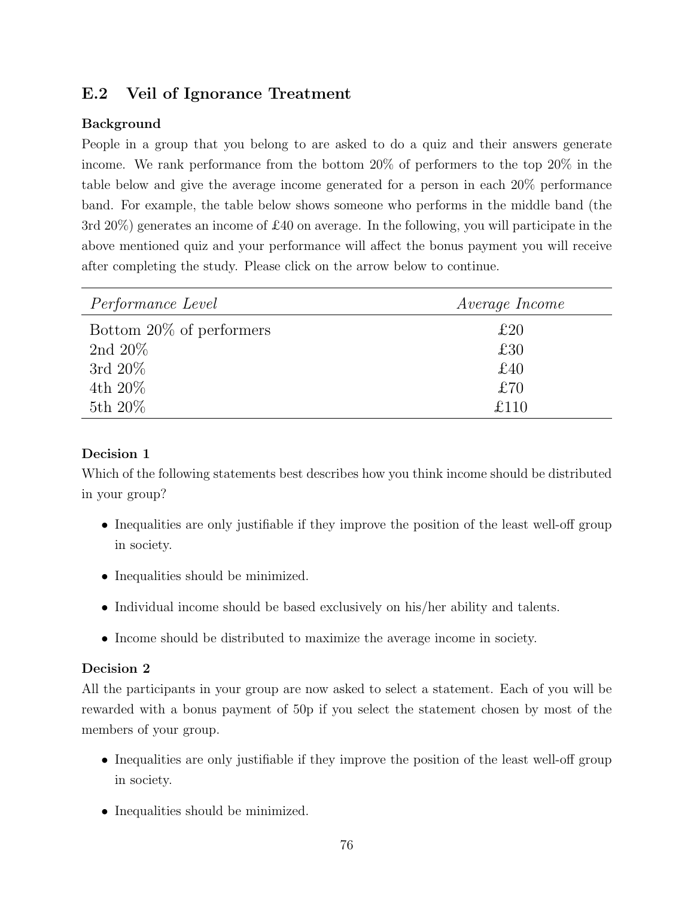# E.2 Veil of Ignorance Treatment

### Background

People in a group that you belong to are asked to do a quiz and their answers generate income. We rank performance from the bottom 20% of performers to the top 20% in the table below and give the average income generated for a person in each 20% performance band. For example, the table below shows someone who performs in the middle band (the 3rd 20%) generates an income of £40 on average. In the following, you will participate in the above mentioned quiz and your performance will affect the bonus payment you will receive after completing the study. Please click on the arrow below to continue.

| <i>Performance Level</i> | <i>Average Income</i> |
|--------------------------|-----------------------|
| Bottom 20% of performers | £20                   |
| 2nd 20%                  | £30                   |
| 3rd $20\%$               | £40                   |
| 4th $20\%$               | £70                   |
| 5th $20\%$               | £110                  |

### Decision 1

Which of the following statements best describes how you think income should be distributed in your group?

- Inequalities are only justifiable if they improve the position of the least well-off group in society.
- Inequalities should be minimized.
- Individual income should be based exclusively on his/her ability and talents.
- Income should be distributed to maximize the average income in society.

### Decision 2

All the participants in your group are now asked to select a statement. Each of you will be rewarded with a bonus payment of 50p if you select the statement chosen by most of the members of your group.

- Inequalities are only justifiable if they improve the position of the least well-off group in society.
- Inequalities should be minimized.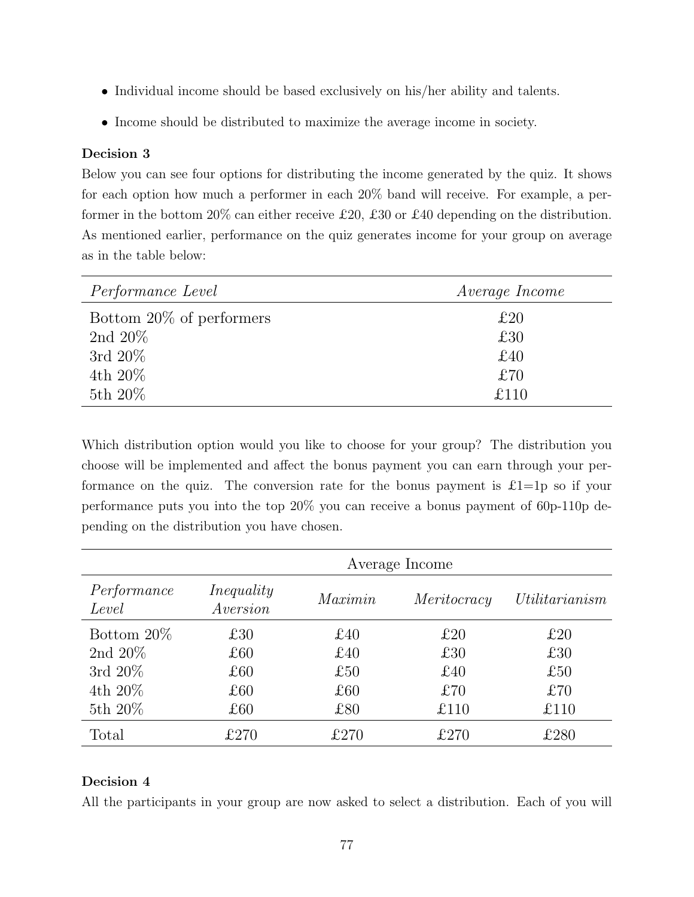- Individual income should be based exclusively on his/her ability and talents.
- Income should be distributed to maximize the average income in society.

Below you can see four options for distributing the income generated by the quiz. It shows for each option how much a performer in each 20% band will receive. For example, a performer in the bottom 20% can either receive £20, £30 or £40 depending on the distribution. As mentioned earlier, performance on the quiz generates income for your group on average as in the table below:

| <i>Performance Level</i> | <i>Average Income</i> |
|--------------------------|-----------------------|
| Bottom 20% of performers | £20                   |
| 2nd $20\%$               | £30                   |
| 3rd $20\%$               | £40                   |
| 4th $20\%$               | £70                   |
| 5th 20%                  | f110                  |

Which distribution option would you like to choose for your group? The distribution you choose will be implemented and affect the bonus payment you can earn through your performance on the quiz. The conversion rate for the bonus payment is  $\pounds1=1p$  so if your performance puts you into the top 20% you can receive a bonus payment of 60p-110p depending on the distribution you have chosen.

|                      | Average Income         |         |             |                |
|----------------------|------------------------|---------|-------------|----------------|
| Performance<br>Level | Inequality<br>Aversion | Maximin | Meritocracy | Utilitarianism |
| Bottom $20\%$        | £30                    | £40     | £20         | £20            |
| 2nd $20\%$           | £60                    | £40     | £30         | £30            |
| 3rd $20\%$           | £60                    | £50     | £40         | £50            |
| 4th 20%              | £60                    | £60     | £70         | £70            |
| 5th 20%              | £60                    | £80     | £110        | £110           |
| Total                | £270                   | £270    | £270        | £280           |

#### Decision 4

All the participants in your group are now asked to select a distribution. Each of you will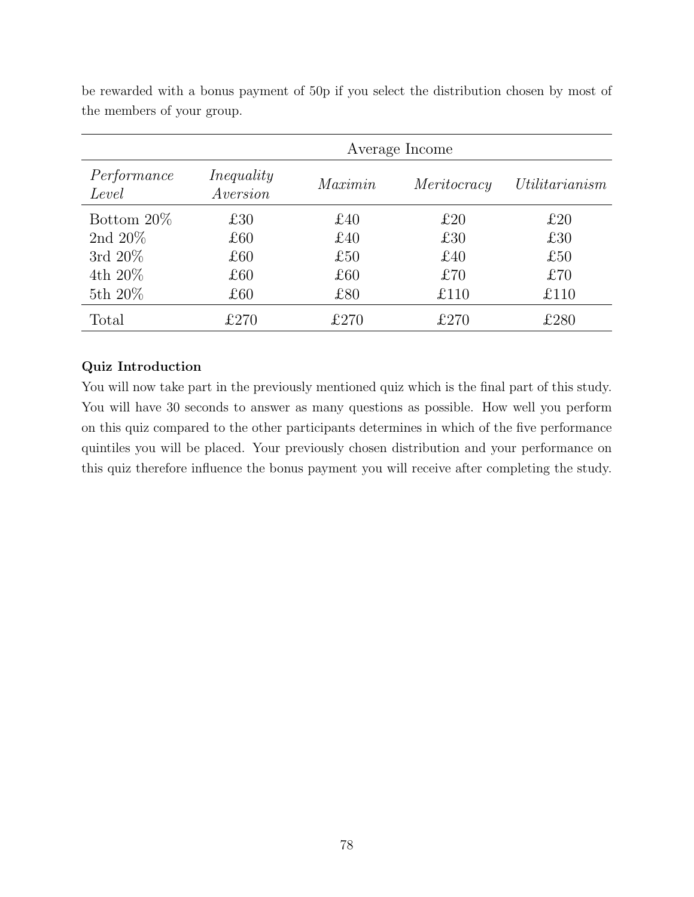|                      | Average Income         |         |               |                |
|----------------------|------------------------|---------|---------------|----------------|
| Performance<br>Level | Inequality<br>Aversion | Maximin | Meritocracy   | Utilitarianism |
| Bottom $20\%$        | £30                    | £40     | £20           | £20            |
| 2nd $20\%$           | £60                    | £40     | £30           | £30            |
| 3rd $20\%$           | £60                    | £50     | £40           | £50            |
| 4th $20\%$           | £60                    | £60     | £70           | £70            |
| 5th 20%              | £60                    | £80     | £110          | £110           |
| Total                | £270                   | £270    | $\pounds 270$ | $\pounds280$   |

be rewarded with a bonus payment of 50p if you select the distribution chosen by most of the members of your group.

### Quiz Introduction

You will now take part in the previously mentioned quiz which is the final part of this study. You will have 30 seconds to answer as many questions as possible. How well you perform on this quiz compared to the other participants determines in which of the five performance quintiles you will be placed. Your previously chosen distribution and your performance on this quiz therefore influence the bonus payment you will receive after completing the study.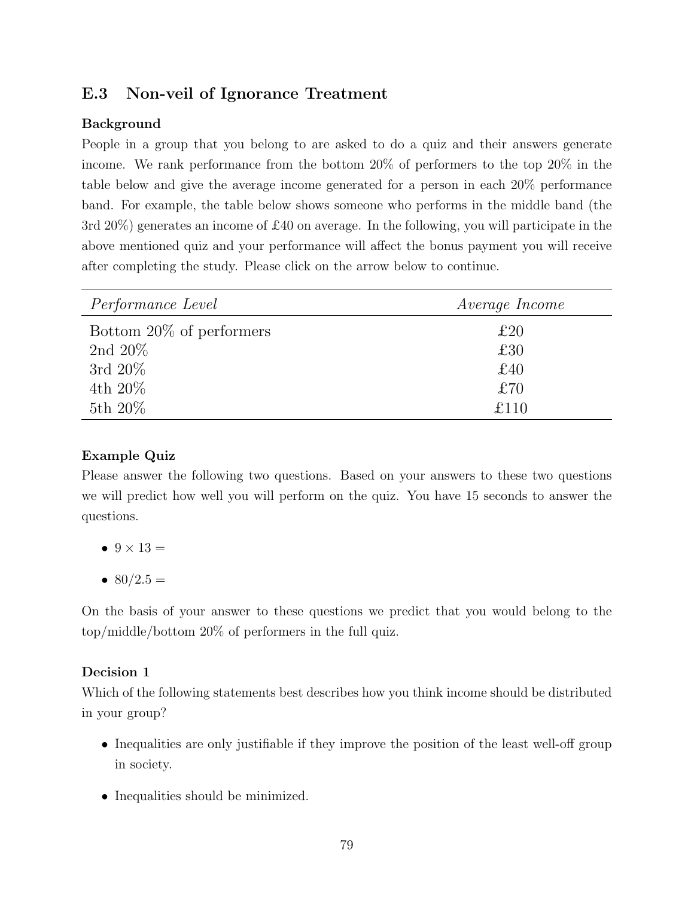# E.3 Non-veil of Ignorance Treatment

### Background

People in a group that you belong to are asked to do a quiz and their answers generate income. We rank performance from the bottom 20% of performers to the top 20% in the table below and give the average income generated for a person in each 20% performance band. For example, the table below shows someone who performs in the middle band (the 3rd 20%) generates an income of £40 on average. In the following, you will participate in the above mentioned quiz and your performance will affect the bonus payment you will receive after completing the study. Please click on the arrow below to continue.

| <i>Performance Level</i> | <i>Average Income</i> |
|--------------------------|-----------------------|
| Bottom 20% of performers | £20                   |
| 2nd 20%                  | £30                   |
| 3rd $20\%$               | £40                   |
| 4th $20\%$               | £70                   |
| 5th $20\%$               | £110                  |

### Example Quiz

Please answer the following two questions. Based on your answers to these two questions we will predict how well you will perform on the quiz. You have 15 seconds to answer the questions.

- $\bullet$   $9 \times 13 =$
- 80/2.5  $=$

On the basis of your answer to these questions we predict that you would belong to the top/middle/bottom 20% of performers in the full quiz.

### Decision 1

Which of the following statements best describes how you think income should be distributed in your group?

- Inequalities are only justifiable if they improve the position of the least well-off group in society.
- Inequalities should be minimized.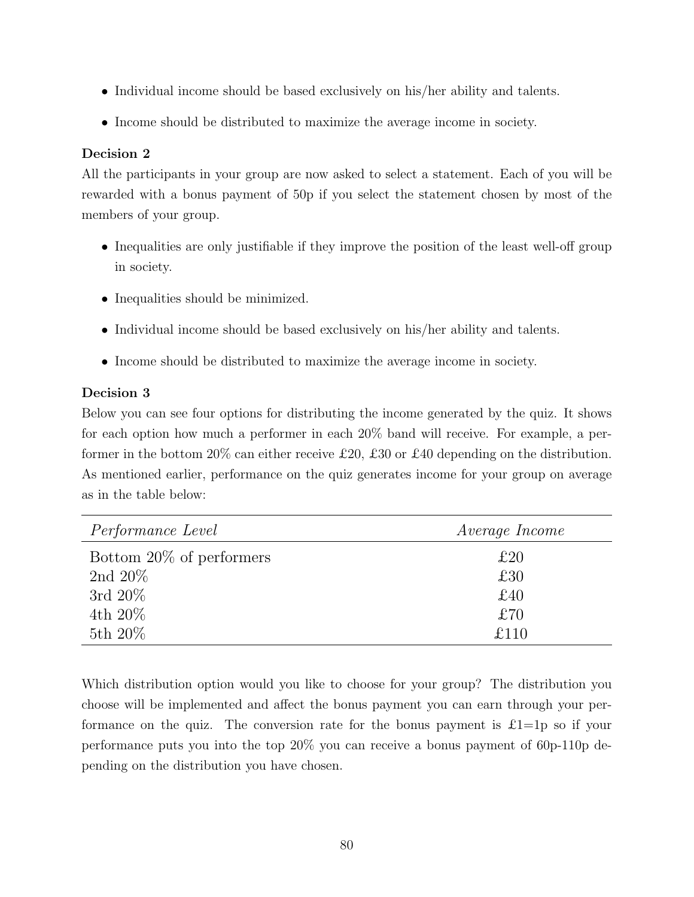- Individual income should be based exclusively on his/her ability and talents.
- Income should be distributed to maximize the average income in society.

All the participants in your group are now asked to select a statement. Each of you will be rewarded with a bonus payment of 50p if you select the statement chosen by most of the members of your group.

- Inequalities are only justifiable if they improve the position of the least well-off group in society.
- Inequalities should be minimized.
- Individual income should be based exclusively on his/her ability and talents.
- Income should be distributed to maximize the average income in society.

### Decision 3

Below you can see four options for distributing the income generated by the quiz. It shows for each option how much a performer in each 20% band will receive. For example, a performer in the bottom 20% can either receive £20, £30 or £40 depending on the distribution. As mentioned earlier, performance on the quiz generates income for your group on average as in the table below:

| <i>Performance Level</i> | <i>Average Income</i> |
|--------------------------|-----------------------|
| Bottom 20% of performers | £20                   |
| 2nd 20%                  | £30                   |
| 3rd $20\%$               | £40                   |
| 4th $20\%$               | £70                   |
| 5th 20%                  | £110                  |

Which distribution option would you like to choose for your group? The distribution you choose will be implemented and affect the bonus payment you can earn through your performance on the quiz. The conversion rate for the bonus payment is  $\pounds1=1p$  so if your performance puts you into the top 20% you can receive a bonus payment of 60p-110p depending on the distribution you have chosen.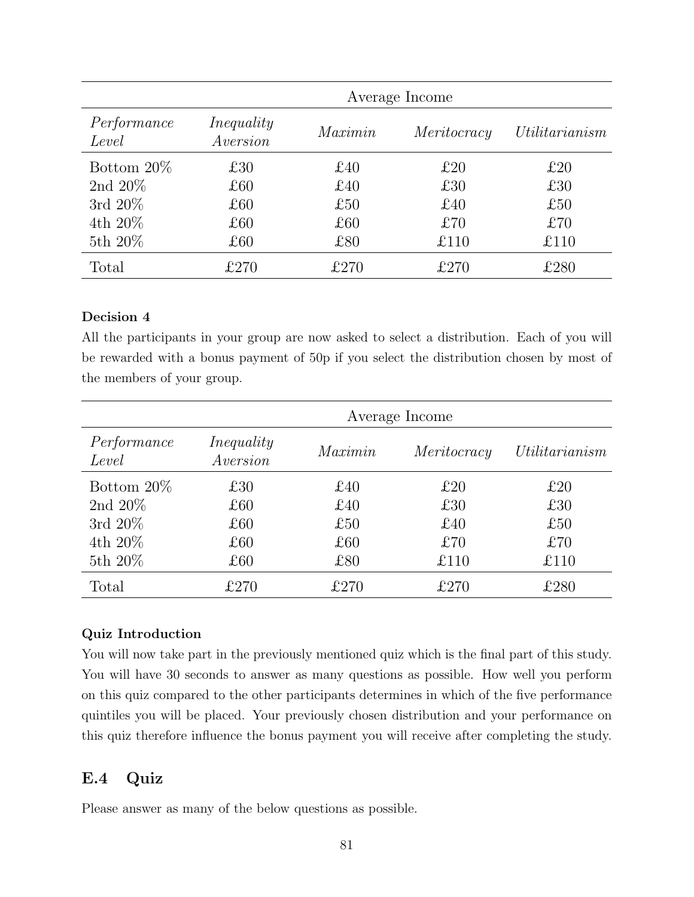|                      |                        |         | Average Income |                |
|----------------------|------------------------|---------|----------------|----------------|
| Performance<br>Level | Inequality<br>Aversion | Maximin | Meritocracy    | Utilitarianism |
| Bottom $20\%$        | £30                    | £40     | £20            | £20            |
| 2nd $20\%$           | £60                    | £40     | £30            | £30            |
| 3rd $20\%$           | £60                    | £50     | £40            | £50            |
| $4th 20\%$           | £60                    | £60     | £70            | £70            |
| 5th 20%              | £60                    | £80     | £110           | £110           |
| Total                | £270                   | £270    | £270           | £280           |

All the participants in your group are now asked to select a distribution. Each of you will be rewarded with a bonus payment of 50p if you select the distribution chosen by most of the members of your group.

|                      | Average Income         |         |             |                |
|----------------------|------------------------|---------|-------------|----------------|
| Performance<br>Level | Inequality<br>Aversion | Maximin | Meritocracy | Utilitarianism |
| Bottom $20\%$        | £30                    | £40     | £20         | £20            |
| 2nd $20\%$           | £60                    | £40     | £30         | £30            |
| 3rd $20\%$           | £60                    | £50     | £40         | £50            |
| 4th $20\%$           | £60                    | £60     | £70         | £70            |
| 5th 20%              | £60                    | £80     | £110        | £110           |
| Total                | £270                   | £270    | £270        | $\pounds280$   |

#### Quiz Introduction

You will now take part in the previously mentioned quiz which is the final part of this study. You will have 30 seconds to answer as many questions as possible. How well you perform on this quiz compared to the other participants determines in which of the five performance quintiles you will be placed. Your previously chosen distribution and your performance on this quiz therefore influence the bonus payment you will receive after completing the study.

## E.4 Quiz

Please answer as many of the below questions as possible.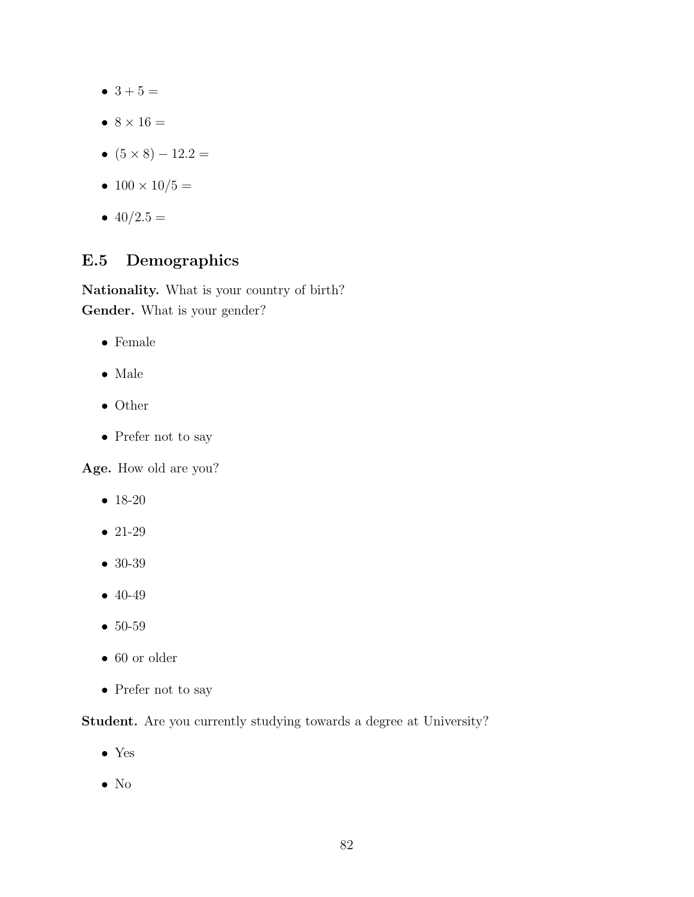- $3 + 5 =$
- $\bullet$  8  $\times$  16  $=$
- $(5 \times 8) 12.2 =$
- $100 \times 10/5 =$
- $40/2.5 =$

# E.5 Demographics

Nationality. What is your country of birth? Gender. What is your gender?

- Female
- Male
- Other
- Prefer not to say

Age. How old are you?

- 18-20
- 21-29
- 30-39
- 40-49
- 50-59
- 60 or older
- $\bullet\,$  Prefer not to say

### Student. Are you currently studying towards a degree at University?

- Yes
- No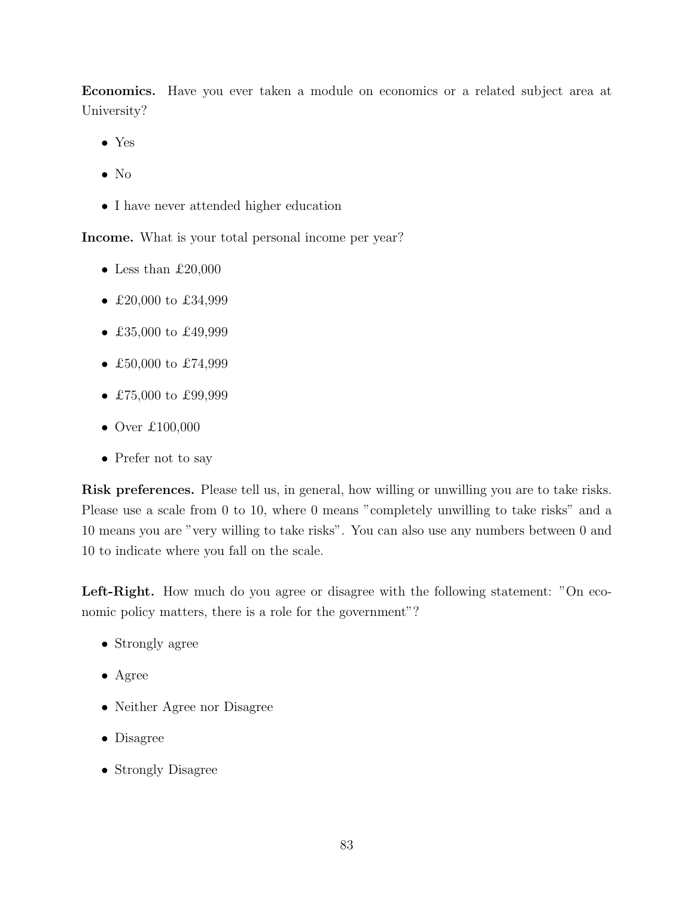Economics. Have you ever taken a module on economics or a related subject area at University?

- Yes
- No
- I have never attended higher education

Income. What is your total personal income per year?

- Less than  $£20,000$
- £20,000 to £34,999
- £35,000 to £49,999
- £50,000 to £74,999
- £75,000 to £99,999
- Over  $£100,000$
- Prefer not to say

Risk preferences. Please tell us, in general, how willing or unwilling you are to take risks. Please use a scale from 0 to 10, where 0 means "completely unwilling to take risks" and a 10 means you are "very willing to take risks". You can also use any numbers between 0 and 10 to indicate where you fall on the scale.

Left-Right. How much do you agree or disagree with the following statement: "On economic policy matters, there is a role for the government"?

- Strongly agree
- Agree
- Neither Agree nor Disagree
- Disagree
- Strongly Disagree